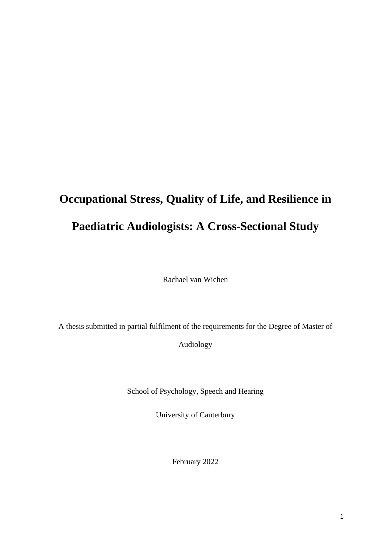# **Occupational Stress, Quality of Life, and Resilience in Paediatric Audiologists: A Cross-Sectional Study**

Rachael van Wichen

A thesis submitted in partial fulfilment of the requirements for the Degree of Master of

Audiology

School of Psychology, Speech and Hearing

University of Canterbury

February 2022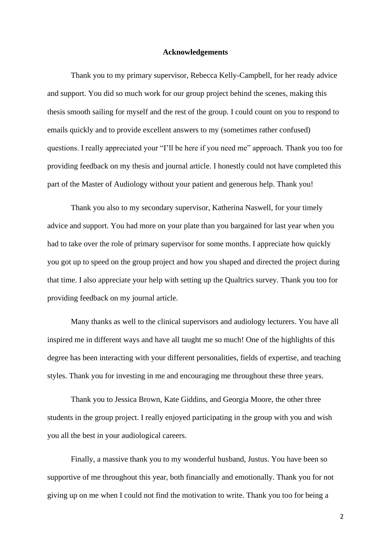#### **Acknowledgements**

Thank you to my primary supervisor, Rebecca Kelly-Campbell, for her ready advice and support. You did so much work for our group project behind the scenes, making this thesis smooth sailing for myself and the rest of the group. I could count on you to respond to emails quickly and to provide excellent answers to my (sometimes rather confused) questions. I really appreciated your "I'll be here if you need me" approach. Thank you too for providing feedback on my thesis and journal article. I honestly could not have completed this part of the Master of Audiology without your patient and generous help. Thank you!

Thank you also to my secondary supervisor, Katherina Naswell, for your timely advice and support. You had more on your plate than you bargained for last year when you had to take over the role of primary supervisor for some months. I appreciate how quickly you got up to speed on the group project and how you shaped and directed the project during that time. I also appreciate your help with setting up the Qualtrics survey. Thank you too for providing feedback on my journal article.

Many thanks as well to the clinical supervisors and audiology lecturers. You have all inspired me in different ways and have all taught me so much! One of the highlights of this degree has been interacting with your different personalities, fields of expertise, and teaching styles. Thank you for investing in me and encouraging me throughout these three years.

Thank you to Jessica Brown, Kate Giddins, and Georgia Moore, the other three students in the group project. I really enjoyed participating in the group with you and wish you all the best in your audiological careers.

Finally, a massive thank you to my wonderful husband, Justus. You have been so supportive of me throughout this year, both financially and emotionally. Thank you for not giving up on me when I could not find the motivation to write. Thank you too for being a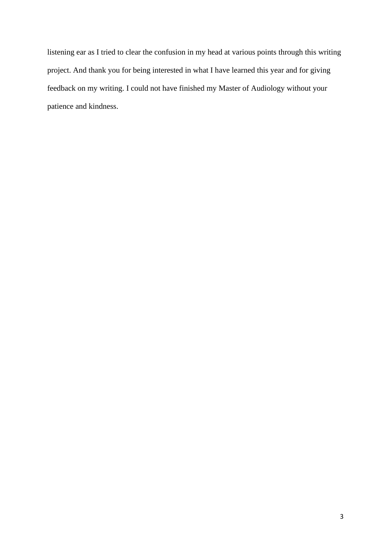listening ear as I tried to clear the confusion in my head at various points through this writing project. And thank you for being interested in what I have learned this year and for giving feedback on my writing. I could not have finished my Master of Audiology without your patience and kindness.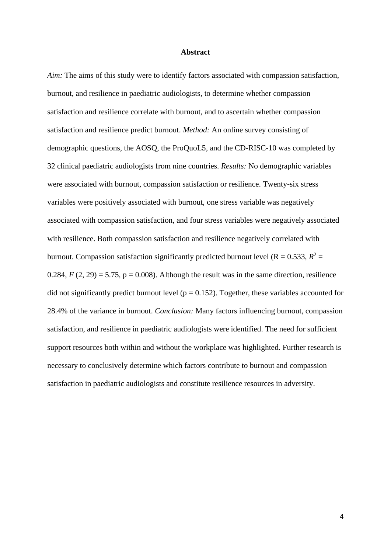#### **Abstract**

*Aim:* The aims of this study were to identify factors associated with compassion satisfaction, burnout, and resilience in paediatric audiologists, to determine whether compassion satisfaction and resilience correlate with burnout, and to ascertain whether compassion satisfaction and resilience predict burnout. *Method:* An online survey consisting of demographic questions, the AOSQ, the ProQuoL5, and the CD-RISC-10 was completed by 32 clinical paediatric audiologists from nine countries. *Results:* No demographic variables were associated with burnout, compassion satisfaction or resilience. Twenty-six stress variables were positively associated with burnout, one stress variable was negatively associated with compassion satisfaction, and four stress variables were negatively associated with resilience. Both compassion satisfaction and resilience negatively correlated with burnout. Compassion satisfaction significantly predicted burnout level ( $R = 0.533$ ,  $R^2 =$ 0.284,  $F(2, 29) = 5.75$ ,  $p = 0.008$ ). Although the result was in the same direction, resilience did not significantly predict burnout level ( $p = 0.152$ ). Together, these variables accounted for 28.4% of the variance in burnout. *Conclusion:* Many factors influencing burnout, compassion satisfaction, and resilience in paediatric audiologists were identified. The need for sufficient support resources both within and without the workplace was highlighted. Further research is necessary to conclusively determine which factors contribute to burnout and compassion satisfaction in paediatric audiologists and constitute resilience resources in adversity.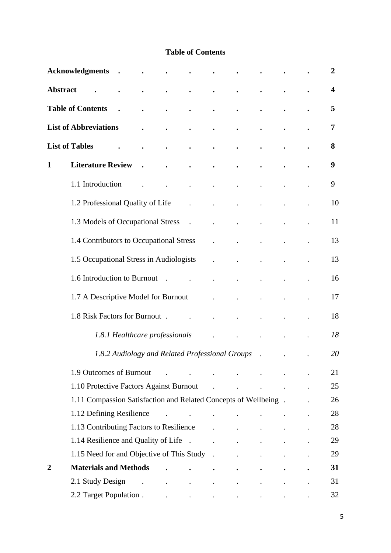# **Table of Contents**

|                | <b>Acknowledgments</b>                                                                                                                                                                                                         |                                                 |                                                           |                                     |                                     |                                                                                                                                                                                                                                                                                                                                                                                                                                                             |                                                           |  | 2  |
|----------------|--------------------------------------------------------------------------------------------------------------------------------------------------------------------------------------------------------------------------------|-------------------------------------------------|-----------------------------------------------------------|-------------------------------------|-------------------------------------|-------------------------------------------------------------------------------------------------------------------------------------------------------------------------------------------------------------------------------------------------------------------------------------------------------------------------------------------------------------------------------------------------------------------------------------------------------------|-----------------------------------------------------------|--|----|
|                | <b>Abstract</b>                                                                                                                                                                                                                |                                                 |                                                           |                                     |                                     |                                                                                                                                                                                                                                                                                                                                                                                                                                                             |                                                           |  | 4  |
|                | <b>Table of Contents</b>                                                                                                                                                                                                       |                                                 |                                                           |                                     | $\bullet$                           |                                                                                                                                                                                                                                                                                                                                                                                                                                                             |                                                           |  | 5  |
|                | <b>List of Abbreviations</b>                                                                                                                                                                                                   |                                                 |                                                           |                                     |                                     |                                                                                                                                                                                                                                                                                                                                                                                                                                                             |                                                           |  | 7  |
|                | <b>List of Tables</b>                                                                                                                                                                                                          |                                                 |                                                           | $\bullet$                           | $\bullet$                           |                                                                                                                                                                                                                                                                                                                                                                                                                                                             |                                                           |  | 8  |
| $\mathbf{1}$   | <b>Literature Review</b>                                                                                                                                                                                                       |                                                 |                                                           | $\bullet$                           | $\bullet$                           |                                                                                                                                                                                                                                                                                                                                                                                                                                                             |                                                           |  | 9  |
|                | 1.1 Introduction                                                                                                                                                                                                               |                                                 |                                                           |                                     |                                     |                                                                                                                                                                                                                                                                                                                                                                                                                                                             |                                                           |  | 9  |
|                | 1.2 Professional Quality of Life                                                                                                                                                                                               |                                                 |                                                           |                                     |                                     |                                                                                                                                                                                                                                                                                                                                                                                                                                                             |                                                           |  | 10 |
|                | 1.3 Models of Occupational Stress                                                                                                                                                                                              |                                                 |                                                           |                                     |                                     |                                                                                                                                                                                                                                                                                                                                                                                                                                                             |                                                           |  | 11 |
|                | 1.4 Contributors to Occupational Stress                                                                                                                                                                                        |                                                 |                                                           |                                     |                                     |                                                                                                                                                                                                                                                                                                                                                                                                                                                             |                                                           |  | 13 |
|                | 1.5 Occupational Stress in Audiologists                                                                                                                                                                                        |                                                 |                                                           |                                     |                                     |                                                                                                                                                                                                                                                                                                                                                                                                                                                             |                                                           |  | 13 |
|                | 1.6 Introduction to Burnout                                                                                                                                                                                                    |                                                 |                                                           |                                     |                                     |                                                                                                                                                                                                                                                                                                                                                                                                                                                             |                                                           |  | 16 |
|                | 1.7 A Descriptive Model for Burnout                                                                                                                                                                                            |                                                 |                                                           |                                     |                                     |                                                                                                                                                                                                                                                                                                                                                                                                                                                             |                                                           |  | 17 |
|                | 1.8 Risk Factors for Burnout.                                                                                                                                                                                                  |                                                 |                                                           |                                     |                                     |                                                                                                                                                                                                                                                                                                                                                                                                                                                             |                                                           |  | 18 |
|                |                                                                                                                                                                                                                                | 1.8.1 Healthcare professionals                  |                                                           |                                     |                                     |                                                                                                                                                                                                                                                                                                                                                                                                                                                             |                                                           |  | 18 |
|                |                                                                                                                                                                                                                                | 1.8.2 Audiology and Related Professional Groups |                                                           |                                     |                                     |                                                                                                                                                                                                                                                                                                                                                                                                                                                             |                                                           |  | 20 |
|                |                                                                                                                                                                                                                                |                                                 |                                                           |                                     |                                     |                                                                                                                                                                                                                                                                                                                                                                                                                                                             |                                                           |  |    |
|                | 1.9 Outcomes of Burnout                                                                                                                                                                                                        |                                                 |                                                           |                                     | and the state of the state of the   | $\mathcal{L}^{\text{max}}$                                                                                                                                                                                                                                                                                                                                                                                                                                  |                                                           |  | 21 |
|                | 1.10 Protective Factors Against Burnout                                                                                                                                                                                        |                                                 |                                                           |                                     | $\sim 10^{11}$ and $\sim 10^{11}$   |                                                                                                                                                                                                                                                                                                                                                                                                                                                             |                                                           |  | 25 |
|                | 1.11 Compassion Satisfaction and Related Concepts of Wellbeing.                                                                                                                                                                |                                                 |                                                           |                                     |                                     |                                                                                                                                                                                                                                                                                                                                                                                                                                                             |                                                           |  | 26 |
|                | 1.12 Defining Resilience                                                                                                                                                                                                       |                                                 |                                                           |                                     | the contract of the contract of the |                                                                                                                                                                                                                                                                                                                                                                                                                                                             |                                                           |  | 28 |
|                | 1.13 Contributing Factors to Resilience .                                                                                                                                                                                      |                                                 |                                                           |                                     |                                     |                                                                                                                                                                                                                                                                                                                                                                                                                                                             |                                                           |  | 28 |
|                | 1.14 Resilience and Quality of Life . The state of Life and Australian Control of Life and Australian Control of Life and Australian Control of Life and Australian Control of Life and Australian Control of Life and Austral |                                                 |                                                           |                                     |                                     | $\ddot{\phantom{0}}$                                                                                                                                                                                                                                                                                                                                                                                                                                        |                                                           |  | 29 |
|                | 1.15 Need for and Objective of This Study.                                                                                                                                                                                     |                                                 |                                                           |                                     |                                     |                                                                                                                                                                                                                                                                                                                                                                                                                                                             |                                                           |  | 29 |
| $\overline{2}$ | <b>Materials and Methods</b>                                                                                                                                                                                                   |                                                 | $\ddot{\phantom{0}}$                                      | $\ddot{\phantom{0}}$                |                                     |                                                                                                                                                                                                                                                                                                                                                                                                                                                             |                                                           |  | 31 |
|                | 2.1 Study Design                                                                                                                                                                                                               |                                                 | $\mathcal{L}^{\text{max}}$ and $\mathcal{L}^{\text{max}}$ | and the contract of the contract of |                                     | $\bullet$                                                                                                                                                                                                                                                                                                                                                                                                                                                   |                                                           |  | 31 |
|                | 2.2 Target Population.                                                                                                                                                                                                         |                                                 |                                                           |                                     |                                     | $\mathcal{L}(\mathcal{L}(\mathcal{L}(\mathcal{L}(\mathcal{L}(\mathcal{L}(\mathcal{L}(\mathcal{L}(\mathcal{L}(\mathcal{L}(\mathcal{L}(\mathcal{L}(\mathcal{L}(\mathcal{L}(\mathcal{L}(\mathcal{L}(\mathcal{L}(\mathcal{L}(\mathcal{L}(\mathcal{L}(\mathcal{L}(\mathcal{L}(\mathcal{L}(\mathcal{L}(\mathcal{L}(\mathcal{L}(\mathcal{L}(\mathcal{L}(\mathcal{L}(\mathcal{L}(\mathcal{L}(\mathcal{L}(\mathcal{L}(\mathcal{L}(\mathcal{L}(\mathcal{L}(\mathcal{$ | $\bullet$ - $\bullet$ - $\bullet$ - $\bullet$ - $\bullet$ |  | 32 |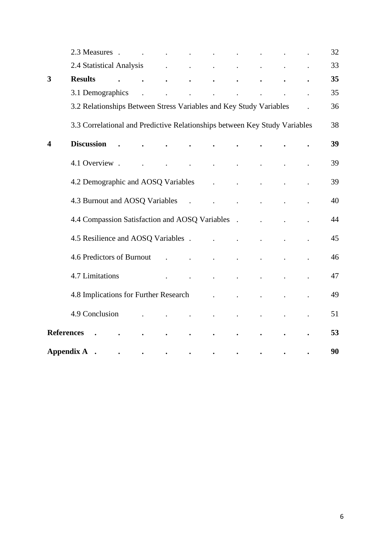|                   | 2.3 Measures .                                                             |  | $\ddot{\phantom{a}}$ | $\ddot{\phantom{a}}$ |                      |                      |  | 32 |
|-------------------|----------------------------------------------------------------------------|--|----------------------|----------------------|----------------------|----------------------|--|----|
|                   | 2.4 Statistical Analysis                                                   |  | $\ddot{\phantom{0}}$ | $\sim$               | $\sim$               | $\ddot{\phantom{0}}$ |  | 33 |
| 3                 | <b>Results</b>                                                             |  |                      | $\bullet$            | $\bullet$            |                      |  | 35 |
|                   | 3.1 Demographics                                                           |  |                      |                      | $\ddot{\phantom{a}}$ |                      |  | 35 |
|                   | 3.2 Relationships Between Stress Variables and Key Study Variables         |  |                      |                      |                      |                      |  | 36 |
|                   | 3.3 Correlational and Predictive Relationships between Key Study Variables |  |                      |                      |                      |                      |  | 38 |
| 4                 | <b>Discussion</b>                                                          |  |                      |                      |                      |                      |  | 39 |
|                   | 4.1 Overview.                                                              |  |                      |                      |                      |                      |  | 39 |
|                   | 4.2 Demographic and AOSQ Variables                                         |  |                      |                      | $\ddot{\phantom{0}}$ |                      |  | 39 |
|                   | 4.3 Burnout and AOSQ Variables                                             |  |                      | $\overline{a}$       |                      |                      |  | 40 |
|                   | 4.4 Compassion Satisfaction and AOSQ Variables .                           |  |                      |                      |                      |                      |  | 44 |
|                   | 4.5 Resilience and AOSQ Variables.                                         |  |                      |                      | $\ddot{\phantom{a}}$ |                      |  | 45 |
|                   | 4.6 Predictors of Burnout                                                  |  |                      |                      |                      |                      |  | 46 |
|                   | 4.7 Limitations                                                            |  |                      |                      | $\ddot{\phantom{0}}$ |                      |  | 47 |
|                   | 4.8 Implications for Further Research                                      |  |                      |                      |                      |                      |  | 49 |
|                   | 4.9 Conclusion                                                             |  |                      |                      | $\ddot{\phantom{0}}$ | $\ddot{\phantom{0}}$ |  | 51 |
| <b>References</b> |                                                                            |  |                      |                      |                      |                      |  | 53 |
| <b>Appendix A</b> |                                                                            |  |                      |                      |                      |                      |  | 90 |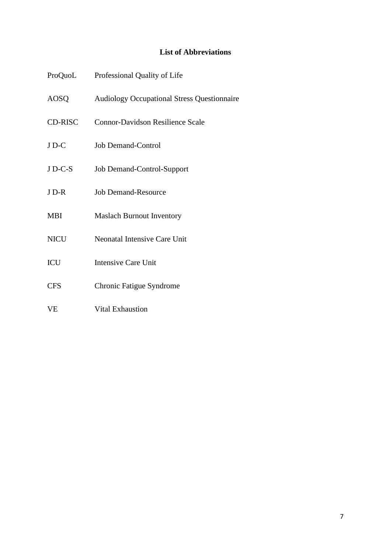# **List of Abbreviations**

| ProQuoL     | Professional Quality of Life                       |
|-------------|----------------------------------------------------|
| AOSQ        | <b>Audiology Occupational Stress Questionnaire</b> |
| CD-RISC     | <b>Connor-Davidson Resilience Scale</b>            |
| JD-C        | <b>Job Demand-Control</b>                          |
| $J$ D-C-S   | Job Demand-Control-Support                         |
| J D-R       | <b>Job Demand-Resource</b>                         |
| <b>MBI</b>  | <b>Maslach Burnout Inventory</b>                   |
| <b>NICU</b> | <b>Neonatal Intensive Care Unit</b>                |
| <b>ICU</b>  | <b>Intensive Care Unit</b>                         |
| <b>CFS</b>  | Chronic Fatigue Syndrome                           |
| <b>VE</b>   | <b>Vital Exhaustion</b>                            |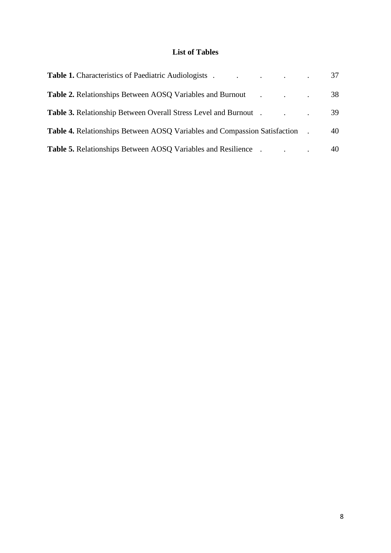# **List of Tables**

| <b>Table 1.</b> Characteristics of Paediatric Audiologists .                     | $\mathbf{r}$ , and $\mathbf{r}$ , and $\mathbf{r}$ , and $\mathbf{r}$ | 37 |
|----------------------------------------------------------------------------------|-----------------------------------------------------------------------|----|
| <b>Table 2.</b> Relationships Between AOSO Variables and Burnout .               |                                                                       | 38 |
| <b>Table 3.</b> Relationship Between Overall Stress Level and Burnout.           |                                                                       | 39 |
| <b>Table 4.</b> Relationships Between AOSQ Variables and Compassion Satisfaction |                                                                       | 40 |
| <b>Table 5.</b> Relationships Between AOSO Variables and Resilience              |                                                                       | 40 |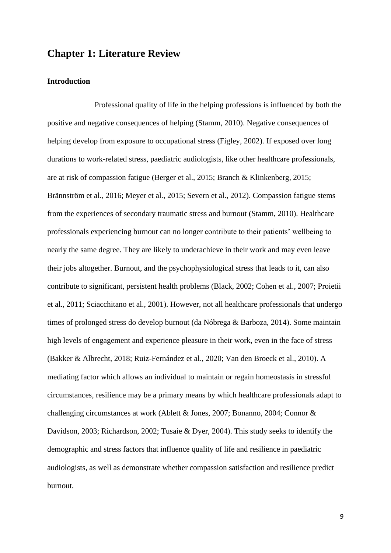# **Chapter 1: Literature Review**

#### **Introduction**

Professional quality of life in the helping professions is influenced by both the positive and negative consequences of helping (Stamm, 2010). Negative consequences of helping develop from exposure to occupational stress (Figley, 2002). If exposed over long durations to work-related stress, paediatric audiologists, like other healthcare professionals, are at risk of compassion fatigue (Berger et al., 2015; Branch & Klinkenberg, 2015; Brännström et al., 2016; Meyer et al., 2015; Severn et al., 2012). Compassion fatigue stems from the experiences of secondary traumatic stress and burnout (Stamm, 2010). Healthcare professionals experiencing burnout can no longer contribute to their patients' wellbeing to nearly the same degree. They are likely to underachieve in their work and may even leave their jobs altogether. Burnout, and the psychophysiological stress that leads to it, can also contribute to significant, persistent health problems (Black, 2002; Cohen et al., 2007; Proietii et al., 2011; Sciacchitano et al., 2001). However, not all healthcare professionals that undergo times of prolonged stress do develop burnout (da Nóbrega & Barboza, 2014). Some maintain high levels of engagement and experience pleasure in their work, even in the face of stress (Bakker & Albrecht, 2018; Ruiz-Fernández et al., 2020; Van den Broeck et al., 2010). A mediating factor which allows an individual to maintain or regain homeostasis in stressful circumstances, resilience may be a primary means by which healthcare professionals adapt to challenging circumstances at work (Ablett & Jones, 2007; Bonanno, 2004; Connor & Davidson, 2003; Richardson, 2002; Tusaie & Dyer, 2004). This study seeks to identify the demographic and stress factors that influence quality of life and resilience in paediatric audiologists, as well as demonstrate whether compassion satisfaction and resilience predict burnout.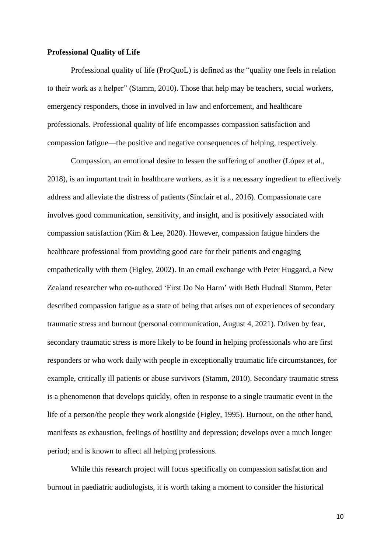#### **Professional Quality of Life**

Professional quality of life (ProQuoL) is defined as the "quality one feels in relation to their work as a helper" (Stamm, 2010). Those that help may be teachers, social workers, emergency responders, those in involved in law and enforcement, and healthcare professionals. Professional quality of life encompasses compassion satisfaction and compassion fatigue—the positive and negative consequences of helping, respectively.

Compassion, an emotional desire to lessen the suffering of another (López et al., 2018), is an important trait in healthcare workers, as it is a necessary ingredient to effectively address and alleviate the distress of patients (Sinclair et al., 2016). Compassionate care involves good communication, sensitivity, and insight, and is positively associated with compassion satisfaction (Kim & Lee, 2020). However, compassion fatigue hinders the healthcare professional from providing good care for their patients and engaging empathetically with them (Figley, 2002). In an email exchange with Peter Huggard, a New Zealand researcher who co-authored 'First Do No Harm' with Beth Hudnall Stamm, Peter described compassion fatigue as a state of being that arises out of experiences of secondary traumatic stress and burnout (personal communication, August 4, 2021). Driven by fear, secondary traumatic stress is more likely to be found in helping professionals who are first responders or who work daily with people in exceptionally traumatic life circumstances, for example, critically ill patients or abuse survivors (Stamm, 2010). Secondary traumatic stress is a phenomenon that develops quickly, often in response to a single traumatic event in the life of a person/the people they work alongside (Figley, 1995). Burnout, on the other hand, manifests as exhaustion, feelings of hostility and depression; develops over a much longer period; and is known to affect all helping professions.

While this research project will focus specifically on compassion satisfaction and burnout in paediatric audiologists, it is worth taking a moment to consider the historical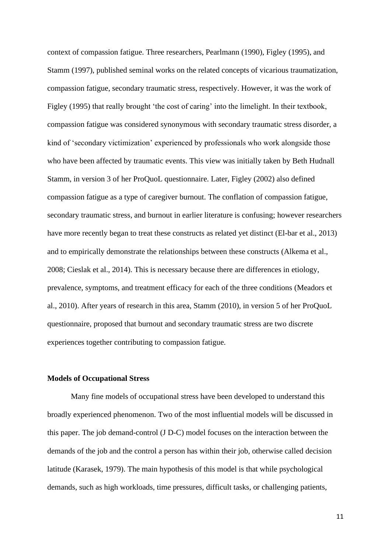context of compassion fatigue. Three researchers, Pearlmann (1990), Figley (1995), and Stamm (1997), published seminal works on the related concepts of vicarious traumatization, compassion fatigue, secondary traumatic stress, respectively. However, it was the work of Figley (1995) that really brought 'the cost of caring' into the limelight. In their textbook, compassion fatigue was considered synonymous with secondary traumatic stress disorder, a kind of 'secondary victimization' experienced by professionals who work alongside those who have been affected by traumatic events. This view was initially taken by Beth Hudnall Stamm, in version 3 of her ProQuoL questionnaire. Later, Figley (2002) also defined compassion fatigue as a type of caregiver burnout. The conflation of compassion fatigue, secondary traumatic stress, and burnout in earlier literature is confusing; however researchers have more recently began to treat these constructs as related yet distinct (El-bar et al., 2013) and to empirically demonstrate the relationships between these constructs (Alkema et al., 2008; Cieslak et al., 2014). This is necessary because there are differences in etiology, prevalence, symptoms, and treatment efficacy for each of the three conditions (Meadors et al., 2010). After years of research in this area, Stamm (2010), in version 5 of her ProQuoL questionnaire, proposed that burnout and secondary traumatic stress are two discrete experiences together contributing to compassion fatigue.

## **Models of Occupational Stress**

Many fine models of occupational stress have been developed to understand this broadly experienced phenomenon. Two of the most influential models will be discussed in this paper. The job demand-control (J D-C) model focuses on the interaction between the demands of the job and the control a person has within their job, otherwise called decision latitude (Karasek, 1979). The main hypothesis of this model is that while psychological demands, such as high workloads, time pressures, difficult tasks, or challenging patients,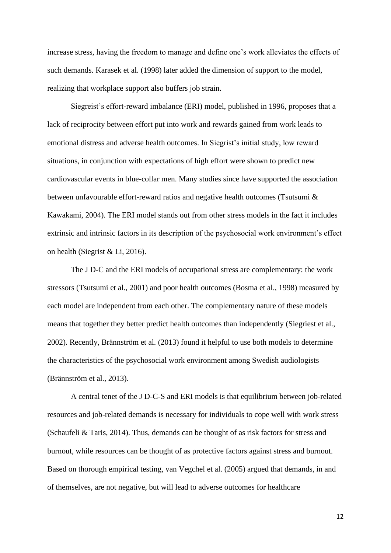increase stress, having the freedom to manage and define one's work alleviates the effects of such demands. Karasek et al. (1998) later added the dimension of support to the model, realizing that workplace support also buffers job strain.

Siegreist's effort-reward imbalance (ERI) model, published in 1996, proposes that a lack of reciprocity between effort put into work and rewards gained from work leads to emotional distress and adverse health outcomes. In Siegrist's initial study, low reward situations, in conjunction with expectations of high effort were shown to predict new cardiovascular events in blue-collar men. Many studies since have supported the association between unfavourable effort-reward ratios and negative health outcomes (Tsutsumi & Kawakami, 2004). The ERI model stands out from other stress models in the fact it includes extrinsic and intrinsic factors in its description of the psychosocial work environment's effect on health (Siegrist & Li, 2016).

The J D-C and the ERI models of occupational stress are complementary: the work stressors (Tsutsumi et al., 2001) and poor health outcomes (Bosma et al., 1998) measured by each model are independent from each other. The complementary nature of these models means that together they better predict health outcomes than independently (Siegriest et al., 2002). Recently, Brännström et al. (2013) found it helpful to use both models to determine the characteristics of the psychosocial work environment among Swedish audiologists (Brännström et al., 2013).

A central tenet of the J D-C-S and ERI models is that equilibrium between job-related resources and job-related demands is necessary for individuals to cope well with work stress (Schaufeli & Taris, 2014). Thus, demands can be thought of as risk factors for stress and burnout, while resources can be thought of as protective factors against stress and burnout. Based on thorough empirical testing, van Vegchel et al. (2005) argued that demands, in and of themselves, are not negative, but will lead to adverse outcomes for healthcare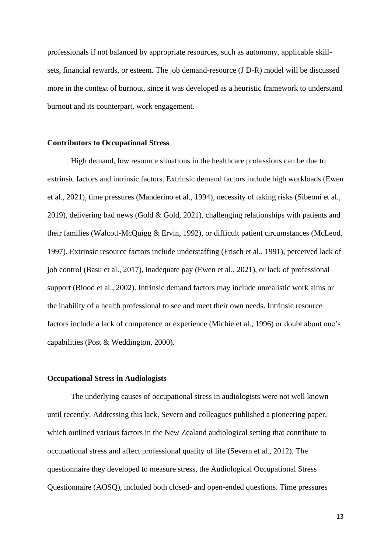professionals if not balanced by appropriate resources, such as autonomy, applicable skillsets, financial rewards, or esteem. The job demand-resource (J D-R) model will be discussed more in the context of burnout, since it was developed as a heuristic framework to understand burnout and its counterpart, work engagement.

#### **Contributors to Occupational Stress**

High demand, low resource situations in the healthcare professions can be due to extrinsic factors and intrinsic factors. Extrinsic demand factors include high workloads (Ewen et al., 2021), time pressures (Manderino et al., 1994), necessity of taking risks (Sibeoni et al., 2019), delivering bad news (Gold & Gold, 2021), challenging relationships with patients and their families (Walcott-McQuigg & Ervin, 1992), or difficult patient circumstances (McLeod, 1997). Extrinsic resource factors include understaffing (Frisch et al., 1991), perceived lack of job control (Basu et al., 2017), inadequate pay (Ewen et al., 2021), or lack of professional support (Blood et al., 2002). Intrinsic demand factors may include unrealistic work aims or the inability of a health professional to see and meet their own needs. Intrinsic resource factors include a lack of competence or experience (Michie et al., 1996) or doubt about one's capabilities (Post & Weddington, 2000).

#### **Occupational Stress in Audiologists**

The underlying causes of occupational stress in audiologists were not well known until recently. Addressing this lack, Severn and colleagues published a pioneering paper, which outlined various factors in the New Zealand audiological setting that contribute to occupational stress and affect professional quality of life (Severn et al., 2012). The questionnaire they developed to measure stress, the Audiological Occupational Stress Questionnaire (AOSQ), included both closed- and open-ended questions. Time pressures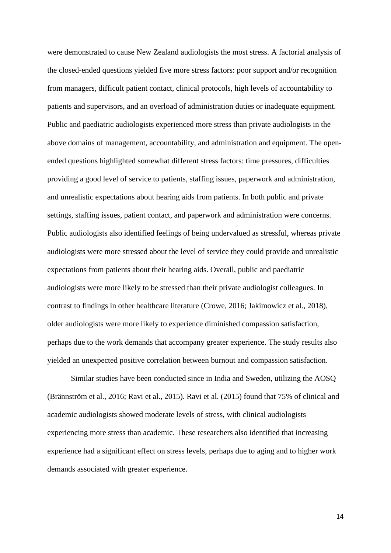were demonstrated to cause New Zealand audiologists the most stress. A factorial analysis of the closed-ended questions yielded five more stress factors: poor support and/or recognition from managers, difficult patient contact, clinical protocols, high levels of accountability to patients and supervisors, and an overload of administration duties or inadequate equipment. Public and paediatric audiologists experienced more stress than private audiologists in the above domains of management, accountability, and administration and equipment. The openended questions highlighted somewhat different stress factors: time pressures, difficulties providing a good level of service to patients, staffing issues, paperwork and administration, and unrealistic expectations about hearing aids from patients. In both public and private settings, staffing issues, patient contact, and paperwork and administration were concerns. Public audiologists also identified feelings of being undervalued as stressful, whereas private audiologists were more stressed about the level of service they could provide and unrealistic expectations from patients about their hearing aids. Overall, public and paediatric audiologists were more likely to be stressed than their private audiologist colleagues. In contrast to findings in other healthcare literature (Crowe, 2016; Jakimowicz et al., 2018), older audiologists were more likely to experience diminished compassion satisfaction, perhaps due to the work demands that accompany greater experience. The study results also yielded an unexpected positive correlation between burnout and compassion satisfaction.

Similar studies have been conducted since in India and Sweden, utilizing the AOSQ (Brännström et al., 2016; Ravi et al., 2015). Ravi et al. (2015) found that 75% of clinical and academic audiologists showed moderate levels of stress, with clinical audiologists experiencing more stress than academic. These researchers also identified that increasing experience had a significant effect on stress levels, perhaps due to aging and to higher work demands associated with greater experience.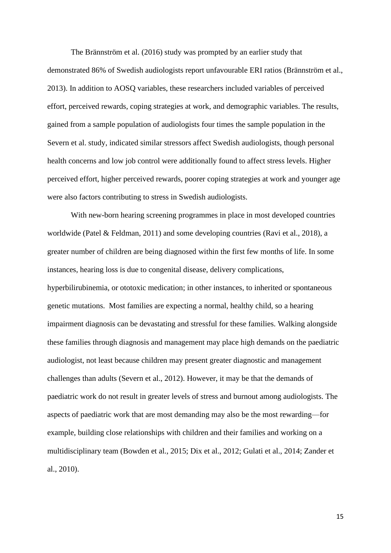The Brännström et al. (2016) study was prompted by an earlier study that demonstrated 86% of Swedish audiologists report unfavourable ERI ratios (Brännström et al., 2013). In addition to AOSQ variables, these researchers included variables of perceived effort, perceived rewards, coping strategies at work, and demographic variables. The results, gained from a sample population of audiologists four times the sample population in the Severn et al. study, indicated similar stressors affect Swedish audiologists, though personal health concerns and low job control were additionally found to affect stress levels. Higher perceived effort, higher perceived rewards, poorer coping strategies at work and younger age were also factors contributing to stress in Swedish audiologists.

With new-born hearing screening programmes in place in most developed countries worldwide (Patel & Feldman, 2011) and some developing countries (Ravi et al., 2018), a greater number of children are being diagnosed within the first few months of life. In some instances, hearing loss is due to congenital disease, delivery complications, hyperbilirubinemia, or ototoxic medication; in other instances, to inherited or spontaneous genetic mutations. Most families are expecting a normal, healthy child, so a hearing impairment diagnosis can be devastating and stressful for these families. Walking alongside these families through diagnosis and management may place high demands on the paediatric audiologist, not least because children may present greater diagnostic and management challenges than adults (Severn et al., 2012). However, it may be that the demands of paediatric work do not result in greater levels of stress and burnout among audiologists. The aspects of paediatric work that are most demanding may also be the most rewarding—for example, building close relationships with children and their families and working on a multidisciplinary team (Bowden et al., 2015; Dix et al., 2012; Gulati et al., 2014; Zander et al., 2010).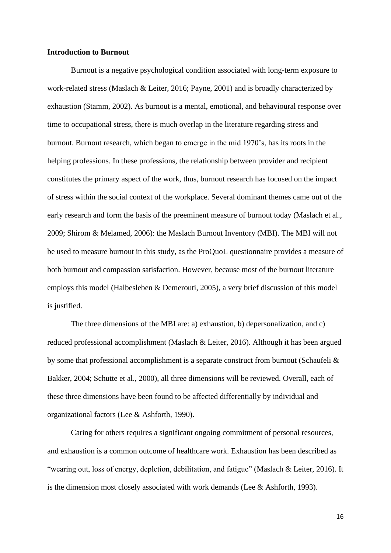#### **Introduction to Burnout**

Burnout is a negative psychological condition associated with long-term exposure to work-related stress (Maslach & Leiter, 2016; Payne, 2001) and is broadly characterized by exhaustion (Stamm, 2002). As burnout is a mental, emotional, and behavioural response over time to occupational stress, there is much overlap in the literature regarding stress and burnout. Burnout research, which began to emerge in the mid 1970's, has its roots in the helping professions. In these professions, the relationship between provider and recipient constitutes the primary aspect of the work, thus, burnout research has focused on the impact of stress within the social context of the workplace. Several dominant themes came out of the early research and form the basis of the preeminent measure of burnout today (Maslach et al., 2009; Shirom & Melamed, 2006): the Maslach Burnout Inventory (MBI). The MBI will not be used to measure burnout in this study, as the ProQuoL questionnaire provides a measure of both burnout and compassion satisfaction. However, because most of the burnout literature employs this model (Halbesleben & Demerouti, 2005), a very brief discussion of this model is justified.

The three dimensions of the MBI are: a) exhaustion, b) depersonalization, and c) reduced professional accomplishment (Maslach & Leiter, 2016). Although it has been argued by some that professional accomplishment is a separate construct from burnout (Schaufeli & Bakker, 2004; Schutte et al., 2000), all three dimensions will be reviewed. Overall, each of these three dimensions have been found to be affected differentially by individual and organizational factors (Lee & Ashforth, 1990).

Caring for others requires a significant ongoing commitment of personal resources, and exhaustion is a common outcome of healthcare work. Exhaustion has been described as "wearing out, loss of energy, depletion, debilitation, and fatigue" (Maslach & Leiter, 2016). It is the dimension most closely associated with work demands (Lee & Ashforth, 1993).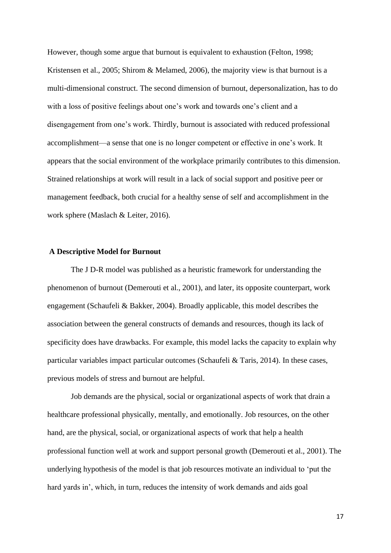However, though some argue that burnout is equivalent to exhaustion (Felton, 1998; Kristensen et al., 2005; Shirom & Melamed, 2006), the majority view is that burnout is a multi-dimensional construct. The second dimension of burnout, depersonalization, has to do with a loss of positive feelings about one's work and towards one's client and a disengagement from one's work. Thirdly, burnout is associated with reduced professional accomplishment—a sense that one is no longer competent or effective in one's work. It appears that the social environment of the workplace primarily contributes to this dimension. Strained relationships at work will result in a lack of social support and positive peer or management feedback, both crucial for a healthy sense of self and accomplishment in the work sphere (Maslach & Leiter, 2016).

#### **A Descriptive Model for Burnout**

The J D-R model was published as a heuristic framework for understanding the phenomenon of burnout (Demerouti et al., 2001), and later, its opposite counterpart, work engagement (Schaufeli & Bakker, 2004). Broadly applicable, this model describes the association between the general constructs of demands and resources, though its lack of specificity does have drawbacks. For example, this model lacks the capacity to explain why particular variables impact particular outcomes (Schaufeli & Taris, 2014). In these cases, previous models of stress and burnout are helpful.

Job demands are the physical, social or organizational aspects of work that drain a healthcare professional physically, mentally, and emotionally. Job resources, on the other hand, are the physical, social, or organizational aspects of work that help a health professional function well at work and support personal growth (Demerouti et al., 2001). The underlying hypothesis of the model is that job resources motivate an individual to 'put the hard yards in', which, in turn, reduces the intensity of work demands and aids goal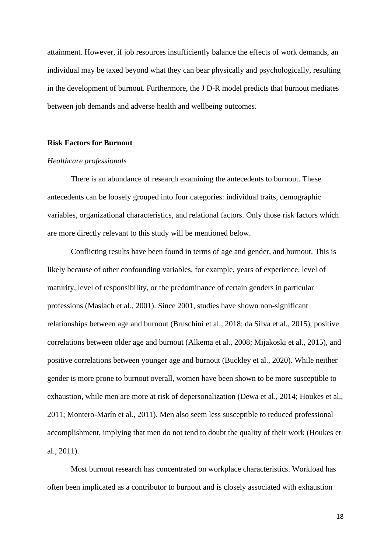attainment. However, if job resources insufficiently balance the effects of work demands, an individual may be taxed beyond what they can bear physically and psychologically, resulting in the development of burnout. Furthermore, the J D-R model predicts that burnout mediates between job demands and adverse health and wellbeing outcomes.

#### **Risk Factors for Burnout**

#### *Healthcare professionals*

There is an abundance of research examining the antecedents to burnout. These antecedents can be loosely grouped into four categories: individual traits, demographic variables, organizational characteristics, and relational factors. Only those risk factors which are more directly relevant to this study will be mentioned below.

Conflicting results have been found in terms of age and gender, and burnout. This is likely because of other confounding variables, for example, years of experience, level of maturity, level of responsibility, or the predominance of certain genders in particular professions (Maslach et al., 2001). Since 2001, studies have shown non-significant relationships between age and burnout (Bruschini et al., 2018; da Silva et al., 2015), positive correlations between older age and burnout (Alkema et al., 2008; Mijakoski et al., 2015), and positive correlations between younger age and burnout (Buckley et al., 2020). While neither gender is more prone to burnout overall, women have been shown to be more susceptible to exhaustion, while men are more at risk of depersonalization (Dewa et al., 2014; Houkes et al., 2011; Montero-Marín et al., 2011). Men also seem less susceptible to reduced professional accomplishment, implying that men do not tend to doubt the quality of their work (Houkes et al., 2011).

Most burnout research has concentrated on workplace characteristics. Workload has often been implicated as a contributor to burnout and is closely associated with exhaustion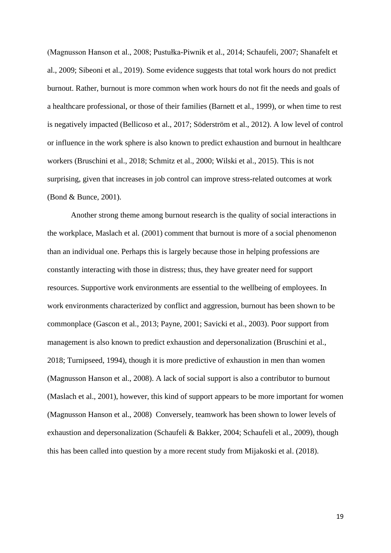(Magnusson Hanson et al., 2008; Pustułka-Piwnik et al., 2014; Schaufeli, 2007; Shanafelt et al., 2009; Sibeoni et al., 2019). Some evidence suggests that total work hours do not predict burnout. Rather, burnout is more common when work hours do not fit the needs and goals of a healthcare professional, or those of their families (Barnett et al., 1999), or when time to rest is negatively impacted (Bellicoso et al., 2017; Söderström et al., 2012). A low level of control or influence in the work sphere is also known to predict exhaustion and burnout in healthcare workers (Bruschini et al., 2018; Schmitz et al., 2000; Wilski et al., 2015). This is not surprising, given that increases in job control can improve stress-related outcomes at work (Bond & Bunce, 2001).

Another strong theme among burnout research is the quality of social interactions in the workplace, Maslach et al. (2001) comment that burnout is more of a social phenomenon than an individual one. Perhaps this is largely because those in helping professions are constantly interacting with those in distress; thus, they have greater need for support resources. Supportive work environments are essential to the wellbeing of employees. In work environments characterized by conflict and aggression, burnout has been shown to be commonplace (Gascon et al., 2013; Payne, 2001; Savicki et al., 2003). Poor support from management is also known to predict exhaustion and depersonalization (Bruschini et al., 2018; Turnipseed, 1994), though it is more predictive of exhaustion in men than women (Magnusson Hanson et al., 2008). A lack of social support is also a contributor to burnout (Maslach et al., 2001), however, this kind of support appears to be more important for women (Magnusson Hanson et al., 2008) Conversely, teamwork has been shown to lower levels of exhaustion and depersonalization (Schaufeli & Bakker, 2004; Schaufeli et al., 2009), though this has been called into question by a more recent study from Mijakoski et al. (2018).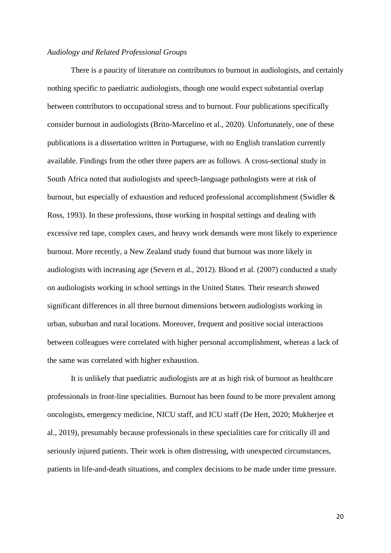## *Audiology and Related Professional Groups*

There is a paucity of literature on contributors to burnout in audiologists, and certainly nothing specific to paediatric audiologists, though one would expect substantial overlap between contributors to occupational stress and to burnout. Four publications specifically consider burnout in audiologists (Brito-Marcelino et al., 2020). Unfortunately, one of these publications is a dissertation written in Portuguese, with no English translation currently available. Findings from the other three papers are as follows. A cross-sectional study in South Africa noted that audiologists and speech-language pathologists were at risk of burnout, but especially of exhaustion and reduced professional accomplishment (Swidler & Ross, 1993). In these professions, those working in hospital settings and dealing with excessive red tape, complex cases, and heavy work demands were most likely to experience burnout. More recently, a New Zealand study found that burnout was more likely in audiologists with increasing age (Severn et al., 2012). Blood et al. (2007) conducted a study on audiologists working in school settings in the United States. Their research showed significant differences in all three burnout dimensions between audiologists working in urban, suburban and rural locations. Moreover, frequent and positive social interactions between colleagues were correlated with higher personal accomplishment, whereas a lack of the same was correlated with higher exhaustion.

It is unlikely that paediatric audiologists are at as high risk of burnout as healthcare professionals in front-line specialities. Burnout has been found to be more prevalent among oncologists, emergency medicine, NICU staff, and ICU staff (De Hert, 2020; Mukherjee et al., 2019), presumably because professionals in these specialities care for critically ill and seriously injured patients. Their work is often distressing, with unexpected circumstances, patients in life-and-death situations, and complex decisions to be made under time pressure.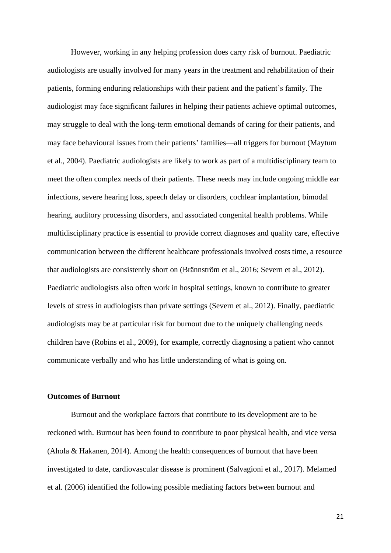However, working in any helping profession does carry risk of burnout. Paediatric audiologists are usually involved for many years in the treatment and rehabilitation of their patients, forming enduring relationships with their patient and the patient's family. The audiologist may face significant failures in helping their patients achieve optimal outcomes, may struggle to deal with the long-term emotional demands of caring for their patients, and may face behavioural issues from their patients' families—all triggers for burnout (Maytum et al., 2004). Paediatric audiologists are likely to work as part of a multidisciplinary team to meet the often complex needs of their patients. These needs may include ongoing middle ear infections, severe hearing loss, speech delay or disorders, cochlear implantation, bimodal hearing, auditory processing disorders, and associated congenital health problems. While multidisciplinary practice is essential to provide correct diagnoses and quality care, effective communication between the different healthcare professionals involved costs time, a resource that audiologists are consistently short on (Brännström et al., 2016; Severn et al., 2012). Paediatric audiologists also often work in hospital settings, known to contribute to greater levels of stress in audiologists than private settings (Severn et al., 2012). Finally, paediatric audiologists may be at particular risk for burnout due to the uniquely challenging needs children have (Robins et al., 2009), for example, correctly diagnosing a patient who cannot communicate verbally and who has little understanding of what is going on.

#### **Outcomes of Burnout**

Burnout and the workplace factors that contribute to its development are to be reckoned with. Burnout has been found to contribute to poor physical health, and vice versa (Ahola & Hakanen, 2014). Among the health consequences of burnout that have been investigated to date, cardiovascular disease is prominent (Salvagioni et al., 2017). Melamed et al. (2006) identified the following possible mediating factors between burnout and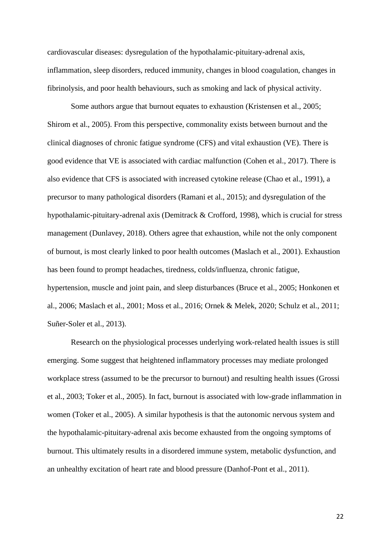cardiovascular diseases: dysregulation of the hypothalamic-pituitary-adrenal axis, inflammation, sleep disorders, reduced immunity, changes in blood coagulation, changes in fibrinolysis, and poor health behaviours, such as smoking and lack of physical activity.

Some authors argue that burnout equates to exhaustion (Kristensen et al., 2005; Shirom et al., 2005). From this perspective, commonality exists between burnout and the clinical diagnoses of chronic fatigue syndrome (CFS) and vital exhaustion (VE). There is good evidence that VE is associated with cardiac malfunction (Cohen et al., 2017). There is also evidence that CFS is associated with increased cytokine release (Chao et al., 1991), a precursor to many pathological disorders (Ramani et al., 2015); and dysregulation of the hypothalamic-pituitary-adrenal axis (Demitrack & Crofford, 1998), which is crucial for stress management (Dunlavey, 2018). Others agree that exhaustion, while not the only component of burnout, is most clearly linked to poor health outcomes (Maslach et al., 2001). Exhaustion has been found to prompt headaches, tiredness, colds/influenza, chronic fatigue, hypertension, muscle and joint pain, and sleep disturbances (Bruce et al., 2005; Honkonen et al., 2006; Maslach et al., 2001; Moss et al., 2016; Ornek & Melek, 2020; Schulz et al., 2011; Suñer-Soler et al., 2013).

Research on the physiological processes underlying work-related health issues is still emerging. Some suggest that heightened inflammatory processes may mediate prolonged workplace stress (assumed to be the precursor to burnout) and resulting health issues (Grossi et al., 2003; Toker et al., 2005). In fact, burnout is associated with low-grade inflammation in women (Toker et al., 2005). A similar hypothesis is that the autonomic nervous system and the hypothalamic-pituitary-adrenal axis become exhausted from the ongoing symptoms of burnout. This ultimately results in a disordered immune system, metabolic dysfunction, and an unhealthy excitation of heart rate and blood pressure (Danhof-Pont et al., 2011).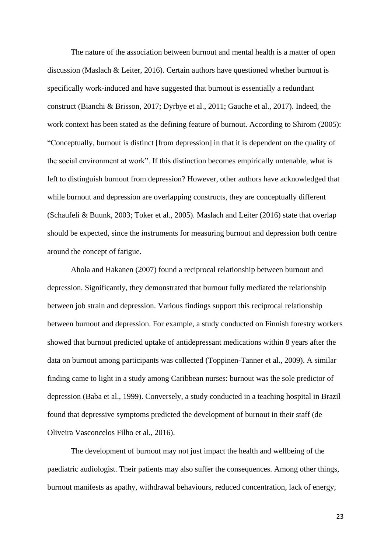The nature of the association between burnout and mental health is a matter of open discussion (Maslach & Leiter, 2016). Certain authors have questioned whether burnout is specifically work-induced and have suggested that burnout is essentially a redundant construct (Bianchi & Brisson, 2017; Dyrbye et al., 2011; Gauche et al., 2017). Indeed, the work context has been stated as the defining feature of burnout. According to Shirom (2005): "Conceptually, burnout is distinct [from depression] in that it is dependent on the quality of the social environment at work". If this distinction becomes empirically untenable, what is left to distinguish burnout from depression? However, other authors have acknowledged that while burnout and depression are overlapping constructs, they are conceptually different (Schaufeli & Buunk, 2003; Toker et al., 2005). Maslach and Leiter (2016) state that overlap should be expected, since the instruments for measuring burnout and depression both centre around the concept of fatigue.

Ahola and Hakanen (2007) found a reciprocal relationship between burnout and depression. Significantly, they demonstrated that burnout fully mediated the relationship between job strain and depression. Various findings support this reciprocal relationship between burnout and depression. For example, a study conducted on Finnish forestry workers showed that burnout predicted uptake of antidepressant medications within 8 years after the data on burnout among participants was collected (Toppinen-Tanner et al., 2009). A similar finding came to light in a study among Caribbean nurses: burnout was the sole predictor of depression (Baba et al., 1999). Conversely, a study conducted in a teaching hospital in Brazil found that depressive symptoms predicted the development of burnout in their staff (de Oliveira Vasconcelos Filho et al., 2016).

The development of burnout may not just impact the health and wellbeing of the paediatric audiologist. Their patients may also suffer the consequences. Among other things, burnout manifests as apathy, withdrawal behaviours, reduced concentration, lack of energy,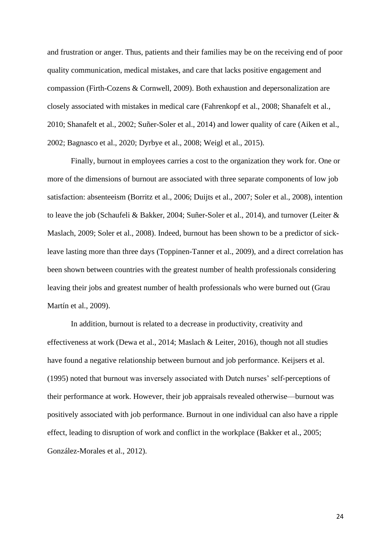and frustration or anger. Thus, patients and their families may be on the receiving end of poor quality communication, medical mistakes, and care that lacks positive engagement and compassion (Firth-Cozens & Cornwell, 2009). Both exhaustion and depersonalization are closely associated with mistakes in medical care (Fahrenkopf et al., 2008; Shanafelt et al., 2010; Shanafelt et al., 2002; Suñer-Soler et al., 2014) and lower quality of care (Aiken et al., 2002; Bagnasco et al., 2020; Dyrbye et al., 2008; Weigl et al., 2015).

Finally, burnout in employees carries a cost to the organization they work for. One or more of the dimensions of burnout are associated with three separate components of low job satisfaction: absenteeism (Borritz et al., 2006; Duijts et al., 2007; Soler et al., 2008), intention to leave the job (Schaufeli & Bakker, 2004; Suñer-Soler et al., 2014), and turnover (Leiter & Maslach, 2009; Soler et al., 2008). Indeed, burnout has been shown to be a predictor of sickleave lasting more than three days (Toppinen-Tanner et al., 2009), and a direct correlation has been shown between countries with the greatest number of health professionals considering leaving their jobs and greatest number of health professionals who were burned out (Grau Martín et al., 2009).

In addition, burnout is related to a decrease in productivity, creativity and effectiveness at work (Dewa et al., 2014; Maslach & Leiter, 2016), though not all studies have found a negative relationship between burnout and job performance. Keijsers et al. (1995) noted that burnout was inversely associated with Dutch nurses' self-perceptions of their performance at work. However, their job appraisals revealed otherwise—burnout was positively associated with job performance. Burnout in one individual can also have a ripple effect, leading to disruption of work and conflict in the workplace (Bakker et al., 2005; González-Morales et al., 2012).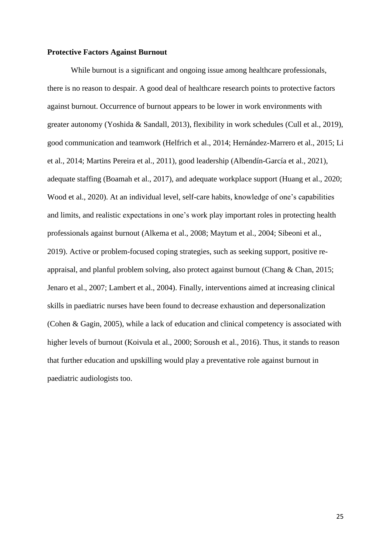#### **Protective Factors Against Burnout**

While burnout is a significant and ongoing issue among healthcare professionals, there is no reason to despair. A good deal of healthcare research points to protective factors against burnout. Occurrence of burnout appears to be lower in work environments with greater autonomy (Yoshida & Sandall, 2013), flexibility in work schedules (Cull et al., 2019), good communication and teamwork (Helfrich et al., 2014; Hernández-Marrero et al., 2015; Li et al., 2014; Martins Pereira et al., 2011), good leadership (Albendín-García et al., 2021), adequate staffing (Boamah et al., 2017), and adequate workplace support (Huang et al., 2020; Wood et al., 2020). At an individual level, self-care habits, knowledge of one's capabilities and limits, and realistic expectations in one's work play important roles in protecting health professionals against burnout (Alkema et al., 2008; Maytum et al., 2004; Sibeoni et al., 2019). Active or problem-focused coping strategies, such as seeking support, positive reappraisal, and planful problem solving, also protect against burnout (Chang & Chan, 2015; Jenaro et al., 2007; Lambert et al., 2004). Finally, interventions aimed at increasing clinical skills in paediatric nurses have been found to decrease exhaustion and depersonalization (Cohen & Gagin, 2005), while a lack of education and clinical competency is associated with higher levels of burnout (Koivula et al., 2000; Soroush et al., 2016). Thus, it stands to reason that further education and upskilling would play a preventative role against burnout in paediatric audiologists too.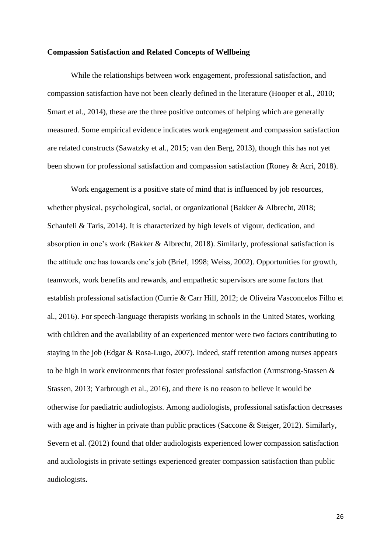#### **Compassion Satisfaction and Related Concepts of Wellbeing**

While the relationships between work engagement, professional satisfaction, and compassion satisfaction have not been clearly defined in the literature (Hooper et al., 2010; Smart et al., 2014), these are the three positive outcomes of helping which are generally measured. Some empirical evidence indicates work engagement and compassion satisfaction are related constructs (Sawatzky et al., 2015; van den Berg, 2013), though this has not yet been shown for professional satisfaction and compassion satisfaction (Roney & Acri, 2018).

Work engagement is a positive state of mind that is influenced by job resources, whether physical, psychological, social, or organizational (Bakker & Albrecht, 2018; Schaufeli & Taris, 2014). It is characterized by high levels of vigour, dedication, and absorption in one's work (Bakker & Albrecht, 2018). Similarly, professional satisfaction is the attitude one has towards one's job (Brief, 1998; Weiss, 2002). Opportunities for growth, teamwork, work benefits and rewards, and empathetic supervisors are some factors that establish professional satisfaction (Currie & Carr Hill, 2012; de Oliveira Vasconcelos Filho et al., 2016). For speech-language therapists working in schools in the United States, working with children and the availability of an experienced mentor were two factors contributing to staying in the job (Edgar & Rosa-Lugo, 2007). Indeed, staff retention among nurses appears to be high in work environments that foster professional satisfaction (Armstrong-Stassen & Stassen, 2013; Yarbrough et al., 2016), and there is no reason to believe it would be otherwise for paediatric audiologists. Among audiologists, professional satisfaction decreases with age and is higher in private than public practices (Saccone & Steiger, 2012). Similarly, Severn et al. (2012) found that older audiologists experienced lower compassion satisfaction and audiologists in private settings experienced greater compassion satisfaction than public audiologists**.**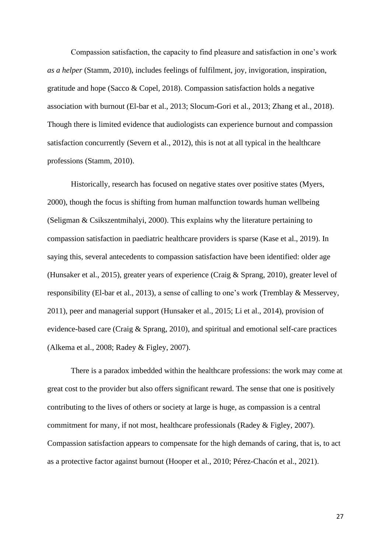Compassion satisfaction, the capacity to find pleasure and satisfaction in one's work *as a helper* (Stamm, 2010), includes feelings of fulfilment, joy, invigoration, inspiration, gratitude and hope (Sacco & Copel, 2018). Compassion satisfaction holds a negative association with burnout (El-bar et al., 2013; Slocum-Gori et al., 2013; Zhang et al., 2018). Though there is limited evidence that audiologists can experience burnout and compassion satisfaction concurrently (Severn et al., 2012), this is not at all typical in the healthcare professions (Stamm, 2010).

Historically, research has focused on negative states over positive states (Myers, 2000), though the focus is shifting from human malfunction towards human wellbeing (Seligman & Csikszentmihalyi, 2000). This explains why the literature pertaining to compassion satisfaction in paediatric healthcare providers is sparse (Kase et al., 2019). In saying this, several antecedents to compassion satisfaction have been identified: older age (Hunsaker et al., 2015), greater years of experience (Craig & Sprang, 2010), greater level of responsibility (El-bar et al., 2013), a sense of calling to one's work (Tremblay & Messervey, 2011), peer and managerial support (Hunsaker et al., 2015; Li et al., 2014), provision of evidence-based care (Craig & Sprang, 2010), and spiritual and emotional self-care practices (Alkema et al., 2008; Radey & Figley, 2007).

There is a paradox imbedded within the healthcare professions: the work may come at great cost to the provider but also offers significant reward. The sense that one is positively contributing to the lives of others or society at large is huge, as compassion is a central commitment for many, if not most, healthcare professionals (Radey & Figley, 2007). Compassion satisfaction appears to compensate for the high demands of caring, that is, to act as a protective factor against burnout (Hooper et al., 2010; Pérez-Chacón et al., 2021).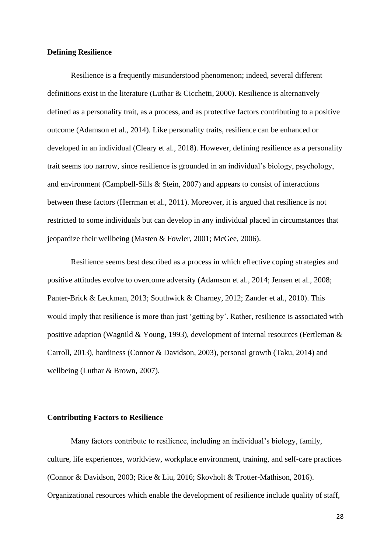#### **Defining Resilience**

Resilience is a frequently misunderstood phenomenon; indeed, several different definitions exist in the literature (Luthar & Cicchetti, 2000). Resilience is alternatively defined as a personality trait, as a process, and as protective factors contributing to a positive outcome (Adamson et al., 2014). Like personality traits, resilience can be enhanced or developed in an individual (Cleary et al., 2018). However, defining resilience as a personality trait seems too narrow, since resilience is grounded in an individual's biology, psychology, and environment (Campbell-Sills & Stein, 2007) and appears to consist of interactions between these factors (Herrman et al., 2011). Moreover, it is argued that resilience is not restricted to some individuals but can develop in any individual placed in circumstances that jeopardize their wellbeing (Masten & Fowler, 2001; McGee, 2006).

Resilience seems best described as a process in which effective coping strategies and positive attitudes evolve to overcome adversity (Adamson et al., 2014; Jensen et al., 2008; Panter-Brick & Leckman, 2013; Southwick & Charney, 2012; Zander et al., 2010). This would imply that resilience is more than just 'getting by'. Rather, resilience is associated with positive adaption (Wagnild & Young, 1993), development of internal resources (Fertleman & Carroll, 2013), hardiness (Connor & Davidson, 2003), personal growth (Taku, 2014) and wellbeing (Luthar & Brown, 2007).

#### **Contributing Factors to Resilience**

Many factors contribute to resilience, including an individual's biology, family, culture, life experiences, worldview, workplace environment, training, and self-care practices (Connor & Davidson, 2003; Rice & Liu, 2016; Skovholt & Trotter-Mathison, 2016). Organizational resources which enable the development of resilience include quality of staff,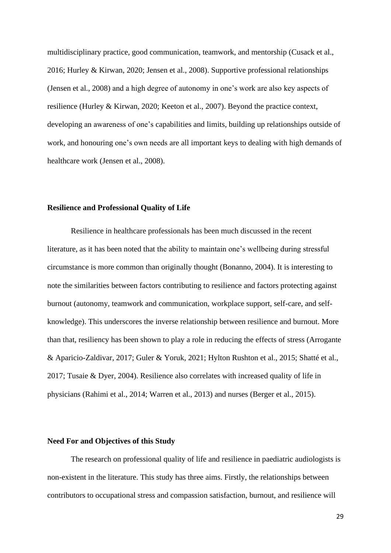multidisciplinary practice, good communication, teamwork, and mentorship (Cusack et al., 2016; Hurley & Kirwan, 2020; Jensen et al., 2008). Supportive professional relationships (Jensen et al., 2008) and a high degree of autonomy in one's work are also key aspects of resilience (Hurley & Kirwan, 2020; Keeton et al., 2007). Beyond the practice context, developing an awareness of one's capabilities and limits, building up relationships outside of work, and honouring one's own needs are all important keys to dealing with high demands of healthcare work (Jensen et al., 2008).

#### **Resilience and Professional Quality of Life**

Resilience in healthcare professionals has been much discussed in the recent literature, as it has been noted that the ability to maintain one's wellbeing during stressful circumstance is more common than originally thought (Bonanno, 2004). It is interesting to note the similarities between factors contributing to resilience and factors protecting against burnout (autonomy, teamwork and communication, workplace support, self-care, and selfknowledge). This underscores the inverse relationship between resilience and burnout. More than that, resiliency has been shown to play a role in reducing the effects of stress (Arrogante & Aparicio-Zaldivar, 2017; Guler & Yoruk, 2021; Hylton Rushton et al., 2015; Shatté et al., 2017; Tusaie & Dyer, 2004). Resilience also correlates with increased quality of life in physicians (Rahimi et al., 2014; Warren et al., 2013) and nurses (Berger et al., 2015).

## **Need For and Objectives of this Study**

The research on professional quality of life and resilience in paediatric audiologists is non-existent in the literature. This study has three aims. Firstly, the relationships between contributors to occupational stress and compassion satisfaction, burnout, and resilience will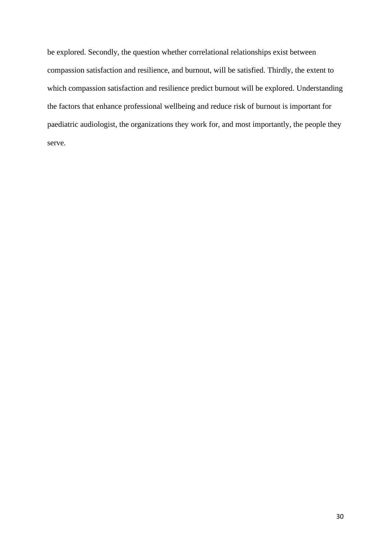be explored. Secondly, the question whether correlational relationships exist between compassion satisfaction and resilience, and burnout, will be satisfied. Thirdly, the extent to which compassion satisfaction and resilience predict burnout will be explored. Understanding the factors that enhance professional wellbeing and reduce risk of burnout is important for paediatric audiologist, the organizations they work for, and most importantly, the people they serve.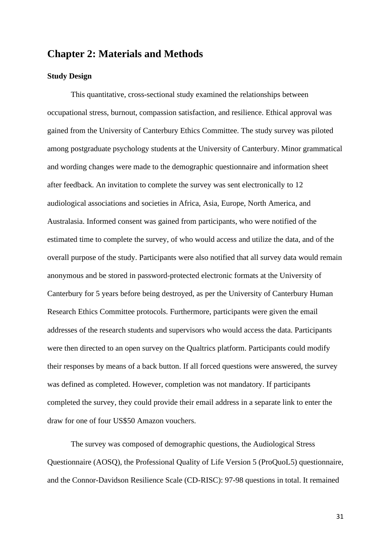# **Chapter 2: Materials and Methods**

## **Study Design**

This quantitative, cross-sectional study examined the relationships between occupational stress, burnout, compassion satisfaction, and resilience. Ethical approval was gained from the University of Canterbury Ethics Committee. The study survey was piloted among postgraduate psychology students at the University of Canterbury. Minor grammatical and wording changes were made to the demographic questionnaire and information sheet after feedback. An invitation to complete the survey was sent electronically to 12 audiological associations and societies in Africa, Asia, Europe, North America, and Australasia. Informed consent was gained from participants, who were notified of the estimated time to complete the survey, of who would access and utilize the data, and of the overall purpose of the study. Participants were also notified that all survey data would remain anonymous and be stored in password-protected electronic formats at the University of Canterbury for 5 years before being destroyed, as per the University of Canterbury Human Research Ethics Committee protocols. Furthermore, participants were given the email addresses of the research students and supervisors who would access the data. Participants were then directed to an open survey on the Qualtrics platform. Participants could modify their responses by means of a back button. If all forced questions were answered, the survey was defined as completed. However, completion was not mandatory. If participants completed the survey, they could provide their email address in a separate link to enter the draw for one of four US\$50 Amazon vouchers.

The survey was composed of demographic questions, the Audiological Stress Questionnaire (AOSQ), the Professional Quality of Life Version 5 (ProQuoL5) questionnaire, and the Connor-Davidson Resilience Scale (CD-RISC): 97-98 questions in total. It remained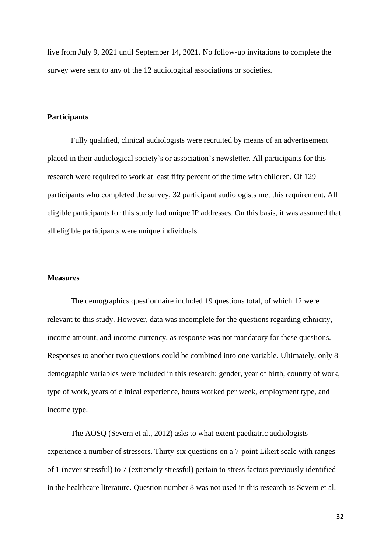live from July 9, 2021 until September 14, 2021. No follow-up invitations to complete the survey were sent to any of the 12 audiological associations or societies.

## **Participants**

Fully qualified, clinical audiologists were recruited by means of an advertisement placed in their audiological society's or association's newsletter. All participants for this research were required to work at least fifty percent of the time with children. Of 129 participants who completed the survey, 32 participant audiologists met this requirement. All eligible participants for this study had unique IP addresses. On this basis, it was assumed that all eligible participants were unique individuals.

#### **Measures**

The demographics questionnaire included 19 questions total, of which 12 were relevant to this study. However, data was incomplete for the questions regarding ethnicity, income amount, and income currency, as response was not mandatory for these questions. Responses to another two questions could be combined into one variable. Ultimately, only 8 demographic variables were included in this research: gender, year of birth, country of work, type of work, years of clinical experience, hours worked per week, employment type, and income type.

The AOSQ (Severn et al., 2012) asks to what extent paediatric audiologists experience a number of stressors. Thirty-six questions on a 7-point Likert scale with ranges of 1 (never stressful) to 7 (extremely stressful) pertain to stress factors previously identified in the healthcare literature. Question number 8 was not used in this research as Severn et al.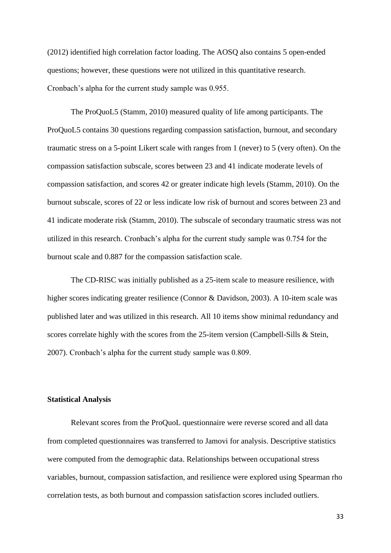(2012) identified high correlation factor loading. The AOSQ also contains 5 open-ended questions; however, these questions were not utilized in this quantitative research. Cronbach's alpha for the current study sample was 0.955.

The ProQuoL5 (Stamm, 2010) measured quality of life among participants. The ProQuoL5 contains 30 questions regarding compassion satisfaction, burnout, and secondary traumatic stress on a 5-point Likert scale with ranges from 1 (never) to 5 (very often). On the compassion satisfaction subscale, scores between 23 and 41 indicate moderate levels of compassion satisfaction, and scores 42 or greater indicate high levels (Stamm, 2010). On the burnout subscale, scores of 22 or less indicate low risk of burnout and scores between 23 and 41 indicate moderate risk (Stamm, 2010). The subscale of secondary traumatic stress was not utilized in this research. Cronbach's alpha for the current study sample was 0.754 for the burnout scale and 0.887 for the compassion satisfaction scale.

The CD-RISC was initially published as a 25-item scale to measure resilience, with higher scores indicating greater resilience (Connor & Davidson, 2003). A 10-item scale was published later and was utilized in this research. All 10 items show minimal redundancy and scores correlate highly with the scores from the 25-item version (Campbell-Sills & Stein, 2007). Cronbach's alpha for the current study sample was 0.809.

## **Statistical Analysis**

Relevant scores from the ProQuoL questionnaire were reverse scored and all data from completed questionnaires was transferred to Jamovi for analysis. Descriptive statistics were computed from the demographic data. Relationships between occupational stress variables, burnout, compassion satisfaction, and resilience were explored using Spearman rho correlation tests, as both burnout and compassion satisfaction scores included outliers.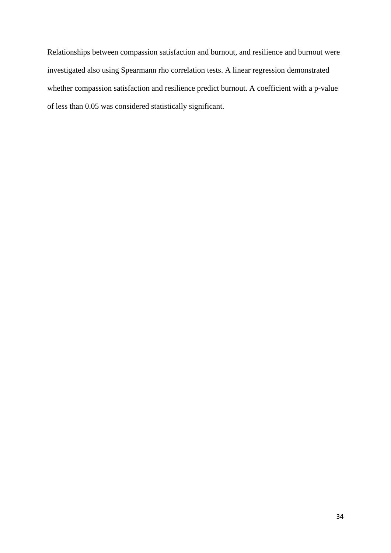Relationships between compassion satisfaction and burnout, and resilience and burnout were investigated also using Spearmann rho correlation tests. A linear regression demonstrated whether compassion satisfaction and resilience predict burnout. A coefficient with a p-value of less than 0.05 was considered statistically significant.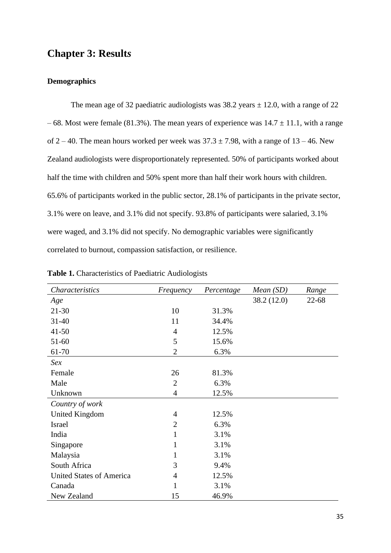# **Chapter 3: Result***s*

## **Demographics**

The mean age of 32 paediatric audiologists was  $38.2$  years  $\pm$  12.0, with a range of 22 – 68. Most were female (81.3%). The mean years of experience was  $14.7 \pm 11.1$ , with a range of  $2 - 40$ . The mean hours worked per week was  $37.3 \pm 7.98$ , with a range of  $13 - 46$ . New Zealand audiologists were disproportionately represented. 50% of participants worked about half the time with children and 50% spent more than half their work hours with children. 65.6% of participants worked in the public sector, 28.1% of participants in the private sector, 3.1% were on leave, and 3.1% did not specify. 93.8% of participants were salaried, 3.1% were waged, and 3.1% did not specify. No demographic variables were significantly correlated to burnout, compassion satisfaction, or resilience.

| Characteristics                 | Frequency      | Percentage | Mean(SD)    | Range |
|---------------------------------|----------------|------------|-------------|-------|
| Age                             |                |            | 38.2 (12.0) | 22-68 |
| $21 - 30$                       | 10             | 31.3%      |             |       |
| $31 - 40$                       | 11             | 34.4%      |             |       |
| $41 - 50$                       | $\overline{4}$ | 12.5%      |             |       |
| $51-60$                         | 5              | 15.6%      |             |       |
| 61-70                           | $\overline{2}$ | 6.3%       |             |       |
| Sex                             |                |            |             |       |
| Female                          | 26             | 81.3%      |             |       |
| Male                            | $\overline{2}$ | 6.3%       |             |       |
| Unknown                         | 4              | 12.5%      |             |       |
| Country of work                 |                |            |             |       |
| <b>United Kingdom</b>           | 4              | 12.5%      |             |       |
| <b>Israel</b>                   | $\overline{2}$ | 6.3%       |             |       |
| India                           | $\mathbf{1}$   | 3.1%       |             |       |
| Singapore                       | 1              | 3.1%       |             |       |
| Malaysia                        | 1              | 3.1%       |             |       |
| South Africa                    | 3              | 9.4%       |             |       |
| <b>United States of America</b> | 4              | 12.5%      |             |       |
| Canada                          | 1              | 3.1%       |             |       |
| New Zealand                     | 15             | 46.9%      |             |       |

**Table 1.** Characteristics of Paediatric Audiologists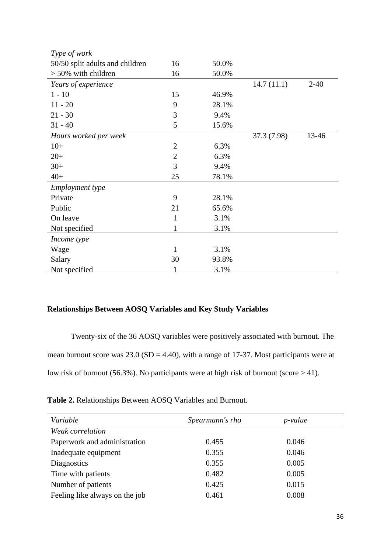| Type of work                    |                |       |             |        |
|---------------------------------|----------------|-------|-------------|--------|
| 50/50 split adults and children | 16             | 50.0% |             |        |
| $> 50\%$ with children          | 16             | 50.0% |             |        |
| Years of experience             |                |       | 14.7(11.1)  | $2-40$ |
| $1 - 10$                        | 15             | 46.9% |             |        |
| $11 - 20$                       | 9              | 28.1% |             |        |
| $21 - 30$                       | 3              | 9.4%  |             |        |
| $31 - 40$                       | 5              | 15.6% |             |        |
| Hours worked per week           |                |       | 37.3 (7.98) | 13-46  |
| $10+$                           | $\overline{2}$ | 6.3%  |             |        |
| $20+$                           | $\overline{2}$ | 6.3%  |             |        |
| $30+$                           | 3              | 9.4%  |             |        |
| $40+$                           | 25             | 78.1% |             |        |
| <b>Employment</b> type          |                |       |             |        |
| Private                         | 9              | 28.1% |             |        |
| Public                          | 21             | 65.6% |             |        |
| On leave                        | 1              | 3.1%  |             |        |
| Not specified                   | 1              | 3.1%  |             |        |
| Income type                     |                |       |             |        |
| Wage                            | 1              | 3.1%  |             |        |
| Salary                          | 30             | 93.8% |             |        |
| Not specified                   | 1              | 3.1%  |             |        |

# **Relationships Between AOSQ Variables and Key Study Variables**

Twenty-six of the 36 AOSQ variables were positively associated with burnout. The mean burnout score was  $23.0$  (SD = 4.40), with a range of 17-37. Most participants were at low risk of burnout (56.3%). No participants were at high risk of burnout (score  $>$  41).

**Table 2.** Relationships Between AOSQ Variables and Burnout.

| Variable                       | Spearmann's rho | p-value |  |
|--------------------------------|-----------------|---------|--|
| Weak correlation               |                 |         |  |
| Paperwork and administration   | 0.455           | 0.046   |  |
| Inadequate equipment           | 0.355           | 0.046   |  |
| <b>Diagnostics</b>             | 0.355           | 0.005   |  |
| Time with patients             | 0.482           | 0.005   |  |
| Number of patients             | 0.425           | 0.015   |  |
| Feeling like always on the job | 0.461           | 0.008   |  |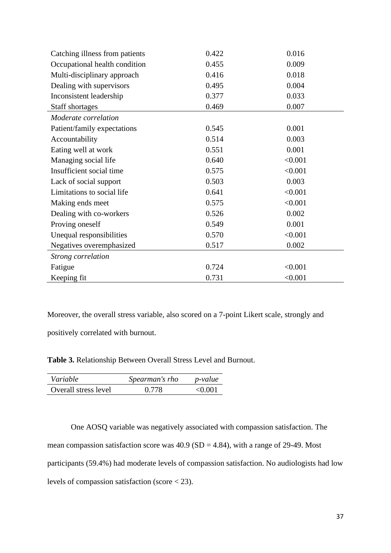| Catching illness from patients | 0.422 | 0.016   |
|--------------------------------|-------|---------|
| Occupational health condition  | 0.455 | 0.009   |
| Multi-disciplinary approach    | 0.416 | 0.018   |
| Dealing with supervisors       | 0.495 | 0.004   |
| Inconsistent leadership        | 0.377 | 0.033   |
| Staff shortages                | 0.469 | 0.007   |
| Moderate correlation           |       |         |
| Patient/family expectations    | 0.545 | 0.001   |
| Accountability                 | 0.514 | 0.003   |
| Eating well at work            | 0.551 | 0.001   |
| Managing social life           | 0.640 | < 0.001 |
| Insufficient social time       | 0.575 | < 0.001 |
| Lack of social support         | 0.503 | 0.003   |
| Limitations to social life     | 0.641 | < 0.001 |
| Making ends meet               | 0.575 | < 0.001 |
| Dealing with co-workers        | 0.526 | 0.002   |
| Proving oneself                | 0.549 | 0.001   |
| Unequal responsibilities       | 0.570 | < 0.001 |
| Negatives overemphasized       | 0.517 | 0.002   |
| <b>Strong correlation</b>      |       |         |
| Fatigue                        | 0.724 | < 0.001 |
| Keeping fit                    | 0.731 | < 0.001 |

Moreover, the overall stress variable, also scored on a 7-point Likert scale, strongly and positively correlated with burnout.

**Table 3.** Relationship Between Overall Stress Level and Burnout.

| Variable             | Spearman's rho | <i>p</i> -value |
|----------------------|----------------|-----------------|
| Overall stress level | 0.778          | $<$ 0.001       |

One AOSQ variable was negatively associated with compassion satisfaction. The mean compassion satisfaction score was  $40.9$  (SD = 4.84), with a range of 29-49. Most participants (59.4%) had moderate levels of compassion satisfaction. No audiologists had low levels of compassion satisfaction (score < 23).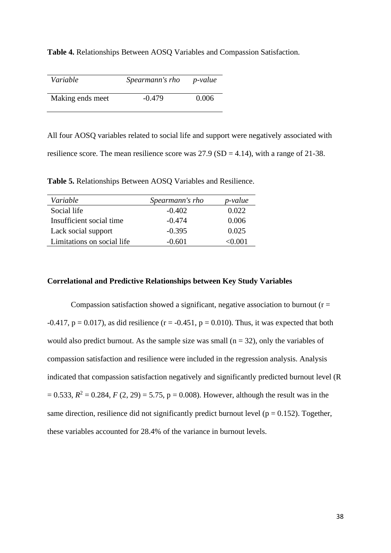**Table 4.** Relationships Between AOSQ Variables and Compassion Satisfaction.

| Variable         | Spearmann's rho | <i>p</i> -value |
|------------------|-----------------|-----------------|
| Making ends meet | $-0.479$        | 0.006           |

All four AOSQ variables related to social life and support were negatively associated with resilience score. The mean resilience score was  $27.9$  (SD = 4.14), with a range of 21-38.

**Table 5.** Relationships Between AOSQ Variables and Resilience.

| Variable                   | Spearmann's rho | p-value |
|----------------------------|-----------------|---------|
| Social life                | $-0.402$        | 0.022   |
| Insufficient social time   | $-0.474$        | 0.006   |
| Lack social support        | $-0.395$        | 0.025   |
| Limitations on social life | $-0.601$        | 70 OO 1 |

# **Correlational and Predictive Relationships between Key Study Variables**

Compassion satisfaction showed a significant, negative association to burnout  $(r =$  $-0.417$ ,  $p = 0.017$ ), as did resilience (r =  $-0.451$ ,  $p = 0.010$ ). Thus, it was expected that both would also predict burnout. As the sample size was small  $(n = 32)$ , only the variables of compassion satisfaction and resilience were included in the regression analysis. Analysis indicated that compassion satisfaction negatively and significantly predicted burnout level (R  $= 0.533, R<sup>2</sup> = 0.284, F(2, 29) = 5.75, p = 0.008$ . However, although the result was in the same direction, resilience did not significantly predict burnout level ( $p = 0.152$ ). Together, these variables accounted for 28.4% of the variance in burnout levels.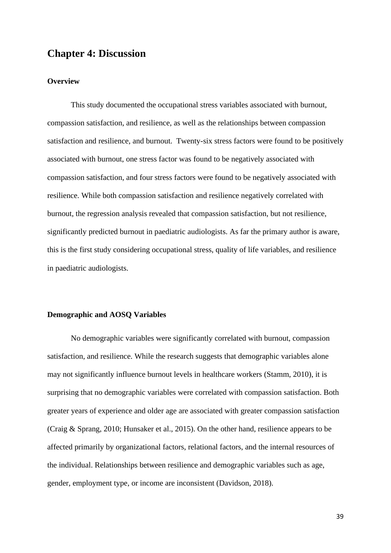# **Chapter 4: Discussion**

## **Overview**

This study documented the occupational stress variables associated with burnout, compassion satisfaction, and resilience, as well as the relationships between compassion satisfaction and resilience, and burnout. Twenty-six stress factors were found to be positively associated with burnout, one stress factor was found to be negatively associated with compassion satisfaction, and four stress factors were found to be negatively associated with resilience. While both compassion satisfaction and resilience negatively correlated with burnout, the regression analysis revealed that compassion satisfaction, but not resilience, significantly predicted burnout in paediatric audiologists. As far the primary author is aware, this is the first study considering occupational stress, quality of life variables, and resilience in paediatric audiologists.

## **Demographic and AOSQ Variables**

No demographic variables were significantly correlated with burnout, compassion satisfaction, and resilience. While the research suggests that demographic variables alone may not significantly influence burnout levels in healthcare workers (Stamm, 2010), it is surprising that no demographic variables were correlated with compassion satisfaction. Both greater years of experience and older age are associated with greater compassion satisfaction (Craig & Sprang, 2010; Hunsaker et al., 2015). On the other hand, resilience appears to be affected primarily by organizational factors, relational factors, and the internal resources of the individual. Relationships between resilience and demographic variables such as age, gender, employment type, or income are inconsistent (Davidson, 2018).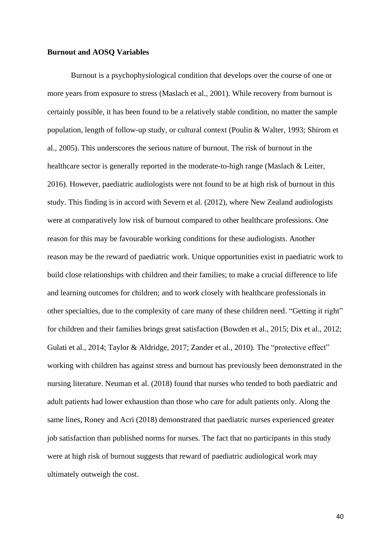# **Burnout and AOSQ Variables**

Burnout is a psychophysiological condition that develops over the course of one or more years from exposure to stress (Maslach et al., 2001). While recovery from burnout is certainly possible, it has been found to be a relatively stable condition, no matter the sample population, length of follow-up study, or cultural context (Poulin & Walter, 1993; Shirom et al., 2005). This underscores the serious nature of burnout. The risk of burnout in the healthcare sector is generally reported in the moderate-to-high range (Maslach & Leiter, 2016). However, paediatric audiologists were not found to be at high risk of burnout in this study. This finding is in accord with Severn et al. (2012), where New Zealand audiologists were at comparatively low risk of burnout compared to other healthcare professions. One reason for this may be favourable working conditions for these audiologists. Another reason may be the reward of paediatric work. Unique opportunities exist in paediatric work to build close relationships with children and their families; to make a crucial difference to life and learning outcomes for children; and to work closely with healthcare professionals in other specialties, due to the complexity of care many of these children need. "Getting it right" for children and their families brings great satisfaction (Bowden et al., 2015; Dix et al., 2012; Gulati et al., 2014; Taylor & Aldridge, 2017; Zander et al., 2010). The "protective effect" working with children has against stress and burnout has previously been demonstrated in the nursing literature. Neuman et al. (2018) found that nurses who tended to both paediatric and adult patients had lower exhaustion than those who care for adult patients only. Along the same lines, Roney and Acri (2018) demonstrated that paediatric nurses experienced greater job satisfaction than published norms for nurses. The fact that no participants in this study were at high risk of burnout suggests that reward of paediatric audiological work may ultimately outweigh the cost.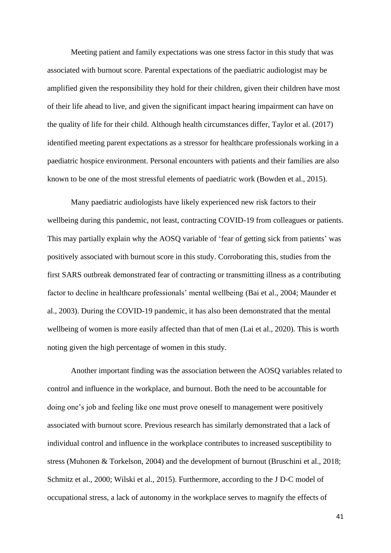Meeting patient and family expectations was one stress factor in this study that was associated with burnout score. Parental expectations of the paediatric audiologist may be amplified given the responsibility they hold for their children, given their children have most of their life ahead to live, and given the significant impact hearing impairment can have on the quality of life for their child. Although health circumstances differ, Taylor et al. (2017) identified meeting parent expectations as a stressor for healthcare professionals working in a paediatric hospice environment. Personal encounters with patients and their families are also known to be one of the most stressful elements of paediatric work (Bowden et al., 2015).

Many paediatric audiologists have likely experienced new risk factors to their wellbeing during this pandemic, not least, contracting COVID-19 from colleagues or patients. This may partially explain why the AOSQ variable of 'fear of getting sick from patients' was positively associated with burnout score in this study. Corroborating this, studies from the first SARS outbreak demonstrated fear of contracting or transmitting illness as a contributing factor to decline in healthcare professionals' mental wellbeing (Bai et al., 2004; Maunder et al., 2003). During the COVID-19 pandemic, it has also been demonstrated that the mental wellbeing of women is more easily affected than that of men (Lai et al., 2020). This is worth noting given the high percentage of women in this study.

Another important finding was the association between the AOSQ variables related to control and influence in the workplace, and burnout. Both the need to be accountable for doing one's job and feeling like one must prove oneself to management were positively associated with burnout score. Previous research has similarly demonstrated that a lack of individual control and influence in the workplace contributes to increased susceptibility to stress (Muhonen & Torkelson, 2004) and the development of burnout (Bruschini et al., 2018; Schmitz et al., 2000; Wilski et al., 2015). Furthermore, according to the J D-C model of occupational stress, a lack of autonomy in the workplace serves to magnify the effects of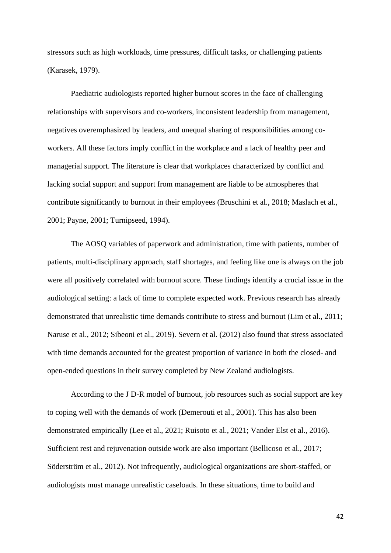stressors such as high workloads, time pressures, difficult tasks, or challenging patients (Karasek, 1979).

Paediatric audiologists reported higher burnout scores in the face of challenging relationships with supervisors and co-workers, inconsistent leadership from management, negatives overemphasized by leaders, and unequal sharing of responsibilities among coworkers. All these factors imply conflict in the workplace and a lack of healthy peer and managerial support. The literature is clear that workplaces characterized by conflict and lacking social support and support from management are liable to be atmospheres that contribute significantly to burnout in their employees (Bruschini et al., 2018; Maslach et al., 2001; Payne, 2001; Turnipseed, 1994).

The AOSQ variables of paperwork and administration, time with patients, number of patients, multi-disciplinary approach, staff shortages, and feeling like one is always on the job were all positively correlated with burnout score. These findings identify a crucial issue in the audiological setting: a lack of time to complete expected work. Previous research has already demonstrated that unrealistic time demands contribute to stress and burnout (Lim et al., 2011; Naruse et al., 2012; Sibeoni et al., 2019). Severn et al. (2012) also found that stress associated with time demands accounted for the greatest proportion of variance in both the closed- and open-ended questions in their survey completed by New Zealand audiologists.

According to the J D-R model of burnout, job resources such as social support are key to coping well with the demands of work (Demerouti et al., 2001). This has also been demonstrated empirically (Lee et al., 2021; Ruisoto et al., 2021; Vander Elst et al., 2016). Sufficient rest and rejuvenation outside work are also important (Bellicoso et al., 2017; Söderström et al., 2012). Not infrequently, audiological organizations are short-staffed, or audiologists must manage unrealistic caseloads. In these situations, time to build and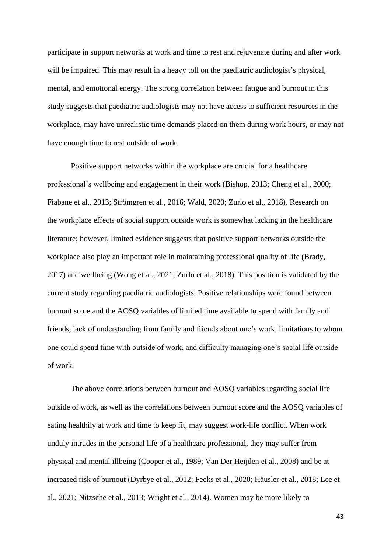participate in support networks at work and time to rest and rejuvenate during and after work will be impaired. This may result in a heavy toll on the paediatric audiologist's physical, mental, and emotional energy. The strong correlation between fatigue and burnout in this study suggests that paediatric audiologists may not have access to sufficient resources in the workplace, may have unrealistic time demands placed on them during work hours, or may not have enough time to rest outside of work.

Positive support networks within the workplace are crucial for a healthcare professional's wellbeing and engagement in their work (Bishop, 2013; Cheng et al., 2000; Fiabane et al., 2013; Strömgren et al., 2016; Wald, 2020; Zurlo et al., 2018). Research on the workplace effects of social support outside work is somewhat lacking in the healthcare literature; however, limited evidence suggests that positive support networks outside the workplace also play an important role in maintaining professional quality of life (Brady, 2017) and wellbeing (Wong et al., 2021; Zurlo et al., 2018). This position is validated by the current study regarding paediatric audiologists. Positive relationships were found between burnout score and the AOSQ variables of limited time available to spend with family and friends, lack of understanding from family and friends about one's work, limitations to whom one could spend time with outside of work, and difficulty managing one's social life outside of work.

The above correlations between burnout and AOSQ variables regarding social life outside of work, as well as the correlations between burnout score and the AOSQ variables of eating healthily at work and time to keep fit, may suggest work-life conflict. When work unduly intrudes in the personal life of a healthcare professional, they may suffer from physical and mental illbeing (Cooper et al., 1989; Van Der Heijden et al., 2008) and be at increased risk of burnout (Dyrbye et al., 2012; Feeks et al., 2020; Häusler et al., 2018; Lee et al., 2021; Nitzsche et al., 2013; Wright et al., 2014). Women may be more likely to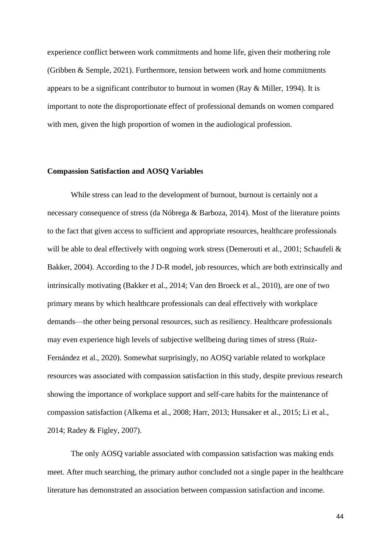experience conflict between work commitments and home life, given their mothering role (Gribben & Semple, 2021). Furthermore, tension between work and home commitments appears to be a significant contributor to burnout in women (Ray  $\&$  Miller, 1994). It is important to note the disproportionate effect of professional demands on women compared with men, given the high proportion of women in the audiological profession.

#### **Compassion Satisfaction and AOSQ Variables**

While stress can lead to the development of burnout, burnout is certainly not a necessary consequence of stress (da Nóbrega & Barboza, 2014). Most of the literature points to the fact that given access to sufficient and appropriate resources, healthcare professionals will be able to deal effectively with ongoing work stress (Demerouti et al., 2001; Schaufeli & Bakker, 2004). According to the J D-R model, job resources, which are both extrinsically and intrinsically motivating (Bakker et al., 2014; Van den Broeck et al., 2010), are one of two primary means by which healthcare professionals can deal effectively with workplace demands—the other being personal resources, such as resiliency. Healthcare professionals may even experience high levels of subjective wellbeing during times of stress (Ruiz-Fernández et al., 2020). Somewhat surprisingly, no AOSQ variable related to workplace resources was associated with compassion satisfaction in this study, despite previous research showing the importance of workplace support and self-care habits for the maintenance of compassion satisfaction (Alkema et al., 2008; Harr, 2013; Hunsaker et al., 2015; Li et al., 2014; Radey & Figley, 2007).

The only AOSQ variable associated with compassion satisfaction was making ends meet. After much searching, the primary author concluded not a single paper in the healthcare literature has demonstrated an association between compassion satisfaction and income.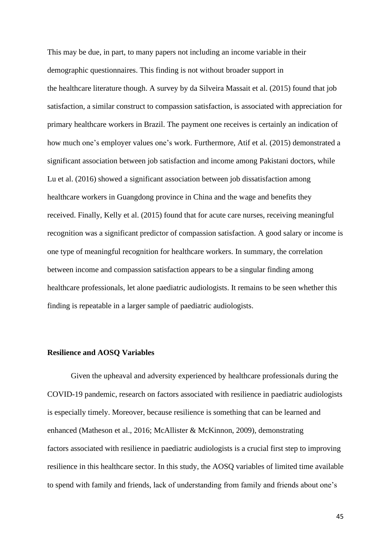This may be due, in part, to many papers not including an income variable in their demographic questionnaires. This finding is not without broader support in the healthcare literature though. A survey by da Silveira Massait et al. (2015) found that job satisfaction, a similar construct to compassion satisfaction, is associated with appreciation for primary healthcare workers in Brazil. The payment one receives is certainly an indication of how much one's employer values one's work. Furthermore, Atif et al. (2015) demonstrated a significant association between job satisfaction and income among Pakistani doctors, while Lu et al. (2016) showed a significant association between job dissatisfaction among healthcare workers in Guangdong province in China and the wage and benefits they received. Finally, Kelly et al. (2015) found that for acute care nurses, receiving meaningful recognition was a significant predictor of compassion satisfaction. A good salary or income is one type of meaningful recognition for healthcare workers. In summary, the correlation between income and compassion satisfaction appears to be a singular finding among healthcare professionals, let alone paediatric audiologists. It remains to be seen whether this finding is repeatable in a larger sample of paediatric audiologists.

#### **Resilience and AOSQ Variables**

Given the upheaval and adversity experienced by healthcare professionals during the COVID-19 pandemic, research on factors associated with resilience in paediatric audiologists is especially timely. Moreover, because resilience is something that can be learned and enhanced (Matheson et al., 2016; McAllister & McKinnon, 2009), demonstrating factors associated with resilience in paediatric audiologists is a crucial first step to improving resilience in this healthcare sector. In this study, the AOSQ variables of limited time available to spend with family and friends, lack of understanding from family and friends about one's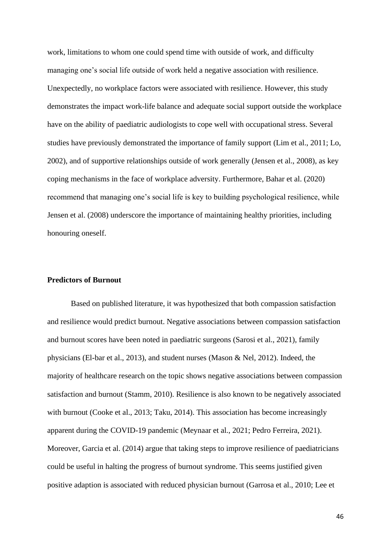work, limitations to whom one could spend time with outside of work, and difficulty managing one's social life outside of work held a negative association with resilience. Unexpectedly, no workplace factors were associated with resilience. However, this study demonstrates the impact work-life balance and adequate social support outside the workplace have on the ability of paediatric audiologists to cope well with occupational stress. Several studies have previously demonstrated the importance of family support (Lim et al., 2011; Lo, 2002), and of supportive relationships outside of work generally (Jensen et al., 2008), as key coping mechanisms in the face of workplace adversity. Furthermore, Bahar et al. (2020) recommend that managing one's social life is key to building psychological resilience, while Jensen et al. (2008) underscore the importance of maintaining healthy priorities, including honouring oneself.

# **Predictors of Burnout**

Based on published literature, it was hypothesized that both compassion satisfaction and resilience would predict burnout. Negative associations between compassion satisfaction and burnout scores have been noted in paediatric surgeons (Sarosi et al., 2021), family physicians (El-bar et al., 2013), and student nurses (Mason & Nel, 2012). Indeed, the majority of healthcare research on the topic shows negative associations between compassion satisfaction and burnout (Stamm, 2010). Resilience is also known to be negatively associated with burnout (Cooke et al., 2013; Taku, 2014). This association has become increasingly apparent during the COVID-19 pandemic (Meynaar et al., 2021; Pedro Ferreira, 2021). Moreover, Garcia et al. (2014) argue that taking steps to improve resilience of paediatricians could be useful in halting the progress of burnout syndrome. This seems justified given positive adaption is associated with reduced physician burnout (Garrosa et al., 2010; Lee et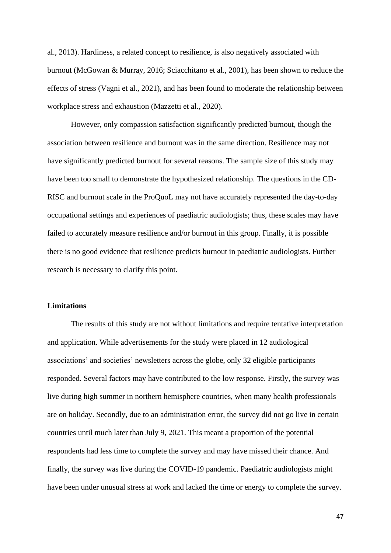al., 2013). Hardiness, a related concept to resilience, is also negatively associated with burnout (McGowan & Murray, 2016; Sciacchitano et al., 2001), has been shown to reduce the effects of stress (Vagni et al., 2021), and has been found to moderate the relationship between workplace stress and exhaustion (Mazzetti et al., 2020).

However, only compassion satisfaction significantly predicted burnout, though the association between resilience and burnout was in the same direction. Resilience may not have significantly predicted burnout for several reasons. The sample size of this study may have been too small to demonstrate the hypothesized relationship. The questions in the CD-RISC and burnout scale in the ProQuoL may not have accurately represented the day-to-day occupational settings and experiences of paediatric audiologists; thus, these scales may have failed to accurately measure resilience and/or burnout in this group. Finally, it is possible there is no good evidence that resilience predicts burnout in paediatric audiologists. Further research is necessary to clarify this point.

# **Limitations**

The results of this study are not without limitations and require tentative interpretation and application. While advertisements for the study were placed in 12 audiological associations' and societies' newsletters across the globe, only 32 eligible participants responded. Several factors may have contributed to the low response. Firstly, the survey was live during high summer in northern hemisphere countries, when many health professionals are on holiday. Secondly, due to an administration error, the survey did not go live in certain countries until much later than July 9, 2021. This meant a proportion of the potential respondents had less time to complete the survey and may have missed their chance. And finally, the survey was live during the COVID-19 pandemic. Paediatric audiologists might have been under unusual stress at work and lacked the time or energy to complete the survey.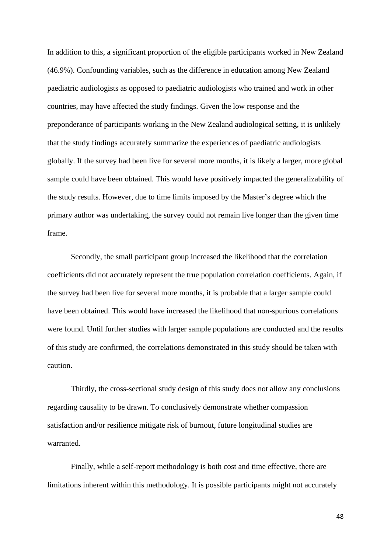In addition to this, a significant proportion of the eligible participants worked in New Zealand (46.9%). Confounding variables, such as the difference in education among New Zealand paediatric audiologists as opposed to paediatric audiologists who trained and work in other countries, may have affected the study findings. Given the low response and the preponderance of participants working in the New Zealand audiological setting, it is unlikely that the study findings accurately summarize the experiences of paediatric audiologists globally. If the survey had been live for several more months, it is likely a larger, more global sample could have been obtained. This would have positively impacted the generalizability of the study results. However, due to time limits imposed by the Master's degree which the primary author was undertaking, the survey could not remain live longer than the given time frame.

Secondly, the small participant group increased the likelihood that the correlation coefficients did not accurately represent the true population correlation coefficients. Again, if the survey had been live for several more months, it is probable that a larger sample could have been obtained. This would have increased the likelihood that non-spurious correlations were found. Until further studies with larger sample populations are conducted and the results of this study are confirmed, the correlations demonstrated in this study should be taken with caution.

Thirdly, the cross-sectional study design of this study does not allow any conclusions regarding causality to be drawn. To conclusively demonstrate whether compassion satisfaction and/or resilience mitigate risk of burnout, future longitudinal studies are warranted.

Finally, while a self-report methodology is both cost and time effective, there are limitations inherent within this methodology. It is possible participants might not accurately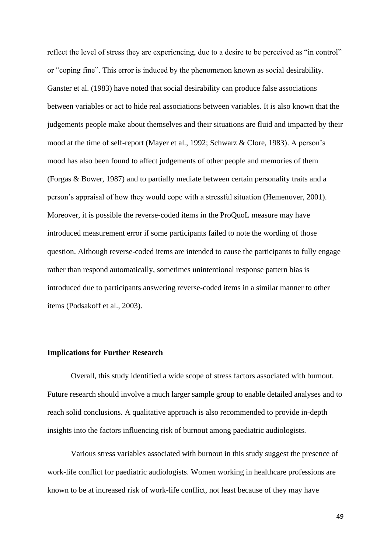reflect the level of stress they are experiencing, due to a desire to be perceived as "in control" or "coping fine". This error is induced by the phenomenon known as social desirability. Ganster et al. (1983) have noted that social desirability can produce false associations between variables or act to hide real associations between variables. It is also known that the judgements people make about themselves and their situations are fluid and impacted by their mood at the time of self-report (Mayer et al., 1992; Schwarz & Clore, 1983). A person's mood has also been found to affect judgements of other people and memories of them (Forgas & Bower, 1987) and to partially mediate between certain personality traits and a person's appraisal of how they would cope with a stressful situation (Hemenover, 2001). Moreover, it is possible the reverse-coded items in the ProQuoL measure may have introduced measurement error if some participants failed to note the wording of those question. Although reverse-coded items are intended to cause the participants to fully engage rather than respond automatically, sometimes unintentional response pattern bias is introduced due to participants answering reverse-coded items in a similar manner to other items (Podsakoff et al., 2003).

# **Implications for Further Research**

Overall, this study identified a wide scope of stress factors associated with burnout. Future research should involve a much larger sample group to enable detailed analyses and to reach solid conclusions. A qualitative approach is also recommended to provide in-depth insights into the factors influencing risk of burnout among paediatric audiologists.

Various stress variables associated with burnout in this study suggest the presence of work-life conflict for paediatric audiologists. Women working in healthcare professions are known to be at increased risk of work-life conflict, not least because of they may have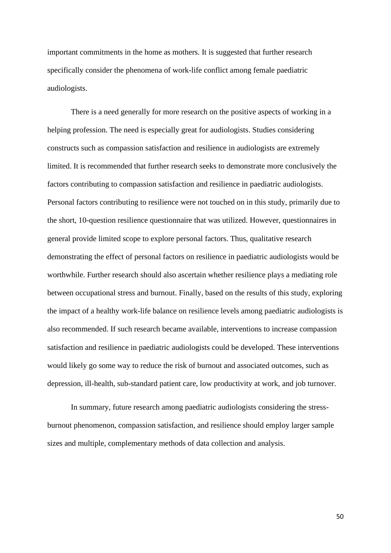important commitments in the home as mothers. It is suggested that further research specifically consider the phenomena of work-life conflict among female paediatric audiologists.

There is a need generally for more research on the positive aspects of working in a helping profession. The need is especially great for audiologists. Studies considering constructs such as compassion satisfaction and resilience in audiologists are extremely limited. It is recommended that further research seeks to demonstrate more conclusively the factors contributing to compassion satisfaction and resilience in paediatric audiologists. Personal factors contributing to resilience were not touched on in this study, primarily due to the short, 10-question resilience questionnaire that was utilized. However, questionnaires in general provide limited scope to explore personal factors. Thus, qualitative research demonstrating the effect of personal factors on resilience in paediatric audiologists would be worthwhile. Further research should also ascertain whether resilience plays a mediating role between occupational stress and burnout. Finally, based on the results of this study, exploring the impact of a healthy work-life balance on resilience levels among paediatric audiologists is also recommended. If such research became available, interventions to increase compassion satisfaction and resilience in paediatric audiologists could be developed. These interventions would likely go some way to reduce the risk of burnout and associated outcomes, such as depression, ill-health, sub-standard patient care, low productivity at work, and job turnover.

In summary, future research among paediatric audiologists considering the stressburnout phenomenon, compassion satisfaction, and resilience should employ larger sample sizes and multiple, complementary methods of data collection and analysis.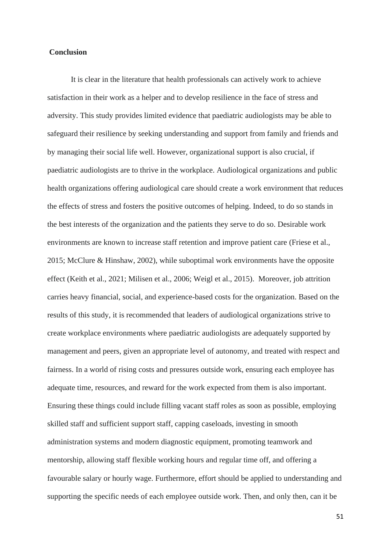# **Conclusion**

It is clear in the literature that health professionals can actively work to achieve satisfaction in their work as a helper and to develop resilience in the face of stress and adversity. This study provides limited evidence that paediatric audiologists may be able to safeguard their resilience by seeking understanding and support from family and friends and by managing their social life well. However, organizational support is also crucial, if paediatric audiologists are to thrive in the workplace. Audiological organizations and public health organizations offering audiological care should create a work environment that reduces the effects of stress and fosters the positive outcomes of helping. Indeed, to do so stands in the best interests of the organization and the patients they serve to do so. Desirable work environments are known to increase staff retention and improve patient care (Friese et al., 2015; McClure & Hinshaw, 2002), while suboptimal work environments have the opposite effect (Keith et al., 2021; Milisen et al., 2006; Weigl et al., 2015). Moreover, job attrition carries heavy financial, social, and experience-based costs for the organization. Based on the results of this study, it is recommended that leaders of audiological organizations strive to create workplace environments where paediatric audiologists are adequately supported by management and peers, given an appropriate level of autonomy, and treated with respect and fairness. In a world of rising costs and pressures outside work, ensuring each employee has adequate time, resources, and reward for the work expected from them is also important. Ensuring these things could include filling vacant staff roles as soon as possible, employing skilled staff and sufficient support staff, capping caseloads, investing in smooth administration systems and modern diagnostic equipment, promoting teamwork and mentorship, allowing staff flexible working hours and regular time off, and offering a favourable salary or hourly wage. Furthermore, effort should be applied to understanding and supporting the specific needs of each employee outside work. Then, and only then, can it be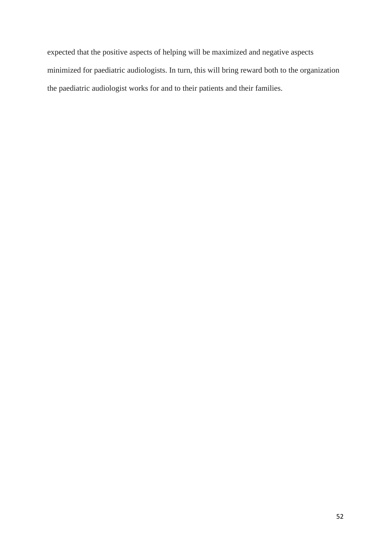expected that the positive aspects of helping will be maximized and negative aspects minimized for paediatric audiologists. In turn, this will bring reward both to the organization the paediatric audiologist works for and to their patients and their families.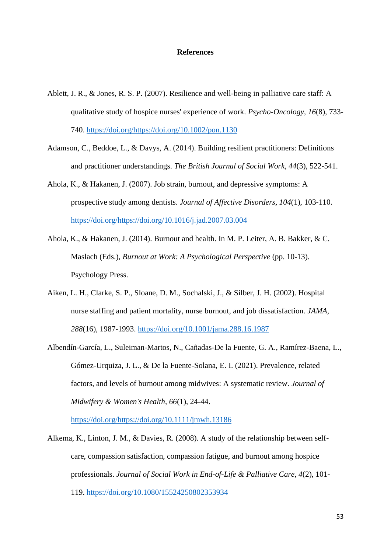## **References**

- Ablett, J. R., & Jones, R. S. P. (2007). Resilience and well-being in palliative care staff: A qualitative study of hospice nurses' experience of work. *Psycho-Oncology, 16*(8), 733- 740. [https://doi.org/https://doi.org/10.1002/pon.1130](https://doi.org/https:/doi.org/10.1002/pon.1130)
- Adamson, C., Beddoe, L., & Davys, A. (2014). Building resilient practitioners: Definitions and practitioner understandings. *The British Journal of Social Work, 44*(3), 522-541.
- Ahola, K., & Hakanen, J. (2007). Job strain, burnout, and depressive symptoms: A prospective study among dentists. *Journal of Affective Disorders, 104*(1), 103-110. [https://doi.org/https://doi.org/10.1016/j.jad.2007.03.004](https://doi.org/https:/doi.org/10.1016/j.jad.2007.03.004)
- Ahola, K., & Hakanen, J. (2014). Burnout and health. In M. P. Leiter, A. B. Bakker, & C. Maslach (Eds.), *Burnout at Work: A Psychological Perspective* (pp. 10-13). Psychology Press.
- Aiken, L. H., Clarke, S. P., Sloane, D. M., Sochalski, J., & Silber, J. H. (2002). Hospital nurse staffing and patient mortality, nurse burnout, and job dissatisfaction. *JAMA, 288*(16), 1987-1993.<https://doi.org/10.1001/jama.288.16.1987>
- Albendín-García, L., Suleiman-Martos, N., Cañadas-De la Fuente, G. A., Ramírez-Baena, L., Gómez-Urquiza, J. L., & De la Fuente-Solana, E. I. (2021). Prevalence, related factors, and levels of burnout among midwives: A systematic review. *Journal of Midwifery & Women's Health, 66*(1), 24-44.

[https://doi.org/https://doi.org/10.1111/jmwh.13186](https://doi.org/https:/doi.org/10.1111/jmwh.13186)

Alkema, K., Linton, J. M., & Davies, R. (2008). A study of the relationship between selfcare, compassion satisfaction, compassion fatigue, and burnout among hospice professionals. *Journal of Social Work in End-of-Life & Palliative Care, 4*(2), 101- 119.<https://doi.org/10.1080/15524250802353934>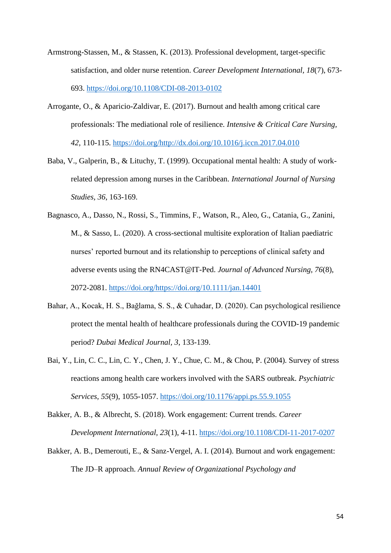- Armstrong-Stassen, M., & Stassen, K. (2013). Professional development, target-specific satisfaction, and older nurse retention. *Career Development International, 18*(7), 673- 693.<https://doi.org/10.1108/CDI-08-2013-0102>
- Arrogante, O., & Aparicio-Zaldivar, E. (2017). Burnout and health among critical care professionals: The mediational role of resilience. *Intensive & Critical Care Nursing, 42*, 110-115. [https://doi.org/http://dx.doi.org/10.1016/j.iccn.2017.04.010](https://doi.org/http:/dx.doi.org/10.1016/j.iccn.2017.04.010)
- Baba, V., Galperin, B., & Lituchy, T. (1999). Occupational mental health: A study of workrelated depression among nurses in the Caribbean. *International Journal of Nursing Studies, 36*, 163-169.
- Bagnasco, A., Dasso, N., Rossi, S., Timmins, F., Watson, R., Aleo, G., Catania, G., Zanini, M., & Sasso, L. (2020). A cross-sectional multisite exploration of Italian paediatric nurses' reported burnout and its relationship to perceptions of clinical safety and adverse events using the RN4CAST@IT-Ped. *Journal of Advanced Nursing, 76*(8), 2072-2081. [https://doi.org/https://doi.org/10.1111/jan.14401](https://doi.org/https:/doi.org/10.1111/jan.14401)
- Bahar, A., Kocak, H. S., Bağlama, S. S., & Cuhadar, D. (2020). Can psychological resilience protect the mental health of healthcare professionals during the COVID-19 pandemic period? *Dubai Medical Journal, 3*, 133-139.
- Bai, Y., Lin, C. C., Lin, C. Y., Chen, J. Y., Chue, C. M., & Chou, P. (2004). Survey of stress reactions among health care workers involved with the SARS outbreak. *Psychiatric Services, 55*(9), 1055-1057.<https://doi.org/10.1176/appi.ps.55.9.1055>
- Bakker, A. B., & Albrecht, S. (2018). Work engagement: Current trends. *Career Development International, 23*(1), 4-11.<https://doi.org/10.1108/CDI-11-2017-0207>
- Bakker, A. B., Demerouti, E., & Sanz-Vergel, A. I. (2014). Burnout and work engagement: The JD–R approach. *Annual Review of Organizational Psychology and*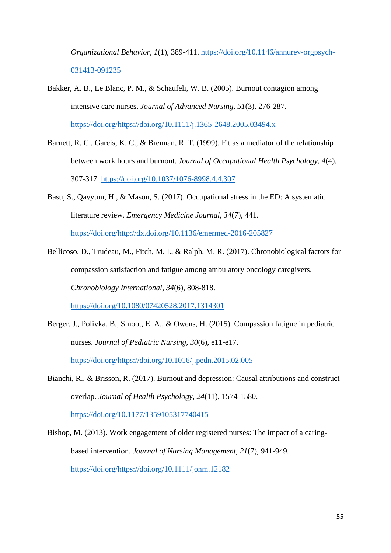*Organizational Behavior, 1*(1), 389-411. [https://doi.org/10.1146/annurev-orgpsych-](https://doi.org/10.1146/annurev-orgpsych-031413-091235)[031413-091235](https://doi.org/10.1146/annurev-orgpsych-031413-091235)

- Bakker, A. B., Le Blanc, P. M., & Schaufeli, W. B. (2005). Burnout contagion among intensive care nurses. *Journal of Advanced Nursing, 51*(3), 276-287. [https://doi.org/https://doi.org/10.1111/j.1365-2648.2005.03494.x](https://doi.org/https:/doi.org/10.1111/j.1365-2648.2005.03494.x)
- Barnett, R. C., Gareis, K. C., & Brennan, R. T. (1999). Fit as a mediator of the relationship between work hours and burnout. *Journal of Occupational Health Psychology, 4*(4), 307-317.<https://doi.org/10.1037/1076-8998.4.4.307>
- Basu, S., Qayyum, H., & Mason, S. (2017). Occupational stress in the ED: A systematic literature review. *Emergency Medicine Journal, 34*(7), 441. [https://doi.org/http://dx.doi.org/10.1136/emermed-2016-205827](https://doi.org/http:/dx.doi.org/10.1136/emermed-2016-205827)
- Bellicoso, D., Trudeau, M., Fitch, M. I., & Ralph, M. R. (2017). Chronobiological factors for compassion satisfaction and fatigue among ambulatory oncology caregivers. *Chronobiology International, 34*(6), 808-818. <https://doi.org/10.1080/07420528.2017.1314301>
- Berger, J., Polivka, B., Smoot, E. A., & Owens, H. (2015). Compassion fatigue in pediatric nurses. *Journal of Pediatric Nursing, 30*(6), e11-e17. [https://doi.org/https://doi.org/10.1016/j.pedn.2015.02.005](https://doi.org/https:/doi.org/10.1016/j.pedn.2015.02.005)
- Bianchi, R., & Brisson, R. (2017). Burnout and depression: Causal attributions and construct overlap. *Journal of Health Psychology, 24*(11), 1574-1580.

<https://doi.org/10.1177/1359105317740415>

Bishop, M. (2013). Work engagement of older registered nurses: The impact of a caringbased intervention. *Journal of Nursing Management, 21*(7), 941-949. [https://doi.org/https://doi.org/10.1111/jonm.12182](https://doi.org/https:/doi.org/10.1111/jonm.12182)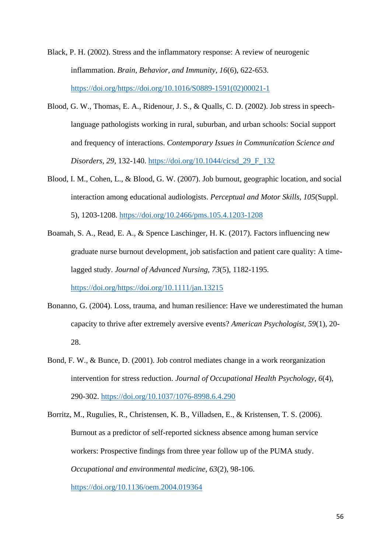Black, P. H. (2002). Stress and the inflammatory response: A review of neurogenic inflammation. *Brain, Behavior, and Immunity, 16*(6), 622-653. [https://doi.org/https://doi.org/10.1016/S0889-1591\(02\)00021-1](https://doi.org/https:/doi.org/10.1016/S0889-1591(02)00021-1)

- Blood, G. W., Thomas, E. A., Ridenour, J. S., & Qualls, C. D. (2002). Job stress in speechlanguage pathologists working in rural, suburban, and urban schools: Social support and frequency of interactions. *Contemporary Issues in Communication Science and Disorders, 29*, 132-140. [https://doi.org/10.1044/cicsd\\_29\\_F\\_132](https://doi.org/10.1044/cicsd_29_F_132)
- Blood, I. M., Cohen, L., & Blood, G. W. (2007). Job burnout, geographic location, and social interaction among educational audiologists. *Perceptual and Motor Skills, 105*(Suppl. 5), 1203-1208.<https://doi.org/10.2466/pms.105.4.1203-1208>
- Boamah, S. A., Read, E. A., & Spence Laschinger, H. K. (2017). Factors influencing new graduate nurse burnout development, job satisfaction and patient care quality: A timelagged study. *Journal of Advanced Nursing, 73*(5), 1182-1195. [https://doi.org/https://doi.org/10.1111/jan.13215](https://doi.org/https:/doi.org/10.1111/jan.13215)
- Bonanno, G. (2004). Loss, trauma, and human resilience: Have we underestimated the human capacity to thrive after extremely aversive events? *American Psychologist, 59*(1), 20- 28.
- Bond, F. W., & Bunce, D. (2001). Job control mediates change in a work reorganization intervention for stress reduction. *Journal of Occupational Health Psychology, 6*(4), 290-302.<https://doi.org/10.1037/1076-8998.6.4.290>
- Borritz, M., Rugulies, R., Christensen, K. B., Villadsen, E., & Kristensen, T. S. (2006). Burnout as a predictor of self-reported sickness absence among human service workers: Prospective findings from three year follow up of the PUMA study. *Occupational and environmental medicine, 63*(2), 98-106. <https://doi.org/10.1136/oem.2004.019364>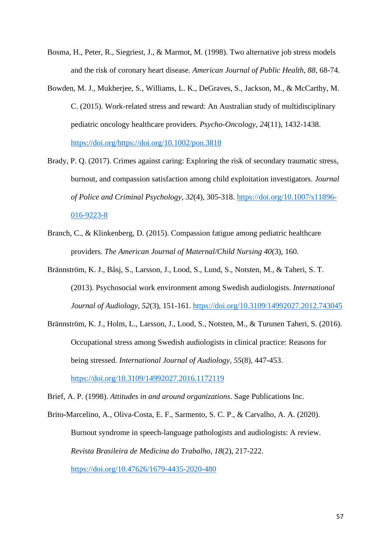- Bosma, H., Peter, R., Siegriest, J., & Marmot, M. (1998). Two alternative job stress models and the risk of coronary heart disease. *American Journal of Public Health, 88*, 68-74.
- Bowden, M. J., Mukherjee, S., Williams, L. K., DeGraves, S., Jackson, M., & McCarthy, M. C. (2015). Work-related stress and reward: An Australian study of multidisciplinary pediatric oncology healthcare providers. *Psycho-Oncology, 24*(11), 1432-1438. [https://doi.org/https://doi.org/10.1002/pon.3810](https://doi.org/https:/doi.org/10.1002/pon.3810)
- Brady, P. Q. (2017). Crimes against caring: Exploring the risk of secondary traumatic stress, burnout, and compassion satisfaction among child exploitation investigators. *Journal of Police and Criminal Psychology, 32*(4), 305-318. [https://doi.org/10.1007/s11896-](https://doi.org/10.1007/s11896-016-9223-8) [016-9223-8](https://doi.org/10.1007/s11896-016-9223-8)
- Branch, C., & Klinkenberg, D. (2015). Compassion fatigue among pediatric healthcare providers. *The American Journal of Maternal/Child Nursing 40*(3), 160.
- Brännström, K. J., Båsj, S., Larsson, J., Lood, S., Lund, S., Notsten, M., & Taheri, S. T. (2013). Psychosocial work environment among Swedish audiologists. *International Journal of Audiology, 52*(3), 151-161.<https://doi.org/10.3109/14992027.2012.743045>
- Brännström, K. J., Holm, L., Larsson, J., Lood, S., Notsten, M., & Turunen Taheri, S. (2016). Occupational stress among Swedish audiologists in clinical practice: Reasons for being stressed. *International Journal of Audiology, 55*(8), 447-453.

<https://doi.org/10.3109/14992027.2016.1172119>

Brief, A. P. (1998). *Attitudes in and around organizations*. Sage Publications Inc.

Brito-Marcelino, A., Oliva-Costa, E. F., Sarmento, S. C. P., & Carvalho, A. A. (2020). Burnout syndrome in speech-language pathologists and audiologists: A review. *Revista Brasileira de Medicina do Trabalho, 18*(2), 217-222. <https://doi.org/10.47626/1679-4435-2020-480>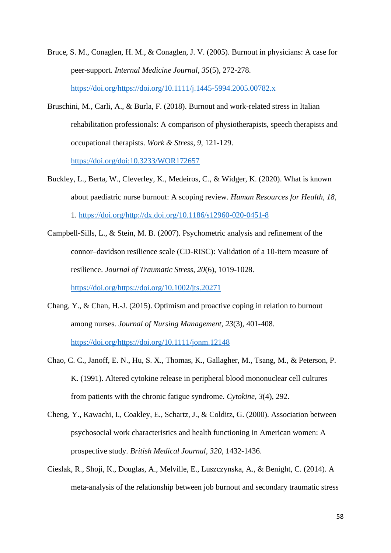- Bruce, S. M., Conaglen, H. M., & Conaglen, J. V. (2005). Burnout in physicians: A case for peer-support. *Internal Medicine Journal, 35*(5), 272-278. [https://doi.org/https://doi.org/10.1111/j.1445-5994.2005.00782.x](https://doi.org/https:/doi.org/10.1111/j.1445-5994.2005.00782.x)
- Bruschini, M., Carli, A., & Burla, F. (2018). Burnout and work-related stress in Italian rehabilitation professionals: A comparison of physiotherapists, speech therapists and occupational therapists. *Work & Stress, 9*, 121-129.

<https://doi.org/doi:10.3233/WOR172657>

- Buckley, L., Berta, W., Cleverley, K., Medeiros, C., & Widger, K. (2020). What is known about paediatric nurse burnout: A scoping review. *Human Resources for Health, 18*, 1. [https://doi.org/http://dx.doi.org/10.1186/s12960-020-0451-8](https://doi.org/http:/dx.doi.org/10.1186/s12960-020-0451-8)
- Campbell-Sills, L., & Stein, M. B. (2007). Psychometric analysis and refinement of the connor–davidson resilience scale (CD-RISC): Validation of a 10-item measure of resilience. *Journal of Traumatic Stress, 20*(6), 1019-1028.

[https://doi.org/https://doi.org/10.1002/jts.20271](https://doi.org/https:/doi.org/10.1002/jts.20271)

- Chang, Y., & Chan, H.-J. (2015). Optimism and proactive coping in relation to burnout among nurses. *Journal of Nursing Management, 23*(3), 401-408. [https://doi.org/https://doi.org/10.1111/jonm.12148](https://doi.org/https:/doi.org/10.1111/jonm.12148)
- Chao, C. C., Janoff, E. N., Hu, S. X., Thomas, K., Gallagher, M., Tsang, M., & Peterson, P. K. (1991). Altered cytokine release in peripheral blood mononuclear cell cultures from patients with the chronic fatigue syndrome. *Cytokine, 3*(4), 292.
- Cheng, Y., Kawachi, I., Coakley, E., Schartz, J., & Colditz, G. (2000). Association between psychosocial work characteristics and health functioning in American women: A prospective study. *British Medical Journal, 320*, 1432-1436.
- Cieslak, R., Shoji, K., Douglas, A., Melville, E., Luszczynska, A., & Benight, C. (2014). A meta-analysis of the relationship between job burnout and secondary traumatic stress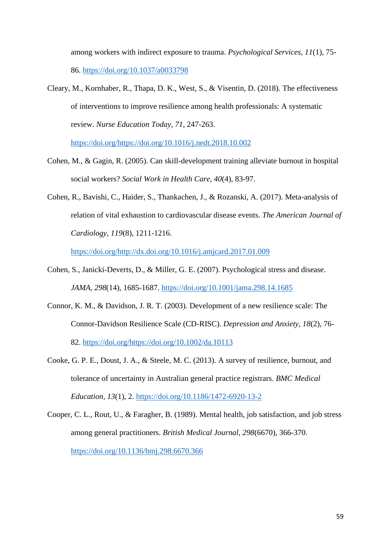among workers with indirect exposure to trauma. *Psychological Services, 11*(1), 75- 86.<https://doi.org/10.1037/a0033798>

Cleary, M., Kornhaber, R., Thapa, D. K., West, S., & Visentin, D. (2018). The effectiveness of interventions to improve resilience among health professionals: A systematic review. *Nurse Education Today, 71*, 247-263.

[https://doi.org/https://doi.org/10.1016/j.nedt.2018.10.002](https://doi.org/https:/doi.org/10.1016/j.nedt.2018.10.002)

- Cohen, M., & Gagin, R. (2005). Can skill-development training alleviate burnout in hospital social workers? *Social Work in Health Care, 40*(4), 83-97.
- Cohen, R., Bavishi, C., Haider, S., Thankachen, J., & Rozanski, A. (2017). Meta-analysis of relation of vital exhaustion to cardiovascular disease events. *The American Journal of Cardiology, 119*(8), 1211-1216.

[https://doi.org/http://dx.doi.org/10.1016/j.amjcard.2017.01.009](https://doi.org/http:/dx.doi.org/10.1016/j.amjcard.2017.01.009)

- Cohen, S., Janicki-Deverts, D., & Miller, G. E. (2007). Psychological stress and disease. *JAMA, 298*(14), 1685-1687.<https://doi.org/10.1001/jama.298.14.1685>
- Connor, K. M., & Davidson, J. R. T. (2003). Development of a new resilience scale: The Connor-Davidson Resilience Scale (CD-RISC). *Depression and Anxiety, 18*(2), 76- 82. [https://doi.org/https://doi.org/10.1002/da.10113](https://doi.org/https:/doi.org/10.1002/da.10113)
- Cooke, G. P. E., Doust, J. A., & Steele, M. C. (2013). A survey of resilience, burnout, and tolerance of uncertainty in Australian general practice registrars. *BMC Medical Education, 13*(1), 2.<https://doi.org/10.1186/1472-6920-13-2>
- Cooper, C. L., Rout, U., & Faragher, B. (1989). Mental health, job satisfaction, and job stress among general practitioners. *British Medical Journal, 298*(6670), 366-370. <https://doi.org/10.1136/bmj.298.6670.366>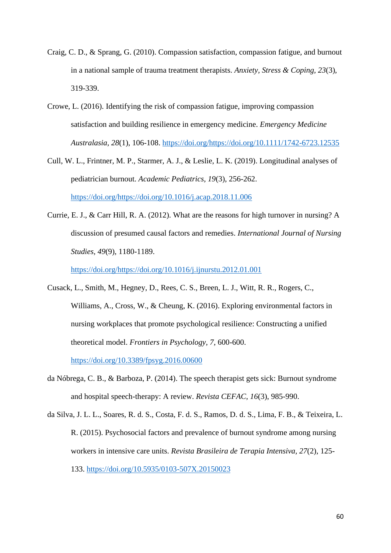- Craig, C. D., & Sprang, G. (2010). Compassion satisfaction, compassion fatigue, and burnout in a national sample of trauma treatment therapists. *Anxiety, Stress & Coping, 23*(3), 319-339.
- Crowe, L. (2016). Identifying the risk of compassion fatigue, improving compassion satisfaction and building resilience in emergency medicine. *Emergency Medicine Australasia, 28*(1), 106-108. [https://doi.org/https://doi.org/10.1111/1742-6723.12535](https://doi.org/https:/doi.org/10.1111/1742-6723.12535)
- Cull, W. L., Frintner, M. P., Starmer, A. J., & Leslie, L. K. (2019). Longitudinal analyses of pediatrician burnout. *Academic Pediatrics, 19*(3), 256-262. [https://doi.org/https://doi.org/10.1016/j.acap.2018.11.006](https://doi.org/https:/doi.org/10.1016/j.acap.2018.11.006)
- Currie, E. J., & Carr Hill, R. A. (2012). What are the reasons for high turnover in nursing? A discussion of presumed causal factors and remedies. *International Journal of Nursing Studies, 49*(9), 1180-1189.

[https://doi.org/https://doi.org/10.1016/j.ijnurstu.2012.01.001](https://doi.org/https:/doi.org/10.1016/j.ijnurstu.2012.01.001)

Cusack, L., Smith, M., Hegney, D., Rees, C. S., Breen, L. J., Witt, R. R., Rogers, C., Williams, A., Cross, W., & Cheung, K. (2016). Exploring environmental factors in nursing workplaces that promote psychological resilience: Constructing a unified theoretical model. *Frontiers in Psychology, 7*, 600-600.

<https://doi.org/10.3389/fpsyg.2016.00600>

- da Nóbrega, C. B., & Barboza, P. (2014). The speech therapist gets sick: Burnout syndrome and hospital speech-therapy: A review. *Revista CEFAC, 16*(3), 985-990.
- da Silva, J. L. L., Soares, R. d. S., Costa, F. d. S., Ramos, D. d. S., Lima, F. B., & Teixeira, L. R. (2015). Psychosocial factors and prevalence of burnout syndrome among nursing workers in intensive care units. *Revista Brasileira de Terapia Intensiva, 27*(2), 125- 133.<https://doi.org/10.5935/0103-507X.20150023>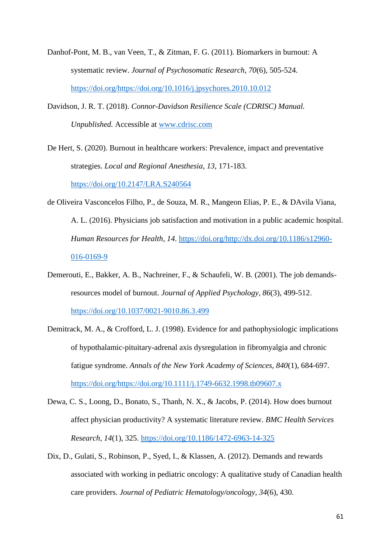- Danhof-Pont, M. B., van Veen, T., & Zitman, F. G. (2011). Biomarkers in burnout: A systematic review. *Journal of Psychosomatic Research, 70*(6), 505-524. [https://doi.org/https://doi.org/10.1016/j.jpsychores.2010.10.012](https://doi.org/https:/doi.org/10.1016/j.jpsychores.2010.10.012)
- Davidson, J. R. T. (2018). *Connor-Davidson Resilience Scale (CDRISC) Manual. Unpublished.* Accessible at [www.cdrisc.com](file:///C:/Users/Admin/Documents/www.cdrisc.com)
- De Hert, S. (2020). Burnout in healthcare workers: Prevalence, impact and preventative strategies. *Local and Regional Anesthesia, 13*, 171-183. <https://doi.org/10.2147/LRA.S240564>
- de Oliveira Vasconcelos Filho, P., de Souza, M. R., Mangeon Elias, P. E., & DAvila Viana, A. L. (2016). Physicians job satisfaction and motivation in a public academic hospital. *Human Resources for Health, 14*. [https://doi.org/http://dx.doi.org/10.1186/s12960-](https://doi.org/http:/dx.doi.org/10.1186/s12960-016-0169-9) [016-0169-9](https://doi.org/http:/dx.doi.org/10.1186/s12960-016-0169-9)
- Demerouti, E., Bakker, A. B., Nachreiner, F., & Schaufeli, W. B. (2001). The job demandsresources model of burnout. *Journal of Applied Psychology, 86*(3), 499-512. <https://doi.org/10.1037/0021-9010.86.3.499>
- Demitrack, M. A., & Crofford, L. J. (1998). Evidence for and pathophysiologic implications of hypothalamic-pituitary-adrenal axis dysregulation in fibromyalgia and chronic fatigue syndrome. *Annals of the New York Academy of Sciences, 840*(1), 684-697. [https://doi.org/https://doi.org/10.1111/j.1749-6632.1998.tb09607.x](https://doi.org/https:/doi.org/10.1111/j.1749-6632.1998.tb09607.x)
- Dewa, C. S., Loong, D., Bonato, S., Thanh, N. X., & Jacobs, P. (2014). How does burnout affect physician productivity? A systematic literature review. *BMC Health Services Research, 14*(1), 325.<https://doi.org/10.1186/1472-6963-14-325>
- Dix, D., Gulati, S., Robinson, P., Syed, I., & Klassen, A. (2012). Demands and rewards associated with working in pediatric oncology: A qualitative study of Canadian health care providers. *Journal of Pediatric Hematology/oncology, 34*(6), 430.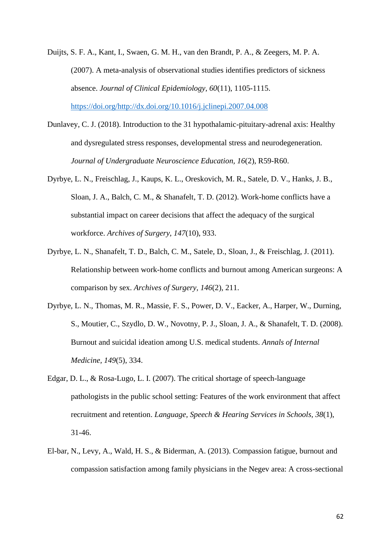Duijts, S. F. A., Kant, I., Swaen, G. M. H., van den Brandt, P. A., & Zeegers, M. P. A. (2007). A meta-analysis of observational studies identifies predictors of sickness absence. *Journal of Clinical Epidemiology, 60*(11), 1105-1115. [https://doi.org/http://dx.doi.org/10.1016/j.jclinepi.2007.04.008](https://doi.org/http:/dx.doi.org/10.1016/j.jclinepi.2007.04.008)

- Dunlavey, C. J. (2018). Introduction to the 31 hypothalamic-pituitary-adrenal axis: Healthy and dysregulated stress responses, developmental stress and neurodegeneration. *Journal of Undergraduate Neuroscience Education, 16*(2), R59-R60.
- Dyrbye, L. N., Freischlag, J., Kaups, K. L., Oreskovich, M. R., Satele, D. V., Hanks, J. B., Sloan, J. A., Balch, C. M., & Shanafelt, T. D. (2012). Work-home conflicts have a substantial impact on career decisions that affect the adequacy of the surgical workforce. *Archives of Surgery, 147*(10), 933.
- Dyrbye, L. N., Shanafelt, T. D., Balch, C. M., Satele, D., Sloan, J., & Freischlag, J. (2011). Relationship between work-home conflicts and burnout among American surgeons: A comparison by sex. *Archives of Surgery, 146*(2), 211.
- Dyrbye, L. N., Thomas, M. R., Massie, F. S., Power, D. V., Eacker, A., Harper, W., Durning, S., Moutier, C., Szydlo, D. W., Novotny, P. J., Sloan, J. A., & Shanafelt, T. D. (2008). Burnout and suicidal ideation among U.S. medical students. *Annals of Internal Medicine, 149*(5), 334.
- Edgar, D. L., & Rosa-Lugo, L. I. (2007). The critical shortage of speech-language pathologists in the public school setting: Features of the work environment that affect recruitment and retention. *Language, Speech & Hearing Services in Schools, 38*(1), 31-46.
- El-bar, N., Levy, A., Wald, H. S., & Biderman, A. (2013). Compassion fatigue, burnout and compassion satisfaction among family physicians in the Negev area: A cross-sectional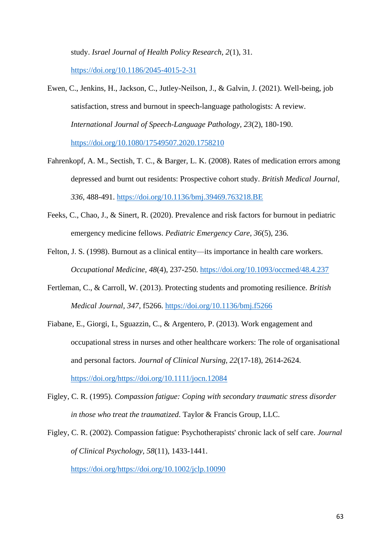study. *Israel Journal of Health Policy Research, 2*(1), 31. <https://doi.org/10.1186/2045-4015-2-31>

- Ewen, C., Jenkins, H., Jackson, C., Jutley-Neilson, J., & Galvin, J. (2021). Well-being, job satisfaction, stress and burnout in speech-language pathologists: A review. *International Journal of Speech-Language Pathology, 23*(2), 180-190. <https://doi.org/10.1080/17549507.2020.1758210>
- Fahrenkopf, A. M., Sectish, T. C., & Barger, L. K. (2008). Rates of medication errors among depressed and burnt out residents: Prospective cohort study. *British Medical Journal, 336*, 488-491.<https://doi.org/10.1136/bmj.39469.763218.BE>
- Feeks, C., Chao, J., & Sinert, R. (2020). Prevalence and risk factors for burnout in pediatric emergency medicine fellows. *Pediatric Emergency Care, 36*(5), 236.
- Felton, J. S. (1998). Burnout as a clinical entity—its importance in health care workers. *Occupational Medicine, 48*(4), 237-250.<https://doi.org/10.1093/occmed/48.4.237>
- Fertleman, C., & Carroll, W. (2013). Protecting students and promoting resilience. *British Medical Journal, 347*, f5266.<https://doi.org/10.1136/bmj.f5266>
- Fiabane, E., Giorgi, I., Sguazzin, C., & Argentero, P. (2013). Work engagement and occupational stress in nurses and other healthcare workers: The role of organisational and personal factors. *Journal of Clinical Nursing, 22*(17-18), 2614-2624. [https://doi.org/https://doi.org/10.1111/jocn.12084](https://doi.org/https:/doi.org/10.1111/jocn.12084)

Figley, C. R. (1995). *Compassion fatigue: Coping with secondary traumatic stress disorder in those who treat the traumatized*. Taylor & Francis Group, LLC.

Figley, C. R. (2002). Compassion fatigue: Psychotherapists' chronic lack of self care. *Journal of Clinical Psychology, 58*(11), 1433-1441.

[https://doi.org/https://doi.org/10.1002/jclp.10090](https://doi.org/https:/doi.org/10.1002/jclp.10090)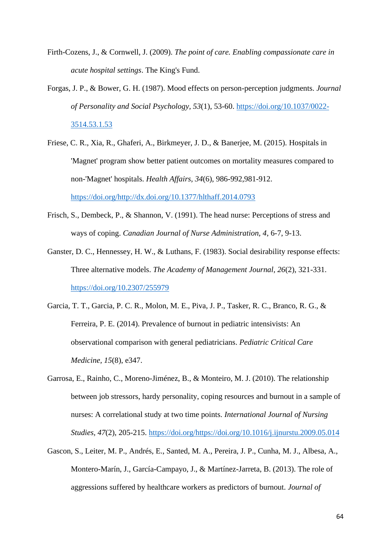- Firth-Cozens, J., & Cornwell, J. (2009). *The point of care. Enabling compassionate care in acute hospital settings*. The King's Fund.
- Forgas, J. P., & Bower, G. H. (1987). Mood effects on person-perception judgments. *Journal of Personality and Social Psychology, 53*(1), 53-60. [https://doi.org/10.1037/0022-](https://doi.org/10.1037/0022-3514.53.1.53) [3514.53.1.53](https://doi.org/10.1037/0022-3514.53.1.53)
- Friese, C. R., Xia, R., Ghaferi, A., Birkmeyer, J. D., & Banerjee, M. (2015). Hospitals in 'Magnet' program show better patient outcomes on mortality measures compared to non-'Magnet' hospitals. *Health Affairs, 34*(6), 986-992,981-912. [https://doi.org/http://dx.doi.org/10.1377/hlthaff.2014.0793](https://doi.org/http:/dx.doi.org/10.1377/hlthaff.2014.0793)
- Frisch, S., Dembeck, P., & Shannon, V. (1991). The head nurse: Perceptions of stress and ways of coping. *Canadian Journal of Nurse Administration, 4*, 6-7, 9-13.
- Ganster, D. C., Hennessey, H. W., & Luthans, F. (1983). Social desirability response effects: Three alternative models. *The Academy of Management Journal, 26*(2), 321-331. <https://doi.org/10.2307/255979>
- Garcia, T. T., Garcia, P. C. R., Molon, M. E., Piva, J. P., Tasker, R. C., Branco, R. G., & Ferreira, P. E. (2014). Prevalence of burnout in pediatric intensivists: An observational comparison with general pediatricians. *Pediatric Critical Care Medicine, 15*(8), e347.
- Garrosa, E., Rainho, C., Moreno-Jiménez, B., & Monteiro, M. J. (2010). The relationship between job stressors, hardy personality, coping resources and burnout in a sample of nurses: A correlational study at two time points. *International Journal of Nursing Studies, 47*(2), 205-215. [https://doi.org/https://doi.org/10.1016/j.ijnurstu.2009.05.014](https://doi.org/https:/doi.org/10.1016/j.ijnurstu.2009.05.014)
- Gascon, S., Leiter, M. P., Andrés, E., Santed, M. A., Pereira, J. P., Cunha, M. J., Albesa, A., Montero-Marín, J., García-Campayo, J., & Martínez-Jarreta, B. (2013). The role of aggressions suffered by healthcare workers as predictors of burnout. *Journal of*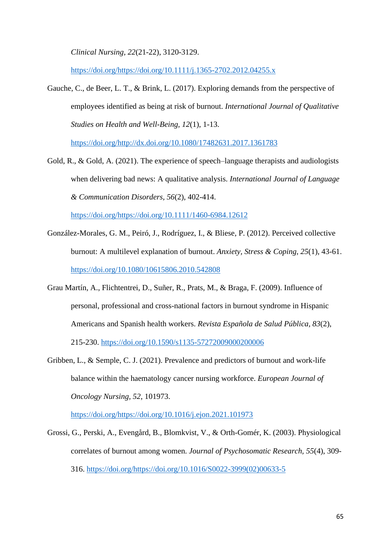*Clinical Nursing, 22*(21-22), 3120-3129.

[https://doi.org/https://doi.org/10.1111/j.1365-2702.2012.04255.x](https://doi.org/https:/doi.org/10.1111/j.1365-2702.2012.04255.x)

Gauche, C., de Beer, L. T., & Brink, L. (2017). Exploring demands from the perspective of employees identified as being at risk of burnout. *International Journal of Qualitative Studies on Health and Well-Being, 12*(1), 1-13.

[https://doi.org/http://dx.doi.org/10.1080/17482631.2017.1361783](https://doi.org/http:/dx.doi.org/10.1080/17482631.2017.1361783)

Gold, R., & Gold, A. (2021). The experience of speech–language therapists and audiologists when delivering bad news: A qualitative analysis. *International Journal of Language & Communication Disorders, 56*(2), 402-414.

[https://doi.org/https://doi.org/10.1111/1460-6984.12612](https://doi.org/https:/doi.org/10.1111/1460-6984.12612)

- González-Morales, G. M., Peiró, J., Rodríguez, I., & Bliese, P. (2012). Perceived collective burnout: A multilevel explanation of burnout. *Anxiety, Stress & Coping, 25*(1), 43-61. <https://doi.org/10.1080/10615806.2010.542808>
- Grau Martín, A., Flichtentrei, D., Suñer, R., Prats, M., & Braga, F. (2009). Influence of personal, professional and cross-national factors in burnout syndrome in Hispanic Americans and Spanish health workers. *Revista Española de Salud Pública, 83*(2), 215-230.<https://doi.org/10.1590/s1135-57272009000200006>
- Gribben, L., & Semple, C. J. (2021). Prevalence and predictors of burnout and work-life balance within the haematology cancer nursing workforce. *European Journal of Oncology Nursing, 52*, 101973.

[https://doi.org/https://doi.org/10.1016/j.ejon.2021.101973](https://doi.org/https:/doi.org/10.1016/j.ejon.2021.101973)

Grossi, G., Perski, A., Evengård, B., Blomkvist, V., & Orth-Gomér, K. (2003). Physiological correlates of burnout among women. *Journal of Psychosomatic Research, 55*(4), 309- 316. [https://doi.org/https://doi.org/10.1016/S0022-3999\(02\)00633-5](https://doi.org/https:/doi.org/10.1016/S0022-3999(02)00633-5)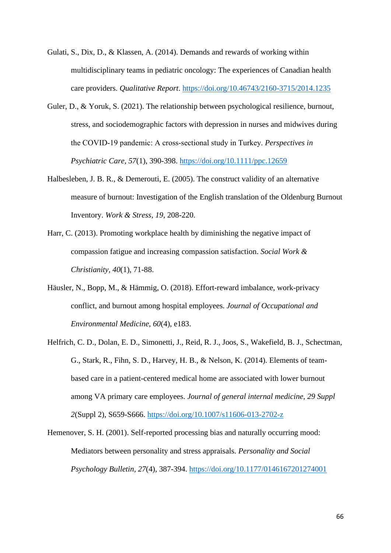- Gulati, S., Dix, D., & Klassen, A. (2014). Demands and rewards of working within multidisciplinary teams in pediatric oncology: The experiences of Canadian health care providers. *Qualitative Report*.<https://doi.org/10.46743/2160-3715/2014.1235>
- Guler, D., & Yoruk, S. (2021). The relationship between psychological resilience, burnout, stress, and sociodemographic factors with depression in nurses and midwives during the COVID‐19 pandemic: A cross‐sectional study in Turkey. *Perspectives in Psychiatric Care, 57*(1), 390-398.<https://doi.org/10.1111/ppc.12659>
- Halbesleben, J. B. R., & Demerouti, E. (2005). The construct validity of an alternative measure of burnout: Investigation of the English translation of the Oldenburg Burnout Inventory. *Work & Stress, 19*, 208-220.
- Harr, C. (2013). Promoting workplace health by diminishing the negative impact of compassion fatigue and increasing compassion satisfaction. *Social Work & Christianity, 40*(1), 71-88.
- Häusler, N., Bopp, M., & Hämmig, O. (2018). Effort-reward imbalance, work-privacy conflict, and burnout among hospital employees. *Journal of Occupational and Environmental Medicine, 60*(4), e183.
- Helfrich, C. D., Dolan, E. D., Simonetti, J., Reid, R. J., Joos, S., Wakefield, B. J., Schectman, G., Stark, R., Fihn, S. D., Harvey, H. B., & Nelson, K. (2014). Elements of teambased care in a patient-centered medical home are associated with lower burnout among VA primary care employees. *Journal of general internal medicine, 29 Suppl 2*(Suppl 2), S659-S666.<https://doi.org/10.1007/s11606-013-2702-z>
- Hemenover, S. H. (2001). Self-reported processing bias and naturally occurring mood: Mediators between personality and stress appraisals. *Personality and Social Psychology Bulletin, 27*(4), 387-394.<https://doi.org/10.1177/0146167201274001>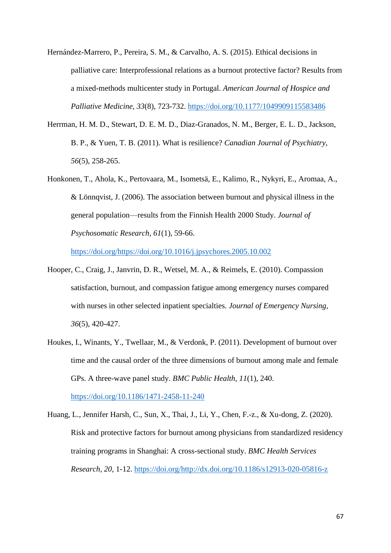- Hernández-Marrero, P., Pereira, S. M., & Carvalho, A. S. (2015). Ethical decisions in palliative care: Interprofessional relations as a burnout protective factor? Results from a mixed-methods multicenter study in Portugal. *American Journal of Hospice and Palliative Medicine, 33*(8), 723-732.<https://doi.org/10.1177/1049909115583486>
- Herrman, H. M. D., Stewart, D. E. M. D., Diaz-Granados, N. M., Berger, E. L. D., Jackson, B. P., & Yuen, T. B. (2011). What is resilience? *Canadian Journal of Psychiatry, 56*(5), 258-265.
- Honkonen, T., Ahola, K., Pertovaara, M., Isometsä, E., Kalimo, R., Nykyri, E., Aromaa, A., & Lönnqvist, J. (2006). The association between burnout and physical illness in the general population—results from the Finnish Health 2000 Study. *Journal of Psychosomatic Research, 61*(1), 59-66.

[https://doi.org/https://doi.org/10.1016/j.jpsychores.2005.10.002](https://doi.org/https:/doi.org/10.1016/j.jpsychores.2005.10.002)

- Hooper, C., Craig, J., Janvrin, D. R., Wetsel, M. A., & Reimels, E. (2010). Compassion satisfaction, burnout, and compassion fatigue among emergency nurses compared with nurses in other selected inpatient specialties. *Journal of Emergency Nursing, 36*(5), 420-427.
- Houkes, I., Winants, Y., Twellaar, M., & Verdonk, P. (2011). Development of burnout over time and the causal order of the three dimensions of burnout among male and female GPs. A three-wave panel study. *BMC Public Health, 11*(1), 240. <https://doi.org/10.1186/1471-2458-11-240>
- Huang, L., Jennifer Harsh, C., Sun, X., Thai, J., Li, Y., Chen, F.-z., & Xu-dong, Z. (2020). Risk and protective factors for burnout among physicians from standardized residency training programs in Shanghai: A cross-sectional study. *BMC Health Services Research, 20*, 1-12. [https://doi.org/http://dx.doi.org/10.1186/s12913-020-05816-z](https://doi.org/http:/dx.doi.org/10.1186/s12913-020-05816-z)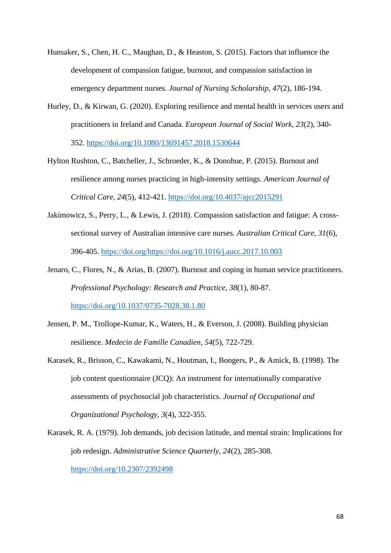- Hunsaker, S., Chen, H. C., Maughan, D., & Heaston, S. (2015). Factors that influence the development of compassion fatigue, burnout, and compassion satisfaction in emergency department nurses. *Journal of Nursing Scholarship, 47*(2), 186-194.
- Hurley, D., & Kirwan, G. (2020). Exploring resilience and mental health in services users and practitioners in Ireland and Canada. *European Journal of Social Work, 23*(2), 340- 352.<https://doi.org/10.1080/13691457.2018.1530644>
- Hylton Rushton, C., Batcheller, J., Schroeder, K., & Donohue, P. (2015). Burnout and resilience among nurses practicing in high-intensity settings. *American Journal of Critical Care, 24*(5), 412-421.<https://doi.org/10.4037/ajcc2015291>
- Jakimowicz, S., Perry, L., & Lewis, J. (2018). Compassion satisfaction and fatigue: A crosssectional survey of Australian intensive care nurses. *Australian Critical Care, 31*(6), 396-405. [https://doi.org/https://doi.org/10.1016/j.aucc.2017.10.003](https://doi.org/https:/doi.org/10.1016/j.aucc.2017.10.003)
- Jenaro, C., Flores, N., & Arias, B. (2007). Burnout and coping in human service practitioners. *Professional Psychology: Research and Practice, 38*(1), 80-87. <https://doi.org/10.1037/0735-7028.38.1.80>
- Jensen, P. M., Trollope-Kumar, K., Waters, H., & Everson, J. (2008). Building physician resilience. *Medecin de Famille Canadien, 54*(5), 722-729.
- Karasek, R., Brisson, C., Kawakami, N., Houtman, I., Bongers, P., & Amick, B. (1998). The job content questionnaire (JCQ): An instrument for internationally comparative assessments of psychosocial job characteristics. *Journal of Occupational and Organizational Psychology, 3*(4), 322-355.
- Karasek, R. A. (1979). Job demands, job decision latitude, and mental strain: Implications for job redesign. *Administrative Science Quarterly, 24*(2), 285-308. <https://doi.org/10.2307/2392498>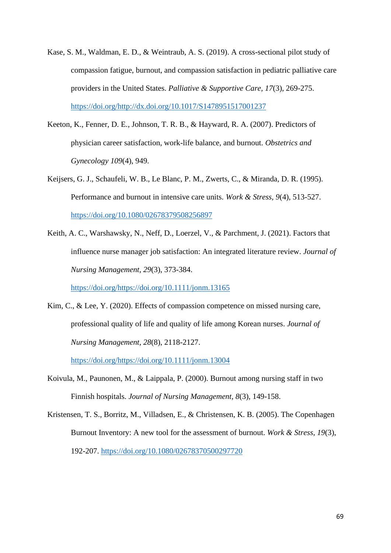- Kase, S. M., Waldman, E. D., & Weintraub, A. S. (2019). A cross-sectional pilot study of compassion fatigue, burnout, and compassion satisfaction in pediatric palliative care providers in the United States. *Palliative & Supportive Care, 17*(3), 269-275. [https://doi.org/http://dx.doi.org/10.1017/S1478951517001237](https://doi.org/http:/dx.doi.org/10.1017/S1478951517001237)
- Keeton, K., Fenner, D. E., Johnson, T. R. B., & Hayward, R. A. (2007). Predictors of physician career satisfaction, work-life balance, and burnout. *Obstetrics and Gynecology 109*(4), 949.
- Keijsers, G. J., Schaufeli, W. B., Le Blanc, P. M., Zwerts, C., & Miranda, D. R. (1995). Performance and burnout in intensive care units. *Work & Stress, 9*(4), 513-527. <https://doi.org/10.1080/02678379508256897>
- Keith, A. C., Warshawsky, N., Neff, D., Loerzel, V., & Parchment, J. (2021). Factors that influence nurse manager job satisfaction: An integrated literature review. *Journal of Nursing Management, 29*(3), 373-384.

[https://doi.org/https://doi.org/10.1111/jonm.13165](https://doi.org/https:/doi.org/10.1111/jonm.13165)

Kim, C., & Lee, Y. (2020). Effects of compassion competence on missed nursing care. professional quality of life and quality of life among Korean nurses. *Journal of Nursing Management, 28*(8), 2118-2127.

[https://doi.org/https://doi.org/10.1111/jonm.13004](https://doi.org/https:/doi.org/10.1111/jonm.13004)

- Koivula, M., Paunonen, M., & Laippala, P. (2000). Burnout among nursing staff in two Finnish hospitals. *Journal of Nursing Management, 8*(3), 149-158.
- Kristensen, T. S., Borritz, M., Villadsen, E., & Christensen, K. B. (2005). The Copenhagen Burnout Inventory: A new tool for the assessment of burnout. *Work & Stress, 19*(3), 192-207.<https://doi.org/10.1080/02678370500297720>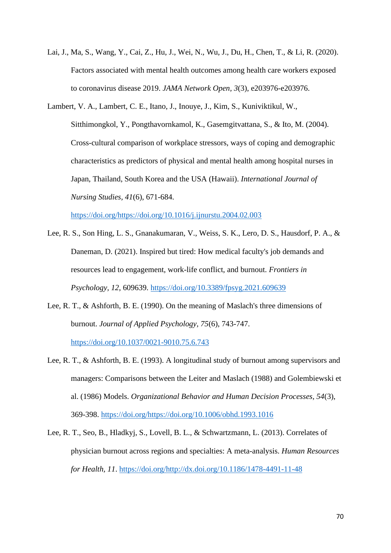- Lai, J., Ma, S., Wang, Y., Cai, Z., Hu, J., Wei, N., Wu, J., Du, H., Chen, T., & Li, R. (2020). Factors associated with mental health outcomes among health care workers exposed to coronavirus disease 2019. *JAMA Network Open, 3*(3), e203976-e203976.
- Lambert, V. A., Lambert, C. E., Itano, J., Inouye, J., Kim, S., Kuniviktikul, W., Sitthimongkol, Y., Pongthavornkamol, K., Gasemgitvattana, S., & Ito, M. (2004). Cross-cultural comparison of workplace stressors, ways of coping and demographic characteristics as predictors of physical and mental health among hospital nurses in Japan, Thailand, South Korea and the USA (Hawaii). *International Journal of Nursing Studies, 41*(6), 671-684.

[https://doi.org/https://doi.org/10.1016/j.ijnurstu.2004.02.003](https://doi.org/https:/doi.org/10.1016/j.ijnurstu.2004.02.003)

- Lee, R. S., Son Hing, L. S., Gnanakumaran, V., Weiss, S. K., Lero, D. S., Hausdorf, P. A., & Daneman, D. (2021). Inspired but tired: How medical faculty's job demands and resources lead to engagement, work-life conflict, and burnout. *Frontiers in Psychology, 12*, 609639.<https://doi.org/10.3389/fpsyg.2021.609639>
- Lee, R. T., & Ashforth, B. E. (1990). On the meaning of Maslach's three dimensions of burnout. *Journal of Applied Psychology, 75*(6), 743-747. <https://doi.org/10.1037/0021-9010.75.6.743>
- Lee, R. T., & Ashforth, B. E. (1993). A longitudinal study of burnout among supervisors and managers: Comparisons between the Leiter and Maslach (1988) and Golembiewski et al. (1986) Models. *Organizational Behavior and Human Decision Processes, 54*(3), 369-398. [https://doi.org/https://doi.org/10.1006/obhd.1993.1016](https://doi.org/https:/doi.org/10.1006/obhd.1993.1016)
- Lee, R. T., Seo, B., Hladkyj, S., Lovell, B. L., & Schwartzmann, L. (2013). Correlates of physician burnout across regions and specialties: A meta-analysis. *Human Resources for Health, 11*. [https://doi.org/http://dx.doi.org/10.1186/1478-4491-11-48](https://doi.org/http:/dx.doi.org/10.1186/1478-4491-11-48)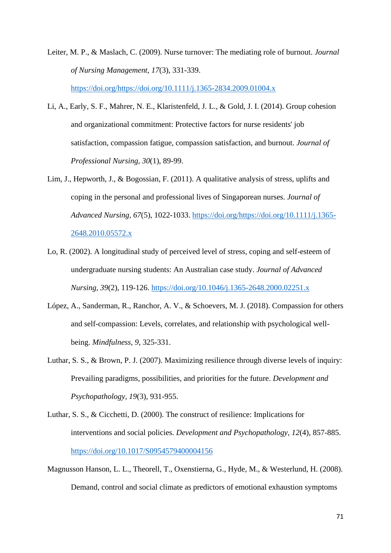Leiter, M. P., & Maslach, C. (2009). Nurse turnover: The mediating role of burnout. *Journal of Nursing Management, 17*(3), 331-339. [https://doi.org/https://doi.org/10.1111/j.1365-2834.2009.01004.x](https://doi.org/https:/doi.org/10.1111/j.1365-2834.2009.01004.x)

- Li, A., Early, S. F., Mahrer, N. E., Klaristenfeld, J. L., & Gold, J. I. (2014). Group cohesion and organizational commitment: Protective factors for nurse residents' job satisfaction, compassion fatigue, compassion satisfaction, and burnout. *Journal of Professional Nursing, 30*(1), 89-99.
- Lim, J., Hepworth, J., & Bogossian, F. (2011). A qualitative analysis of stress, uplifts and coping in the personal and professional lives of Singaporean nurses. *Journal of Advanced Nursing, 67*(5), 1022-1033. [https://doi.org/https://doi.org/10.1111/j.1365-](https://doi.org/https:/doi.org/10.1111/j.1365-2648.2010.05572.x) [2648.2010.05572.x](https://doi.org/https:/doi.org/10.1111/j.1365-2648.2010.05572.x)
- Lo, R. (2002). A longitudinal study of perceived level of stress, coping and self-esteem of undergraduate nursing students: An Australian case study. *Journal of Advanced Nursing, 39*(2), 119-126.<https://doi.org/10.1046/j.1365-2648.2000.02251.x>
- López, A., Sanderman, R., Ranchor, A. V., & Schoevers, M. J. (2018). Compassion for others and self-compassion: Levels, correlates, and relationship with psychological wellbeing. *Mindfulness, 9*, 325-331.
- Luthar, S. S., & Brown, P. J. (2007). Maximizing resilience through diverse levels of inquiry: Prevailing paradigms, possibilities, and priorities for the future. *Development and Psychopathology, 19*(3), 931-955.
- Luthar, S. S., & Cicchetti, D. (2000). The construct of resilience: Implications for interventions and social policies. *Development and Psychopathology, 12*(4), 857-885. <https://doi.org/10.1017/S0954579400004156>
- Magnusson Hanson, L. L., Theorell, T., Oxenstierna, G., Hyde, M., & Westerlund, H. (2008). Demand, control and social climate as predictors of emotional exhaustion symptoms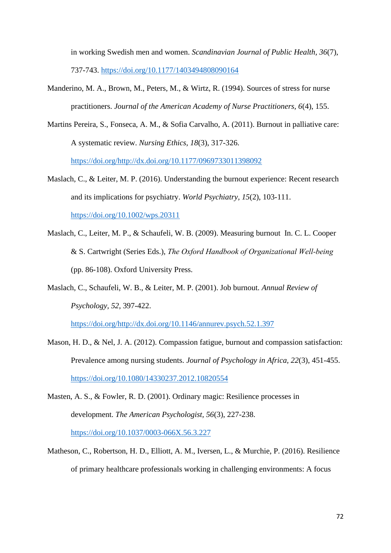in working Swedish men and women. *Scandinavian Journal of Public Health, 36*(7), 737-743.<https://doi.org/10.1177/1403494808090164>

- Manderino, M. A., Brown, M., Peters, M., & Wirtz, R. (1994). Sources of stress for nurse practitioners. *Journal of the American Academy of Nurse Practitioners, 6*(4), 155.
- Martins Pereira, S., Fonseca, A. M., & Sofia Carvalho, A. (2011). Burnout in palliative care: A systematic review. *Nursing Ethics, 18*(3), 317-326. [https://doi.org/http://dx.doi.org/10.1177/0969733011398092](https://doi.org/http:/dx.doi.org/10.1177/0969733011398092)
- Maslach, C., & Leiter, M. P. (2016). Understanding the burnout experience: Recent research and its implications for psychiatry. *World Psychiatry, 15*(2), 103-111. <https://doi.org/10.1002/wps.20311>
- Maslach, C., Leiter, M. P., & Schaufeli, W. B. (2009). Measuring burnout In. C. L. Cooper & S. Cartwright (Series Eds.), *The Oxford Handbook of Organizational Well‐being* (pp. 86-108). Oxford University Press.
- Maslach, C., Schaufeli, W. B., & Leiter, M. P. (2001). Job burnout. *Annual Review of Psychology, 52*, 397-422.

[https://doi.org/http://dx.doi.org/10.1146/annurev.psych.52.1.397](https://doi.org/http:/dx.doi.org/10.1146/annurev.psych.52.1.397)

- Mason, H. D., & Nel, J. A. (2012). Compassion fatigue, burnout and compassion satisfaction: Prevalence among nursing students. *Journal of Psychology in Africa, 22*(3), 451-455. <https://doi.org/10.1080/14330237.2012.10820554>
- Masten, A. S., & Fowler, R. D. (2001). Ordinary magic: Resilience processes in development. *The American Psychologist, 56*(3), 227-238. <https://doi.org/10.1037/0003-066X.56.3.227>
- Matheson, C., Robertson, H. D., Elliott, A. M., Iversen, L., & Murchie, P. (2016). Resilience of primary healthcare professionals working in challenging environments: A focus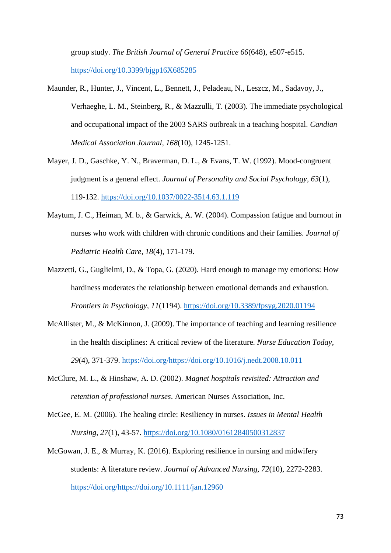group study. *The British Journal of General Practice 66*(648), e507-e515. <https://doi.org/10.3399/bjgp16X685285>

- Maunder, R., Hunter, J., Vincent, L., Bennett, J., Peladeau, N., Leszcz, M., Sadavoy, J., Verhaeghe, L. M., Steinberg, R., & Mazzulli, T. (2003). The immediate psychological and occupational impact of the 2003 SARS outbreak in a teaching hospital. *Candian Medical Association Journal, 168*(10), 1245-1251.
- Mayer, J. D., Gaschke, Y. N., Braverman, D. L., & Evans, T. W. (1992). Mood-congruent judgment is a general effect. *Journal of Personality and Social Psychology, 63*(1), 119-132.<https://doi.org/10.1037/0022-3514.63.1.119>
- Maytum, J. C., Heiman, M. b., & Garwick, A. W. (2004). Compassion fatigue and burnout in nurses who work with children with chronic conditions and their families. *Journal of Pediatric Health Care, 18*(4), 171-179.
- Mazzetti, G., Guglielmi, D., & Topa, G. (2020). Hard enough to manage my emotions: How hardiness moderates the relationship between emotional demands and exhaustion. *Frontiers in Psychology, 11*(1194).<https://doi.org/10.3389/fpsyg.2020.01194>
- McAllister, M., & McKinnon, J. (2009). The importance of teaching and learning resilience in the health disciplines: A critical review of the literature. *Nurse Education Today, 29*(4), 371-379. [https://doi.org/https://doi.org/10.1016/j.nedt.2008.10.011](https://doi.org/https:/doi.org/10.1016/j.nedt.2008.10.011)
- McClure, M. L., & Hinshaw, A. D. (2002). *Magnet hospitals revisited: Attraction and retention of professional nurses*. American Nurses Association, Inc.
- McGee, E. M. (2006). The healing circle: Resiliency in nurses. *Issues in Mental Health Nursing, 27*(1), 43-57.<https://doi.org/10.1080/01612840500312837>
- McGowan, J. E., & Murray, K. (2016). Exploring resilience in nursing and midwifery students: A literature review. *Journal of Advanced Nursing, 72*(10), 2272-2283. [https://doi.org/https://doi.org/10.1111/jan.12960](https://doi.org/https:/doi.org/10.1111/jan.12960)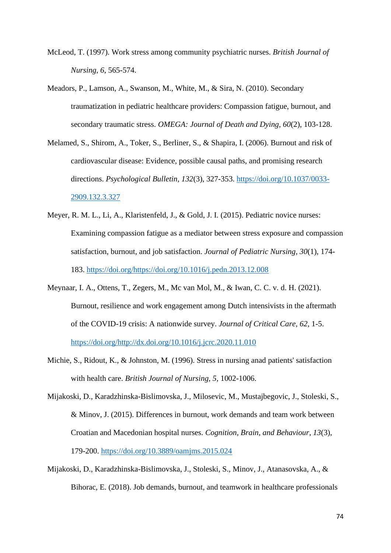- McLeod, T. (1997). Work stress among community psychiatric nurses. *British Journal of Nursing, 6*, 565-574.
- Meadors, P., Lamson, A., Swanson, M., White, M., & Sira, N. (2010). Secondary traumatization in pediatric healthcare providers: Compassion fatigue, burnout, and secondary traumatic stress. *OMEGA: Journal of Death and Dying, 60*(2), 103-128.
- Melamed, S., Shirom, A., Toker, S., Berliner, S., & Shapira, I. (2006). Burnout and risk of cardiovascular disease: Evidence, possible causal paths, and promising research directions. *Psychological Bulletin, 132*(3), 327-353. [https://doi.org/10.1037/0033-](https://doi.org/10.1037/0033-2909.132.3.327) [2909.132.3.327](https://doi.org/10.1037/0033-2909.132.3.327)
- Meyer, R. M. L., Li, A., Klaristenfeld, J., & Gold, J. I. (2015). Pediatric novice nurses: Examining compassion fatigue as a mediator between stress exposure and compassion satisfaction, burnout, and job satisfaction. *Journal of Pediatric Nursing, 30*(1), 174- 183. [https://doi.org/https://doi.org/10.1016/j.pedn.2013.12.008](https://doi.org/https:/doi.org/10.1016/j.pedn.2013.12.008)
- Meynaar, I. A., Ottens, T., Zegers, M., Mc van Mol, M., & Iwan, C. C. v. d. H. (2021). Burnout, resilience and work engagement among Dutch intensivists in the aftermath of the COVID-19 crisis: A nationwide survey. *Journal of Critical Care, 62*, 1-5. [https://doi.org/http://dx.doi.org/10.1016/j.jcrc.2020.11.010](https://doi.org/http:/dx.doi.org/10.1016/j.jcrc.2020.11.010)
- Michie, S., Ridout, K., & Johnston, M. (1996). Stress in nursing anad patients' satisfaction with health care. *British Journal of Nursing, 5*, 1002-1006.
- Mijakoski, D., Karadzhinska-Bislimovska, J., Milosevic, M., Mustajbegovic, J., Stoleski, S., & Minov, J. (2015). Differences in burnout, work demands and team work between Croatian and Macedonian hospital nurses. *Cognition, Brain, and Behaviour, 13*(3), 179-200.<https://doi.org/10.3889/oamjms.2015.024>
- Mijakoski, D., Karadzhinska-Bislimovska, J., Stoleski, S., Minov, J., Atanasovska, A., & Bihorac, E. (2018). Job demands, burnout, and teamwork in healthcare professionals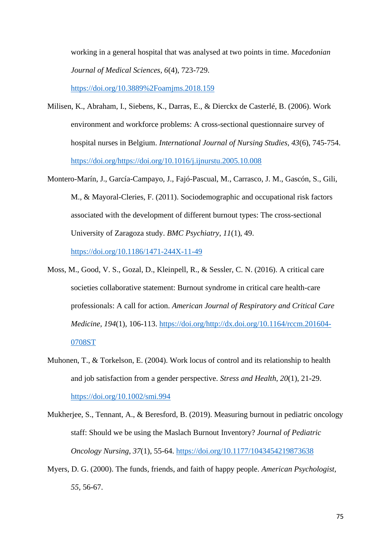working in a general hospital that was analysed at two points in time. *Macedonian Journal of Medical Sciences, 6*(4), 723-729.

<https://doi.org/10.3889%2Foamjms.2018.159>

- Milisen, K., Abraham, I., Siebens, K., Darras, E., & Dierckx de Casterlé, B. (2006). Work environment and workforce problems: A cross-sectional questionnaire survey of hospital nurses in Belgium. *International Journal of Nursing Studies, 43*(6), 745-754. [https://doi.org/https://doi.org/10.1016/j.ijnurstu.2005.10.008](https://doi.org/https:/doi.org/10.1016/j.ijnurstu.2005.10.008)
- Montero-Marín, J., García-Campayo, J., Fajó-Pascual, M., Carrasco, J. M., Gascón, S., Gili, M., & Mayoral-Cleries, F. (2011). Sociodemographic and occupational risk factors associated with the development of different burnout types: The cross-sectional University of Zaragoza study. *BMC Psychiatry, 11*(1), 49.

<https://doi.org/10.1186/1471-244X-11-49>

- Moss, M., Good, V. S., Gozal, D., Kleinpell, R., & Sessler, C. N. (2016). A critical care societies collaborative statement: Burnout syndrome in critical care health-care professionals: A call for action. *American Journal of Respiratory and Critical Care Medicine, 194*(1), 106-113. [https://doi.org/http://dx.doi.org/10.1164/rccm.201604-](https://doi.org/http:/dx.doi.org/10.1164/rccm.201604-0708ST) [0708ST](https://doi.org/http:/dx.doi.org/10.1164/rccm.201604-0708ST)
- Muhonen, T., & Torkelson, E. (2004). Work locus of control and its relationship to health and job satisfaction from a gender perspective. *Stress and Health, 20*(1), 21-29. <https://doi.org/10.1002/smi.994>
- Mukherjee, S., Tennant, A., & Beresford, B. (2019). Measuring burnout in pediatric oncology staff: Should we be using the Maslach Burnout Inventory? *Journal of Pediatric Oncology Nursing, 37*(1), 55-64.<https://doi.org/10.1177/1043454219873638>
- Myers, D. G. (2000). The funds, friends, and faith of happy people. *American Psychologist, 55*, 56-67.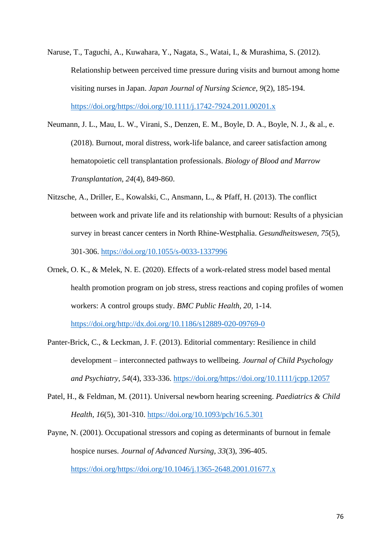- Naruse, T., Taguchi, A., Kuwahara, Y., Nagata, S., Watai, I., & Murashima, S. (2012). Relationship between perceived time pressure during visits and burnout among home visiting nurses in Japan. *Japan Journal of Nursing Science, 9*(2), 185-194. [https://doi.org/https://doi.org/10.1111/j.1742-7924.2011.00201.x](https://doi.org/https:/doi.org/10.1111/j.1742-7924.2011.00201.x)
- Neumann, J. L., Mau, L. W., Virani, S., Denzen, E. M., Boyle, D. A., Boyle, N. J., & al., e. (2018). Burnout, moral distress, work-life balance, and career satisfaction among hematopoietic cell transplantation professionals. *Biology of Blood and Marrow Transplantation, 24*(4), 849-860.
- Nitzsche, A., Driller, E., Kowalski, C., Ansmann, L., & Pfaff, H. (2013). The conflict between work and private life and its relationship with burnout: Results of a physician survey in breast cancer centers in North Rhine-Westphalia. *Gesundheitswesen, 75*(5), 301-306.<https://doi.org/10.1055/s-0033-1337996>
- Ornek, O. K., & Melek, N. E. (2020). Effects of a work-related stress model based mental health promotion program on job stress, stress reactions and coping profiles of women workers: A control groups study. *BMC Public Health, 20*, 1-14. [https://doi.org/http://dx.doi.org/10.1186/s12889-020-09769-0](https://doi.org/http:/dx.doi.org/10.1186/s12889-020-09769-0)
- Panter-Brick, C., & Leckman, J. F. (2013). Editorial commentary: Resilience in child development – interconnected pathways to wellbeing. *Journal of Child Psychology and Psychiatry, 54*(4), 333-336. [https://doi.org/https://doi.org/10.1111/jcpp.12057](https://doi.org/https:/doi.org/10.1111/jcpp.12057)
- Patel, H., & Feldman, M. (2011). Universal newborn hearing screening. *Paediatrics & Child Health, 16*(5), 301-310.<https://doi.org/10.1093/pch/16.5.301>

Payne, N. (2001). Occupational stressors and coping as determinants of burnout in female hospice nurses. *Journal of Advanced Nursing, 33*(3), 396-405. [https://doi.org/https://doi.org/10.1046/j.1365-2648.2001.01677.x](https://doi.org/https:/doi.org/10.1046/j.1365-2648.2001.01677.x)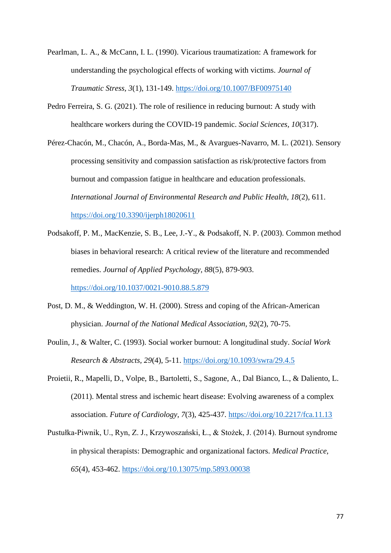- Pearlman, L. A., & McCann, I. L. (1990). Vicarious traumatization: A framework for understanding the psychological effects of working with victims. *Journal of Traumatic Stress, 3*(1), 131-149.<https://doi.org/10.1007/BF00975140>
- Pedro Ferreira, S. G. (2021). The role of resilience in reducing burnout: A study with healthcare workers during the COVID-19 pandemic. *Social Sciences, 10*(317).
- Pérez-Chacón, M., Chacón, A., Borda-Mas, M., & Avargues-Navarro, M. L. (2021). Sensory processing sensitivity and compassion satisfaction as risk/protective factors from burnout and compassion fatigue in healthcare and education professionals. *International Journal of Environmental Research and Public Health, 18*(2), 611. <https://doi.org/10.3390/ijerph18020611>
- Podsakoff, P. M., MacKenzie, S. B., Lee, J.-Y., & Podsakoff, N. P. (2003). Common method biases in behavioral research: A critical review of the literature and recommended remedies. *Journal of Applied Psychology, 88*(5), 879-903.

<https://doi.org/10.1037/0021-9010.88.5.879>

- Post, D. M., & Weddington, W. H. (2000). Stress and coping of the African-American physician. *Journal of the National Medical Association, 92*(2), 70-75.
- Poulin, J., & Walter, C. (1993). Social worker burnout: A longitudinal study. *Social Work Research & Abstracts, 29*(4), 5-11.<https://doi.org/10.1093/swra/29.4.5>
- Proietii, R., Mapelli, D., Volpe, B., Bartoletti, S., Sagone, A., Dal Bianco, L., & Daliento, L. (2011). Mental stress and ischemic heart disease: Evolving awareness of a complex association. *Future of Cardiology, 7*(3), 425-437.<https://doi.org/10.2217/fca.11.13>
- Pustułka-Piwnik, U., Ryn, Z. J., Krzywoszański, Ł., & Stożek, J. (2014). Burnout syndrome in physical therapists: Demographic and organizational factors. *Medical Practice, 65*(4), 453-462.<https://doi.org/10.13075/mp.5893.00038>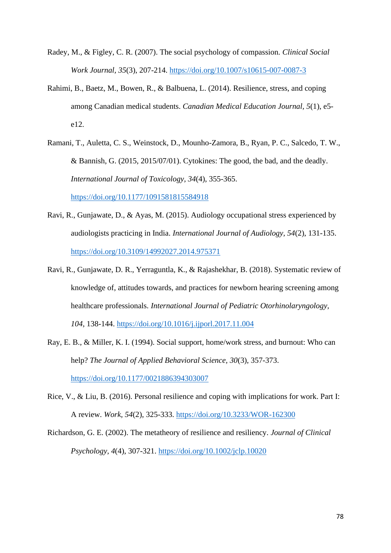- Radey, M., & Figley, C. R. (2007). The social psychology of compassion. *Clinical Social Work Journal, 35*(3), 207-214.<https://doi.org/10.1007/s10615-007-0087-3>
- Rahimi, B., Baetz, M., Bowen, R., & Balbuena, L. (2014). Resilience, stress, and coping among Canadian medical students. *Canadian Medical Education Journal, 5*(1), e5 e12.
- Ramani, T., Auletta, C. S., Weinstock, D., Mounho-Zamora, B., Ryan, P. C., Salcedo, T. W., & Bannish, G. (2015, 2015/07/01). Cytokines: The good, the bad, and the deadly. *International Journal of Toxicology, 34*(4), 355-365.

<https://doi.org/10.1177/1091581815584918>

- Ravi, R., Gunjawate, D., & Ayas, M. (2015). Audiology occupational stress experienced by audiologists practicing in India. *International Journal of Audiology, 54*(2), 131-135. <https://doi.org/10.3109/14992027.2014.975371>
- Ravi, R., Gunjawate, D. R., Yerraguntla, K., & Rajashekhar, B. (2018). Systematic review of knowledge of, attitudes towards, and practices for newborn hearing screening among healthcare professionals. *International Journal of Pediatric Otorhinolaryngology, 104*, 138-144.<https://doi.org/10.1016/j.ijporl.2017.11.004>
- Ray, E. B., & Miller, K. I. (1994). Social support, home/work stress, and burnout: Who can help? *The Journal of Applied Behavioral Science, 30*(3), 357-373. <https://doi.org/10.1177/0021886394303007>
- Rice, V., & Liu, B. (2016). Personal resilience and coping with implications for work. Part I: A review. *Work, 54*(2), 325-333.<https://doi.org/10.3233/WOR-162300>
- Richardson, G. E. (2002). The metatheory of resilience and resiliency. *Journal of Clinical Psychology, 4*(4), 307-321.<https://doi.org/10.1002/jclp.10020>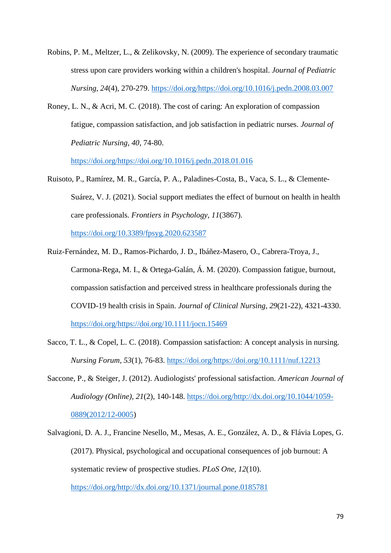- Robins, P. M., Meltzer, L., & Zelikovsky, N. (2009). The experience of secondary traumatic stress upon care providers working within a children's hospital. *Journal of Pediatric Nursing, 24*(4), 270-279. [https://doi.org/https://doi.org/10.1016/j.pedn.2008.03.007](https://doi.org/https:/doi.org/10.1016/j.pedn.2008.03.007)
- Roney, L. N., & Acri, M. C. (2018). The cost of caring: An exploration of compassion fatigue, compassion satisfaction, and job satisfaction in pediatric nurses. *Journal of Pediatric Nursing, 40*, 74-80.

[https://doi.org/https://doi.org/10.1016/j.pedn.2018.01.016](https://doi.org/https:/doi.org/10.1016/j.pedn.2018.01.016)

- Ruisoto, P., Ramírez, M. R., García, P. A., Paladines-Costa, B., Vaca, S. L., & Clemente-Suárez, V. J. (2021). Social support mediates the effect of burnout on health in health care professionals. *Frontiers in Psychology, 11*(3867). <https://doi.org/10.3389/fpsyg.2020.623587>
- Ruiz-Fernández, M. D., Ramos-Pichardo, J. D., Ibáñez-Masero, O., Cabrera-Troya, J., Carmona-Rega, M. I., & Ortega-Galán, Á. M. (2020). Compassion fatigue, burnout, compassion satisfaction and perceived stress in healthcare professionals during the COVID-19 health crisis in Spain. *Journal of Clinical Nursing, 29*(21-22), 4321-4330. [https://doi.org/https://doi.org/10.1111/jocn.15469](https://doi.org/https:/doi.org/10.1111/jocn.15469)
- Sacco, T. L., & Copel, L. C. (2018). Compassion satisfaction: A concept analysis in nursing. *Nursing Forum, 53*(1), 76-83. [https://doi.org/https://doi.org/10.1111/nuf.12213](https://doi.org/https:/doi.org/10.1111/nuf.12213)
- Saccone, P., & Steiger, J. (2012). Audiologists' professional satisfaction. *American Journal of Audiology (Online), 21*(2), 140-148. [https://doi.org/http://dx.doi.org/10.1044/1059-](https://doi.org/http:/dx.doi.org/10.1044/1059-0889(2012/12-0005) [0889\(2012/12-0005\)](https://doi.org/http:/dx.doi.org/10.1044/1059-0889(2012/12-0005)
- Salvagioni, D. A. J., Francine Nesello, M., Mesas, A. E., González, A. D., & Flávia Lopes, G. (2017). Physical, psychological and occupational consequences of job burnout: A systematic review of prospective studies. *PLoS One, 12*(10). [https://doi.org/http://dx.doi.org/10.1371/journal.pone.0185781](https://doi.org/http:/dx.doi.org/10.1371/journal.pone.0185781)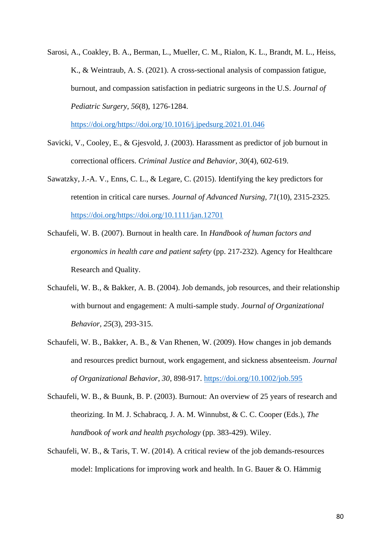Sarosi, A., Coakley, B. A., Berman, L., Mueller, C. M., Rialon, K. L., Brandt, M. L., Heiss, K., & Weintraub, A. S. (2021). A cross-sectional analysis of compassion fatigue, burnout, and compassion satisfaction in pediatric surgeons in the U.S. *Journal of Pediatric Surgery, 56*(8), 1276-1284.

[https://doi.org/https://doi.org/10.1016/j.jpedsurg.2021.01.046](https://doi.org/https:/doi.org/10.1016/j.jpedsurg.2021.01.046)

- Savicki, V., Cooley, E., & Gjesvold, J. (2003). Harassment as predictor of job burnout in correctional officers. *Criminal Justice and Behavior, 30*(4), 602-619.
- Sawatzky, J.-A. V., Enns, C. L., & Legare, C. (2015). Identifying the key predictors for retention in critical care nurses. *Journal of Advanced Nursing, 71*(10), 2315-2325. [https://doi.org/https://doi.org/10.1111/jan.12701](https://doi.org/https:/doi.org/10.1111/jan.12701)
- Schaufeli, W. B. (2007). Burnout in health care. In *Handbook of human factors and ergonomics in health care and patient safety* (pp. 217-232). Agency for Healthcare Research and Quality.
- Schaufeli, W. B., & Bakker, A. B. (2004). Job demands, job resources, and their relationship with burnout and engagement: A multi-sample study. *Journal of Organizational Behavior, 25*(3), 293-315.
- Schaufeli, W. B., Bakker, A. B., & Van Rhenen, W. (2009). How changes in job demands and resources predict burnout, work engagement, and sickness absenteeism. *Journal of Organizational Behavior, 30*, 898-917.<https://doi.org/10.1002/job.595>
- Schaufeli, W. B., & Buunk, B. P. (2003). Burnout: An overview of 25 years of research and theorizing. In M. J. Schabracq, J. A. M. Winnubst, & C. C. Cooper (Eds.), *The handbook of work and health psychology* (pp. 383-429). Wiley.
- Schaufeli, W. B., & Taris, T. W. (2014). A critical review of the job demands-resources model: Implications for improving work and health. In G. Bauer & O. Hämmig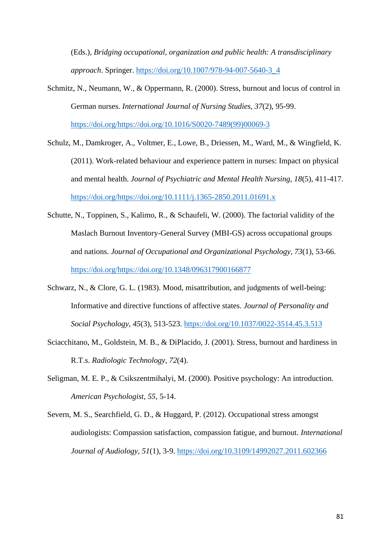(Eds.), *Bridging occupational, organization and public health: A transdisciplinary approach*. Springer. [https://doi.org/10.1007/978-94-007-5640-3\\_4](https://doi.org/10.1007/978-94-007-5640-3_4)

- Schmitz, N., Neumann, W., & Oppermann, R. (2000). Stress, burnout and locus of control in German nurses. *International Journal of Nursing Studies, 37*(2), 95-99. [https://doi.org/https://doi.org/10.1016/S0020-7489\(99\)00069-3](https://doi.org/https:/doi.org/10.1016/S0020-7489(99)00069-3)
- Schulz, M., Damkroger, A., Voltmer, E., Lowe, B., Driessen, M., Ward, M., & Wingfield, K. (2011). Work-related behaviour and experience pattern in nurses: Impact on physical and mental health. *Journal of Psychiatric and Mental Health Nursing, 18*(5), 411-417. [https://doi.org/https://doi.org/10.1111/j.1365-2850.2011.01691.x](https://doi.org/https:/doi.org/10.1111/j.1365-2850.2011.01691.x)
- Schutte, N., Toppinen, S., Kalimo, R., & Schaufeli, W. (2000). The factorial validity of the Maslach Burnout Inventory-General Survey (MBI-GS) across occupational groups and nations. *Journal of Occupational and Organizational Psychology, 73*(1), 53-66. [https://doi.org/https://doi.org/10.1348/096317900166877](https://doi.org/https:/doi.org/10.1348/096317900166877)
- Schwarz, N., & Clore, G. L. (1983). Mood, misattribution, and judgments of well-being: Informative and directive functions of affective states. *Journal of Personality and Social Psychology, 45*(3), 513-523.<https://doi.org/10.1037/0022-3514.45.3.513>
- Sciacchitano, M., Goldstein, M. B., & DiPlacido, J. (2001). Stress, burnout and hardiness in R.T.s. *Radiologic Technology, 72*(4).
- Seligman, M. E. P., & Csikszentmihalyi, M. (2000). Positive psychology: An introduction. *American Psychologist, 55*, 5-14.
- Severn, M. S., Searchfield, G. D., & Huggard, P. (2012). Occupational stress amongst audiologists: Compassion satisfaction, compassion fatigue, and burnout. *International Journal of Audiology, 51*(1), 3-9.<https://doi.org/10.3109/14992027.2011.602366>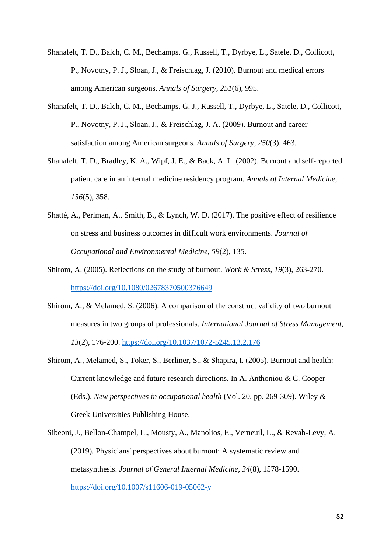- Shanafelt, T. D., Balch, C. M., Bechamps, G., Russell, T., Dyrbye, L., Satele, D., Collicott, P., Novotny, P. J., Sloan, J., & Freischlag, J. (2010). Burnout and medical errors among American surgeons. *Annals of Surgery, 251*(6), 995.
- Shanafelt, T. D., Balch, C. M., Bechamps, G. J., Russell, T., Dyrbye, L., Satele, D., Collicott, P., Novotny, P. J., Sloan, J., & Freischlag, J. A. (2009). Burnout and career satisfaction among American surgeons. *Annals of Surgery, 250*(3), 463.
- Shanafelt, T. D., Bradley, K. A., Wipf, J. E., & Back, A. L. (2002). Burnout and self-reported patient care in an internal medicine residency program. *Annals of Internal Medicine, 136*(5), 358.
- Shatté, A., Perlman, A., Smith, B., & Lynch, W. D. (2017). The positive effect of resilience on stress and business outcomes in difficult work environments. *Journal of Occupational and Environmental Medicine, 59*(2), 135.
- Shirom, A. (2005). Reflections on the study of burnout. *Work & Stress, 19*(3), 263-270. <https://doi.org/10.1080/02678370500376649>
- Shirom, A., & Melamed, S. (2006). A comparison of the construct validity of two burnout measures in two groups of professionals. *International Journal of Stress Management, 13*(2), 176-200.<https://doi.org/10.1037/1072-5245.13.2.176>
- Shirom, A., Melamed, S., Toker, S., Berliner, S., & Shapira, I. (2005). Burnout and health: Current knowledge and future research directions. In A. Anthoniou & C. Cooper (Eds.), *New perspectives in occupational health* (Vol. 20, pp. 269-309). Wiley & Greek Universities Publishing House.
- Sibeoni, J., Bellon-Champel, L., Mousty, A., Manolios, E., Verneuil, L., & Revah-Levy, A. (2019). Physicians' perspectives about burnout: A systematic review and metasynthesis. *Journal of General Internal Medicine, 34*(8), 1578-1590. <https://doi.org/10.1007/s11606-019-05062-y>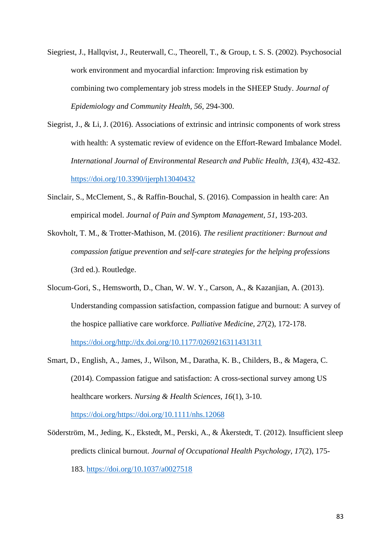- Siegriest, J., Hallqvist, J., Reuterwall, C., Theorell, T., & Group, t. S. S. (2002). Psychosocial work environment and myocardial infarction: Improving risk estimation by combining two complementary job stress models in the SHEEP Study. *Journal of Epidemiology and Community Health, 56*, 294-300.
- Siegrist, J., & Li, J. (2016). Associations of extrinsic and intrinsic components of work stress with health: A systematic review of evidence on the Effort-Reward Imbalance Model. *International Journal of Environmental Research and Public Health, 13*(4), 432-432. <https://doi.org/10.3390/ijerph13040432>
- Sinclair, S., McClement, S., & Raffin-Bouchal, S. (2016). Compassion in health care: An empirical model. *Journal of Pain and Symptom Management, 51*, 193-203.
- Skovholt, T. M., & Trotter-Mathison, M. (2016). *The resilient practitioner: Burnout and compassion fatigue prevention and self-care strategies for the helping professions* (3rd ed.). Routledge.
- Slocum-Gori, S., Hemsworth, D., Chan, W. W. Y., Carson, A., & Kazanjian, A. (2013). Understanding compassion satisfaction, compassion fatigue and burnout: A survey of the hospice palliative care workforce. *Palliative Medicine, 27*(2), 172-178. [https://doi.org/http://dx.doi.org/10.1177/0269216311431311](https://doi.org/http:/dx.doi.org/10.1177/0269216311431311)
- Smart, D., English, A., James, J., Wilson, M., Daratha, K. B., Childers, B., & Magera, C. (2014). Compassion fatigue and satisfaction: A cross-sectional survey among US healthcare workers. *Nursing & Health Sciences, 16*(1), 3-10.

[https://doi.org/https://doi.org/10.1111/nhs.12068](https://doi.org/https:/doi.org/10.1111/nhs.12068)

Söderström, M., Jeding, K., Ekstedt, M., Perski, A., & Åkerstedt, T. (2012). Insufficient sleep predicts clinical burnout. *Journal of Occupational Health Psychology, 17*(2), 175- 183.<https://doi.org/10.1037/a0027518>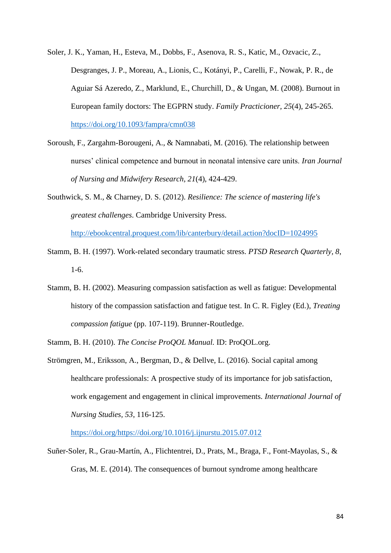- Soler, J. K., Yaman, H., Esteva, M., Dobbs, F., Asenova, R. S., Katic, M., Ozvacic, Z., Desgranges, J. P., Moreau, A., Lionis, C., Kotányi, P., Carelli, F., Nowak, P. R., de Aguiar Sá Azeredo, Z., Marklund, E., Churchill, D., & Ungan, M. (2008). Burnout in European family doctors: The EGPRN study. *Family Practicioner, 25*(4), 245-265. <https://doi.org/10.1093/fampra/cmn038>
- Soroush, F., Zargahm-Borougeni, A., & Namnabati, M. (2016). The relationship between nurses' clinical competence and burnout in neonatal intensive care units. *Iran Journal of Nursing and Midwifery Research, 21*(4), 424-429.
- Southwick, S. M., & Charney, D. S. (2012). *Resilience: The science of mastering life's greatest challenges*. Cambridge University Press.

<http://ebookcentral.proquest.com/lib/canterbury/detail.action?docID=1024995>

- Stamm, B. H. (1997). Work-related secondary traumatic stress. *PTSD Research Quarterly, 8*, 1-6.
- Stamm, B. H. (2002). Measuring compassion satisfaction as well as fatigue: Developmental history of the compassion satisfaction and fatigue test. In C. R. Figley (Ed.), *Treating compassion fatigue* (pp. 107-119). Brunner-Routledge.
- Stamm, B. H. (2010). *The Concise ProQOL Manual.* ID: ProQOL.org.
- Strömgren, M., Eriksson, A., Bergman, D., & Dellve, L. (2016). Social capital among healthcare professionals: A prospective study of its importance for job satisfaction, work engagement and engagement in clinical improvements. *International Journal of Nursing Studies, 53*, 116-125.

[https://doi.org/https://doi.org/10.1016/j.ijnurstu.2015.07.012](https://doi.org/https:/doi.org/10.1016/j.ijnurstu.2015.07.012)

Suñer-Soler, R., Grau-Martín, A., Flichtentrei, D., Prats, M., Braga, F., Font-Mayolas, S., & Gras, M. E. (2014). The consequences of burnout syndrome among healthcare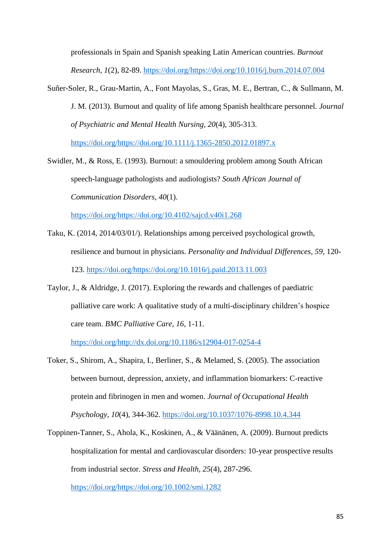professionals in Spain and Spanish speaking Latin American countries. *Burnout Research, 1*(2), 82-89. [https://doi.org/https://doi.org/10.1016/j.burn.2014.07.004](https://doi.org/https:/doi.org/10.1016/j.burn.2014.07.004)

Suñer-Soler, R., Grau-Martin, A., Font Mayolas, S., Gras, M. E., Bertran, C., & Sullmann, M. J. M. (2013). Burnout and quality of life among Spanish healthcare personnel. *Journal of Psychiatric and Mental Health Nursing, 20*(4), 305-313.

[https://doi.org/https://doi.org/10.1111/j.1365-2850.2012.01897.x](https://doi.org/https:/doi.org/10.1111/j.1365-2850.2012.01897.x)

Swidler, M., & Ross, E. (1993). Burnout: a smouldering problem among South African speech-language pathologists and audiologists? *South African Journal of Communication Disorders, 40*(1).

[https://doi.org/https://doi.org/10.4102/sajcd.v40i1.268](https://doi.org/https:/doi.org/10.4102/sajcd.v40i1.268)

- Taku, K. (2014, 2014/03/01/). Relationships among perceived psychological growth, resilience and burnout in physicians. *Personality and Individual Differences, 59*, 120- 123. [https://doi.org/https://doi.org/10.1016/j.paid.2013.11.003](https://doi.org/https:/doi.org/10.1016/j.paid.2013.11.003)
- Taylor, J., & Aldridge, J. (2017). Exploring the rewards and challenges of paediatric palliative care work: A qualitative study of a multi-disciplinary children's hospice care team. *BMC Palliative Care, 16*, 1-11.

[https://doi.org/http://dx.doi.org/10.1186/s12904-017-0254-4](https://doi.org/http:/dx.doi.org/10.1186/s12904-017-0254-4)

- Toker, S., Shirom, A., Shapira, I., Berliner, S., & Melamed, S. (2005). The association between burnout, depression, anxiety, and inflammation biomarkers: C-reactive protein and fibrinogen in men and women. *Journal of Occupational Health Psychology, 10*(4), 344-362.<https://doi.org/10.1037/1076-8998.10.4.344>
- Toppinen-Tanner, S., Ahola, K., Koskinen, A., & Väänänen, A. (2009). Burnout predicts hospitalization for mental and cardiovascular disorders: 10-year prospective results from industrial sector. *Stress and Health, 25*(4), 287-296.

[https://doi.org/https://doi.org/10.1002/smi.1282](https://doi.org/https:/doi.org/10.1002/smi.1282)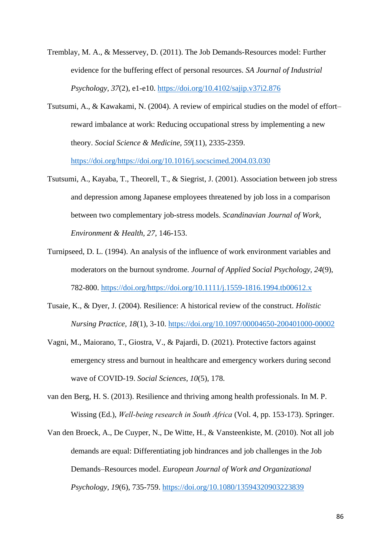- Tremblay, M. A., & Messervey, D. (2011). The Job Demands-Resources model: Further evidence for the buffering effect of personal resources. *SA Journal of Industrial Psychology, 37*(2), e1-e10.<https://doi.org/10.4102/sajip.v37i2.876>
- Tsutsumi, A., & Kawakami, N. (2004). A review of empirical studies on the model of effort– reward imbalance at work: Reducing occupational stress by implementing a new theory. *Social Science & Medicine, 59*(11), 2335-2359. [https://doi.org/https://doi.org/10.1016/j.socscimed.2004.03.030](https://doi.org/https:/doi.org/10.1016/j.socscimed.2004.03.030)
- Tsutsumi, A., Kayaba, T., Theorell, T., & Siegrist, J. (2001). Association between job stress and depression among Japanese employees threatened by job loss in a comparison between two complementary job-stress models. *Scandinavian Journal of Work, Environment & Health, 27*, 146-153.
- Turnipseed, D. L. (1994). An analysis of the influence of work environment variables and moderators on the burnout syndrome. *Journal of Applied Social Psychology, 24*(9), 782-800. [https://doi.org/https://doi.org/10.1111/j.1559-1816.1994.tb00612.x](https://doi.org/https:/doi.org/10.1111/j.1559-1816.1994.tb00612.x)
- Tusaie, K., & Dyer, J. (2004). Resilience: A historical review of the construct. *Holistic Nursing Practice, 18*(1), 3-10.<https://doi.org/10.1097/00004650-200401000-00002>
- Vagni, M., Maiorano, T., Giostra, V., & Pajardi, D. (2021). Protective factors against emergency stress and burnout in healthcare and emergency workers during second wave of COVID-19. *Social Sciences, 10*(5), 178.
- van den Berg, H. S. (2013). Resilience and thriving among health professionals. In M. P. Wissing (Ed.), *Well‐being research in South Africa* (Vol. 4, pp. 153-173). Springer.
- Van den Broeck, A., De Cuyper, N., De Witte, H., & Vansteenkiste, M. (2010). Not all job demands are equal: Differentiating job hindrances and job challenges in the Job Demands–Resources model. *European Journal of Work and Organizational Psychology, 19*(6), 735-759.<https://doi.org/10.1080/13594320903223839>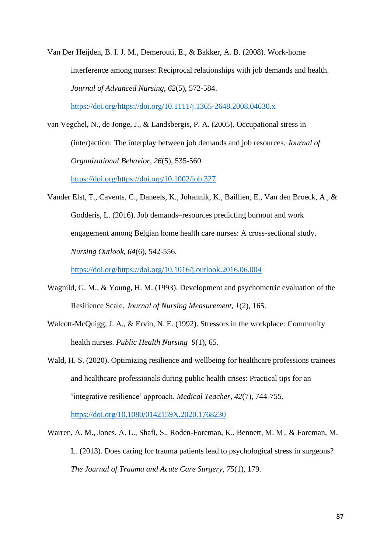Van Der Heijden, B. I. J. M., Demerouti, E., & Bakker, A. B. (2008). Work-home interference among nurses: Reciprocal relationships with job demands and health. *Journal of Advanced Nursing, 62*(5), 572-584. [https://doi.org/https://doi.org/10.1111/j.1365-2648.2008.04630.x](https://doi.org/https:/doi.org/10.1111/j.1365-2648.2008.04630.x)

van Vegchel, N., de Jonge, J., & Landsbergis, P. A. (2005). Occupational stress in (inter)action: The interplay between job demands and job resources. *Journal of Organizational Behavior, 26*(5), 535-560.

[https://doi.org/https://doi.org/10.1002/job.327](https://doi.org/https:/doi.org/10.1002/job.327)

Vander Elst, T., Cavents, C., Daneels, K., Johannik, K., Baillien, E., Van den Broeck, A., & Godderis, L. (2016). Job demands–resources predicting burnout and work engagement among Belgian home health care nurses: A cross-sectional study. *Nursing Outlook, 64*(6), 542-556.

[https://doi.org/https://doi.org/10.1016/j.outlook.2016.06.004](https://doi.org/https:/doi.org/10.1016/j.outlook.2016.06.004)

- Wagnild, G. M., & Young, H. M. (1993). Development and psychometric evaluation of the Resilience Scale. *Journal of Nursing Measurement, 1*(2), 165.
- Walcott-McQuigg, J. A., & Ervin, N. E. (1992). Stressors in the workplace: Community health nurses. *Public Health Nursing 9*(1), 65.
- Wald, H. S. (2020). Optimizing resilience and wellbeing for healthcare professions trainees and healthcare professionals during public health crises: Practical tips for an 'integrative resilience' approach. *Medical Teacher, 42*(7), 744-755.

<https://doi.org/10.1080/0142159X.2020.1768230>

Warren, A. M., Jones, A. L., Shafi, S., Roden-Foreman, K., Bennett, M. M., & Foreman, M. L. (2013). Does caring for trauma patients lead to psychological stress in surgeons? *The Journal of Trauma and Acute Care Surgery, 75*(1), 179.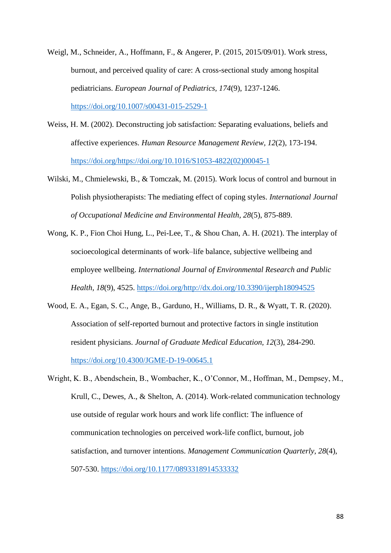- Weigl, M., Schneider, A., Hoffmann, F., & Angerer, P. (2015, 2015/09/01). Work stress, burnout, and perceived quality of care: A cross-sectional study among hospital pediatricians. *European Journal of Pediatrics, 174*(9), 1237-1246. <https://doi.org/10.1007/s00431-015-2529-1>
- Weiss, H. M. (2002). Deconstructing job satisfaction: Separating evaluations, beliefs and affective experiences. *Human Resource Management Review, 12*(2), 173-194. [https://doi.org/https://doi.org/10.1016/S1053-4822\(02\)00045-1](https://doi.org/https:/doi.org/10.1016/S1053-4822(02)00045-1)
- Wilski, M., Chmielewski, B., & Tomczak, M. (2015). Work locus of control and burnout in Polish physiotherapists: The mediating effect of coping styles. *International Journal of Occupational Medicine and Environmental Health, 28*(5), 875-889.
- Wong, K. P., Fion Choi Hung, L., Pei-Lee, T., & Shou Chan, A. H. (2021). The interplay of socioecological determinants of work–life balance, subjective wellbeing and employee wellbeing. *International Journal of Environmental Research and Public Health, 18*(9), 4525. [https://doi.org/http://dx.doi.org/10.3390/ijerph18094525](https://doi.org/http:/dx.doi.org/10.3390/ijerph18094525)
- Wood, E. A., Egan, S. C., Ange, B., Garduno, H., Williams, D. R., & Wyatt, T. R. (2020). Association of self-reported burnout and protective factors in single institution resident physicians. *Journal of Graduate Medical Education, 12*(3), 284-290. <https://doi.org/10.4300/JGME-D-19-00645.1>
- Wright, K. B., Abendschein, B., Wombacher, K., O'Connor, M., Hoffman, M., Dempsey, M., Krull, C., Dewes, A., & Shelton, A. (2014). Work-related communication technology use outside of regular work hours and work life conflict: The influence of communication technologies on perceived work-life conflict, burnout, job satisfaction, and turnover intentions. *Management Communication Quarterly, 28*(4), 507-530.<https://doi.org/10.1177/0893318914533332>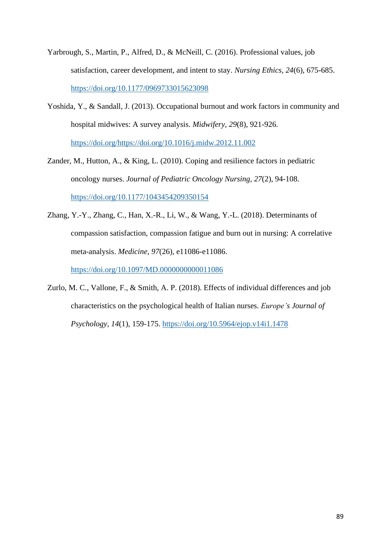- Yarbrough, S., Martin, P., Alfred, D., & McNeill, C. (2016). Professional values, job satisfaction, career development, and intent to stay. *Nursing Ethics, 24*(6), 675-685. <https://doi.org/10.1177/0969733015623098>
- Yoshida, Y., & Sandall, J. (2013). Occupational burnout and work factors in community and hospital midwives: A survey analysis. *Midwifery, 29*(8), 921-926. [https://doi.org/https://doi.org/10.1016/j.midw.2012.11.002](https://doi.org/https:/doi.org/10.1016/j.midw.2012.11.002)
- Zander, M., Hutton, A., & King, L. (2010). Coping and resilience factors in pediatric oncology nurses. *Journal of Pediatric Oncology Nursing, 27*(2), 94-108. <https://doi.org/10.1177/1043454209350154>
- Zhang, Y.-Y., Zhang, C., Han, X.-R., Li, W., & Wang, Y.-L. (2018). Determinants of compassion satisfaction, compassion fatigue and burn out in nursing: A correlative meta-analysis. *Medicine, 97*(26), e11086-e11086. <https://doi.org/10.1097/MD.0000000000011086>
- Zurlo, M. C., Vallone, F., & Smith, A. P. (2018). Effects of individual differences and job characteristics on the psychological health of Italian nurses. *Europe's Journal of Psychology, 14*(1), 159-175.<https://doi.org/10.5964/ejop.v14i1.1478>